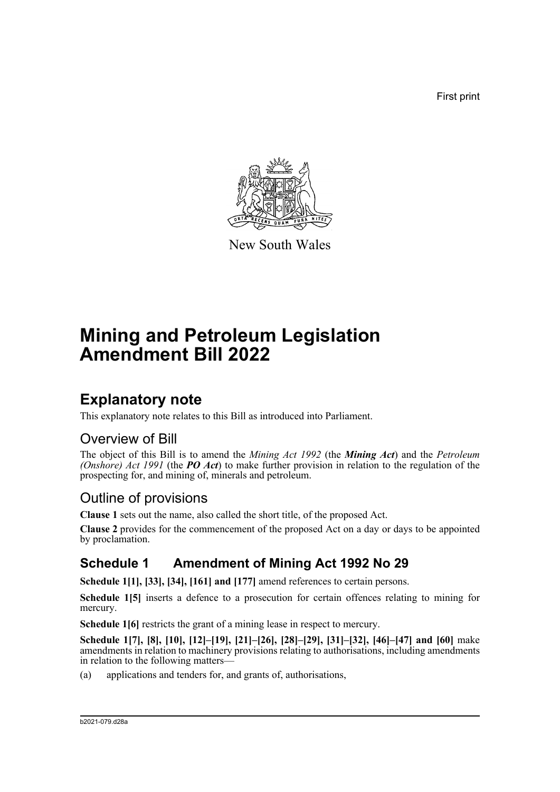First print



New South Wales

# **Mining and Petroleum Legislation Amendment Bill 2022**

## **Explanatory note**

This explanatory note relates to this Bill as introduced into Parliament.

### Overview of Bill

The object of this Bill is to amend the *Mining Act 1992* (the *Mining Act*) and the *Petroleum (Onshore) Act 1991* (the *PO Act*) to make further provision in relation to the regulation of the prospecting for, and mining of, minerals and petroleum.

## Outline of provisions

**Clause 1** sets out the name, also called the short title, of the proposed Act.

**Clause 2** provides for the commencement of the proposed Act on a day or days to be appointed by proclamation.

## **Schedule 1 Amendment of Mining Act 1992 No 29**

**Schedule 1[1], [33], [34], [161] and [177]** amend references to certain persons.

**Schedule 1[5]** inserts a defence to a prosecution for certain offences relating to mining for mercury.

**Schedule 1[6]** restricts the grant of a mining lease in respect to mercury.

**Schedule 1[7], [8], [10], [12]–[19], [21]–[26], [28]–[29], [31]–[32], [46]–[47] and [60]** make amendments in relation to machinery provisions relating to authorisations, including amendments in relation to the following matters—

(a) applications and tenders for, and grants of, authorisations,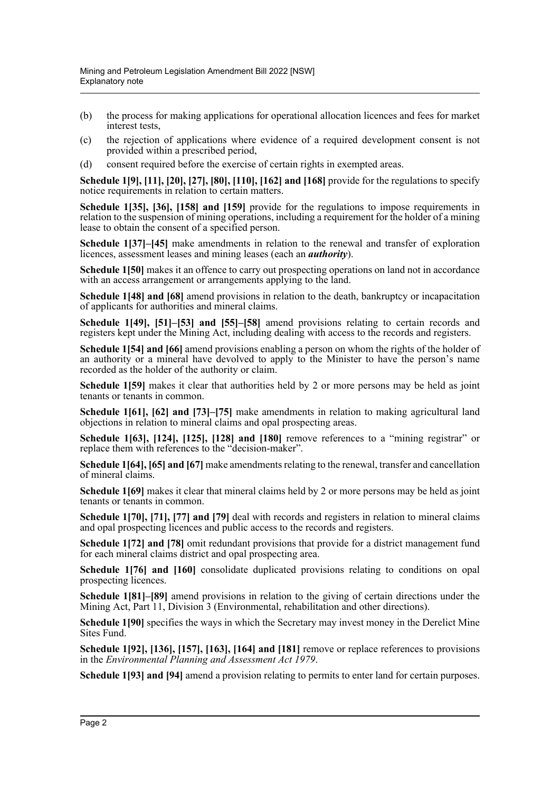- (b) the process for making applications for operational allocation licences and fees for market interest tests,
- (c) the rejection of applications where evidence of a required development consent is not provided within a prescribed period,
- (d) consent required before the exercise of certain rights in exempted areas.

**Schedule 1[9], [11], [20], [27], [80], [110], [162] and [168]** provide for the regulations to specify notice requirements in relation to certain matters.

**Schedule 1[35], [36], [158] and [159]** provide for the regulations to impose requirements in relation to the suspension of mining operations, including a requirement for the holder of a mining lease to obtain the consent of a specified person.

**Schedule 1[37]–[45]** make amendments in relation to the renewal and transfer of exploration licences, assessment leases and mining leases (each an *authority*).

**Schedule 1[50]** makes it an offence to carry out prospecting operations on land not in accordance with an access arrangement or arrangements applying to the land.

**Schedule 1[48] and [68]** amend provisions in relation to the death, bankruptcy or incapacitation of applicants for authorities and mineral claims.

**Schedule 1[49], [51]–[53] and [55]–[58]** amend provisions relating to certain records and registers kept under the Mining Act, including dealing with access to the records and registers.

**Schedule 1[54] and [66]** amend provisions enabling a person on whom the rights of the holder of an authority or a mineral have devolved to apply to the Minister to have the person's name recorded as the holder of the authority or claim.

**Schedule 1[59]** makes it clear that authorities held by 2 or more persons may be held as joint tenants or tenants in common.

**Schedule 1[61], [62] and [73]–[75]** make amendments in relation to making agricultural land objections in relation to mineral claims and opal prospecting areas.

**Schedule 1[63], [124], [125], [128] and [180]** remove references to a "mining registrar" or replace them with references to the "decision-maker".

**Schedule 1[64], [65] and [67]** make amendments relating to the renewal, transfer and cancellation of mineral claims.

**Schedule 1[69]** makes it clear that mineral claims held by 2 or more persons may be held as joint tenants or tenants in common.

**Schedule 1[70], [71], [77] and [79]** deal with records and registers in relation to mineral claims and opal prospecting licences and public access to the records and registers.

**Schedule 1[72] and [78]** omit redundant provisions that provide for a district management fund for each mineral claims district and opal prospecting area.

**Schedule 1[76] and [160]** consolidate duplicated provisions relating to conditions on opal prospecting licences.

**Schedule 1[81]–[89]** amend provisions in relation to the giving of certain directions under the Mining Act, Part 11, Division 3 (Environmental, rehabilitation and other directions).

**Schedule 1[90]** specifies the ways in which the Secretary may invest money in the Derelict Mine Sites Fund.

**Schedule 1[92], [136], [157], [163], [164] and [181]** remove or replace references to provisions in the *Environmental Planning and Assessment Act 1979*.

**Schedule 1[93] and [94]** amend a provision relating to permits to enter land for certain purposes.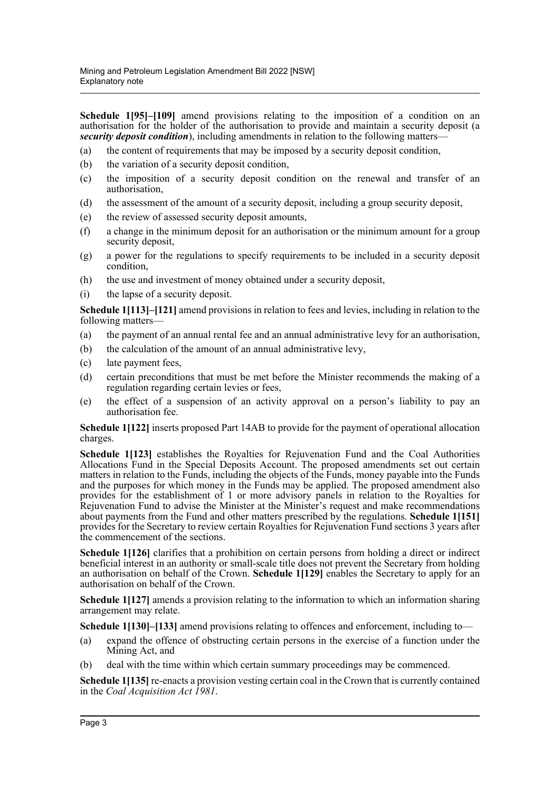**Schedule 1[95]–[109]** amend provisions relating to the imposition of a condition on an authorisation for the holder of the authorisation to provide and maintain a security deposit (a *security deposit condition*), including amendments in relation to the following matters—

- (a) the content of requirements that may be imposed by a security deposit condition,
- (b) the variation of a security deposit condition,
- (c) the imposition of a security deposit condition on the renewal and transfer of an authorisation,
- (d) the assessment of the amount of a security deposit, including a group security deposit,
- (e) the review of assessed security deposit amounts,
- (f) a change in the minimum deposit for an authorisation or the minimum amount for a group security deposit,
- (g) a power for the regulations to specify requirements to be included in a security deposit condition,
- (h) the use and investment of money obtained under a security deposit,
- (i) the lapse of a security deposit.

**Schedule 1[113]–[121]** amend provisions in relation to fees and levies, including in relation to the following matters—

- (a) the payment of an annual rental fee and an annual administrative levy for an authorisation,
- (b) the calculation of the amount of an annual administrative levy,
- (c) late payment fees,
- (d) certain preconditions that must be met before the Minister recommends the making of a regulation regarding certain levies or fees,
- (e) the effect of a suspension of an activity approval on a person's liability to pay an authorisation fee.

**Schedule 1[122]** inserts proposed Part 14AB to provide for the payment of operational allocation charges.

**Schedule 1[123]** establishes the Royalties for Rejuvenation Fund and the Coal Authorities Allocations Fund in the Special Deposits Account. The proposed amendments set out certain matters in relation to the Funds, including the objects of the Funds, money payable into the Funds and the purposes for which money in the Funds may be applied. The proposed amendment also provides for the establishment of 1 or more advisory panels in relation to the Royalties for Rejuvenation Fund to advise the Minister at the Minister's request and make recommendations about payments from the Fund and other matters prescribed by the regulations. **Schedule 1[151]** provides for the Secretary to review certain Royalties for Rejuvenation Fund sections 3 years after the commencement of the sections.

**Schedule 1[126]** clarifies that a prohibition on certain persons from holding a direct or indirect beneficial interest in an authority or small-scale title does not prevent the Secretary from holding an authorisation on behalf of the Crown. **Schedule 1[129]** enables the Secretary to apply for an authorisation on behalf of the Crown.

**Schedule 1[127]** amends a provision relating to the information to which an information sharing arrangement may relate.

**Schedule 1[130]–[133]** amend provisions relating to offences and enforcement, including to—

- (a) expand the offence of obstructing certain persons in the exercise of a function under the Mining Act, and
- (b) deal with the time within which certain summary proceedings may be commenced.

**Schedule 1[135]** re-enacts a provision vesting certain coal in the Crown that is currently contained in the *Coal Acquisition Act 1981*.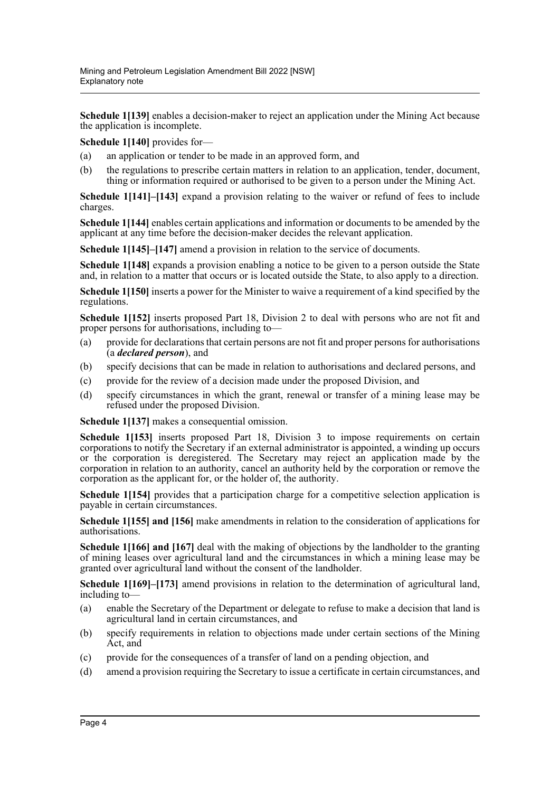**Schedule 1[139]** enables a decision-maker to reject an application under the Mining Act because the application is incomplete.

**Schedule 1[140]** provides for—

- (a) an application or tender to be made in an approved form, and
- (b) the regulations to prescribe certain matters in relation to an application, tender, document, thing or information required or authorised to be given to a person under the Mining Act.

**Schedule 1[141]–[143]** expand a provision relating to the waiver or refund of fees to include charges.

**Schedule 1[144]** enables certain applications and information or documents to be amended by the applicant at any time before the decision-maker decides the relevant application.

**Schedule 1[145]–[147]** amend a provision in relation to the service of documents.

**Schedule 1[148]** expands a provision enabling a notice to be given to a person outside the State and, in relation to a matter that occurs or is located outside the State, to also apply to a direction.

**Schedule 1[150]** inserts a power for the Minister to waive a requirement of a kind specified by the regulations.

**Schedule 1[152]** inserts proposed Part 18, Division 2 to deal with persons who are not fit and proper persons for authorisations, including to—

- (a) provide for declarations that certain persons are not fit and proper persons for authorisations (a *declared person*), and
- (b) specify decisions that can be made in relation to authorisations and declared persons, and
- (c) provide for the review of a decision made under the proposed Division, and
- (d) specify circumstances in which the grant, renewal or transfer of a mining lease may be refused under the proposed Division.

**Schedule 1[137]** makes a consequential omission.

Schedule 1[153] inserts proposed Part 18, Division 3 to impose requirements on certain corporations to notify the Secretary if an external administrator is appointed, a winding up occurs or the corporation is deregistered. The Secretary may reject an application made by the corporation in relation to an authority, cancel an authority held by the corporation or remove the corporation as the applicant for, or the holder of, the authority.

**Schedule 1[154]** provides that a participation charge for a competitive selection application is payable in certain circumstances.

**Schedule 1[155] and [156]** make amendments in relation to the consideration of applications for authorisations.

**Schedule 1[166] and [167]** deal with the making of objections by the landholder to the granting of mining leases over agricultural land and the circumstances in which a mining lease may be granted over agricultural land without the consent of the landholder.

**Schedule 1[169]–[173]** amend provisions in relation to the determination of agricultural land, including to—

- (a) enable the Secretary of the Department or delegate to refuse to make a decision that land is agricultural land in certain circumstances, and
- (b) specify requirements in relation to objections made under certain sections of the Mining Act, and
- (c) provide for the consequences of a transfer of land on a pending objection, and
- (d) amend a provision requiring the Secretary to issue a certificate in certain circumstances, and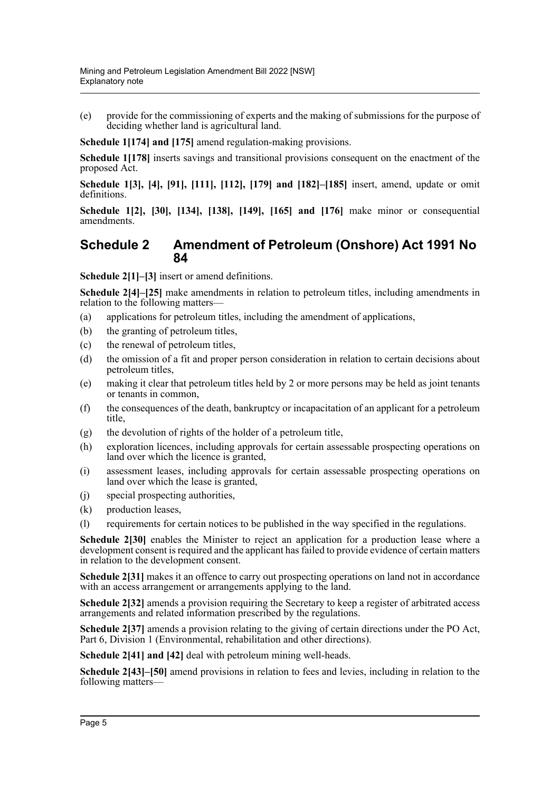(e) provide for the commissioning of experts and the making of submissions for the purpose of deciding whether land is agricultural land.

**Schedule 1[174] and [175]** amend regulation-making provisions.

**Schedule 1[178]** inserts savings and transitional provisions consequent on the enactment of the proposed Act.

**Schedule 1[3], [4], [91], [111], [112], [179] and [182]–[185]** insert, amend, update or omit definitions.

**Schedule 1[2], [30], [134], [138], [149], [165] and [176]** make minor or consequential amendments.

#### **Schedule 2 Amendment of Petroleum (Onshore) Act 1991 No 84**

**Schedule 2[1]–[3]** insert or amend definitions.

**Schedule 2[4]–[25]** make amendments in relation to petroleum titles, including amendments in relation to the following matters—

- (a) applications for petroleum titles, including the amendment of applications,
- (b) the granting of petroleum titles,
- (c) the renewal of petroleum titles,
- (d) the omission of a fit and proper person consideration in relation to certain decisions about petroleum titles,
- (e) making it clear that petroleum titles held by 2 or more persons may be held as joint tenants or tenants in common,
- (f) the consequences of the death, bankruptcy or incapacitation of an applicant for a petroleum title,
- (g) the devolution of rights of the holder of a petroleum title,
- (h) exploration licences, including approvals for certain assessable prospecting operations on land over which the licence is granted,
- (i) assessment leases, including approvals for certain assessable prospecting operations on land over which the lease is granted,
- (j) special prospecting authorities,
- (k) production leases,
- (l) requirements for certain notices to be published in the way specified in the regulations.

**Schedule 2[30]** enables the Minister to reject an application for a production lease where a development consent is required and the applicant has failed to provide evidence of certain matters in relation to the development consent.

**Schedule 2[31]** makes it an offence to carry out prospecting operations on land not in accordance with an access arrangement or arrangements applying to the land.

**Schedule 2[32]** amends a provision requiring the Secretary to keep a register of arbitrated access arrangements and related information prescribed by the regulations.

**Schedule 2[37]** amends a provision relating to the giving of certain directions under the PO Act, Part 6, Division 1 (Environmental, rehabilitation and other directions).

**Schedule 2[41] and [42]** deal with petroleum mining well-heads.

**Schedule 2[43]–[50]** amend provisions in relation to fees and levies, including in relation to the following matters—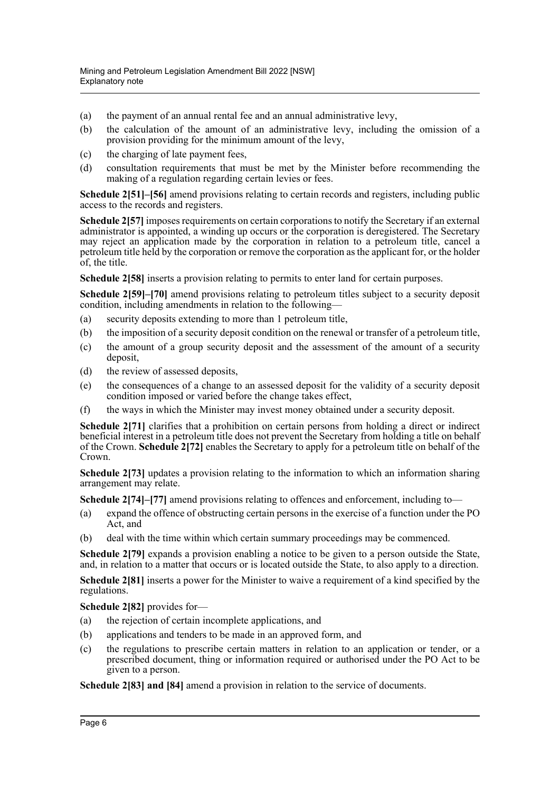- (a) the payment of an annual rental fee and an annual administrative levy,
- (b) the calculation of the amount of an administrative levy, including the omission of a provision providing for the minimum amount of the levy,
- (c) the charging of late payment fees,
- (d) consultation requirements that must be met by the Minister before recommending the making of a regulation regarding certain levies or fees.

**Schedule 2[51]–[56]** amend provisions relating to certain records and registers, including public access to the records and registers.

**Schedule 2[57]** imposes requirements on certain corporations to notify the Secretary if an external administrator is appointed, a winding up occurs or the corporation is deregistered. The Secretary may reject an application made by the corporation in relation to a petroleum title, cancel a petroleum title held by the corporation or remove the corporation as the applicant for, or the holder of, the title.

**Schedule 2[58]** inserts a provision relating to permits to enter land for certain purposes.

**Schedule 2[59]–[70]** amend provisions relating to petroleum titles subject to a security deposit condition, including amendments in relation to the following—

- (a) security deposits extending to more than 1 petroleum title,
- (b) the imposition of a security deposit condition on the renewal or transfer of a petroleum title,
- (c) the amount of a group security deposit and the assessment of the amount of a security deposit,
- (d) the review of assessed deposits,
- (e) the consequences of a change to an assessed deposit for the validity of a security deposit condition imposed or varied before the change takes effect,
- (f) the ways in which the Minister may invest money obtained under a security deposit.

Schedule 2[71] clarifies that a prohibition on certain persons from holding a direct or indirect beneficial interest in a petroleum title does not prevent the Secretary from holding a title on behalf of the Crown. **Schedule 2[72]** enables the Secretary to apply for a petroleum title on behalf of the Crown.

**Schedule 2[73]** updates a provision relating to the information to which an information sharing arrangement may relate.

**Schedule 2[74]–[77]** amend provisions relating to offences and enforcement, including to—

- (a) expand the offence of obstructing certain persons in the exercise of a function under the PO Act, and
- (b) deal with the time within which certain summary proceedings may be commenced.

**Schedule 2[79]** expands a provision enabling a notice to be given to a person outside the State, and, in relation to a matter that occurs or is located outside the State, to also apply to a direction.

**Schedule 2[81]** inserts a power for the Minister to waive a requirement of a kind specified by the regulations.

**Schedule 2[82]** provides for—

- (a) the rejection of certain incomplete applications, and
- (b) applications and tenders to be made in an approved form, and
- (c) the regulations to prescribe certain matters in relation to an application or tender, or a prescribed document, thing or information required or authorised under the PO Act to be given to a person.

**Schedule 2[83] and [84]** amend a provision in relation to the service of documents.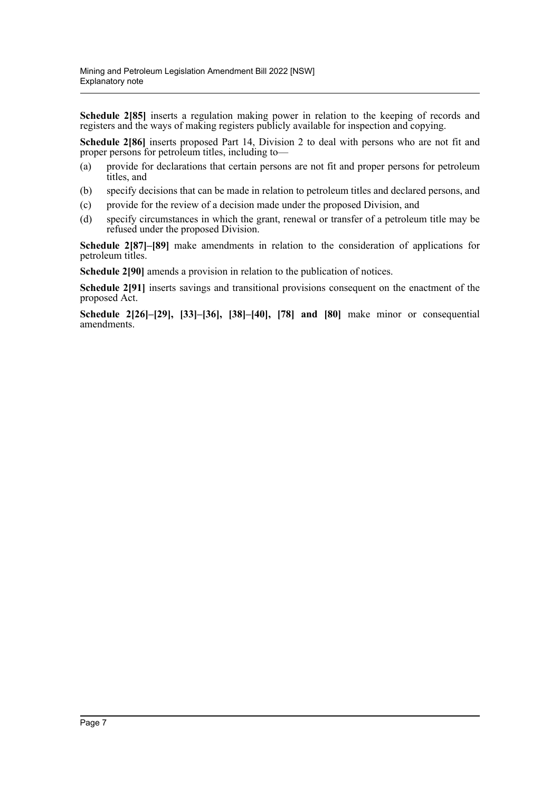**Schedule 2[85]** inserts a regulation making power in relation to the keeping of records and registers and the ways of making registers publicly available for inspection and copying.

**Schedule 2[86]** inserts proposed Part 14, Division 2 to deal with persons who are not fit and proper persons for petroleum titles, including to—

- (a) provide for declarations that certain persons are not fit and proper persons for petroleum titles, and
- (b) specify decisions that can be made in relation to petroleum titles and declared persons, and
- (c) provide for the review of a decision made under the proposed Division, and
- (d) specify circumstances in which the grant, renewal or transfer of a petroleum title may be refused under the proposed Division.

**Schedule 2[87]–[89]** make amendments in relation to the consideration of applications for petroleum titles.

**Schedule 2[90]** amends a provision in relation to the publication of notices.

**Schedule 2[91]** inserts savings and transitional provisions consequent on the enactment of the proposed Act.

**Schedule 2[26]–[29], [33]–[36], [38]–[40], [78] and [80]** make minor or consequential amendments.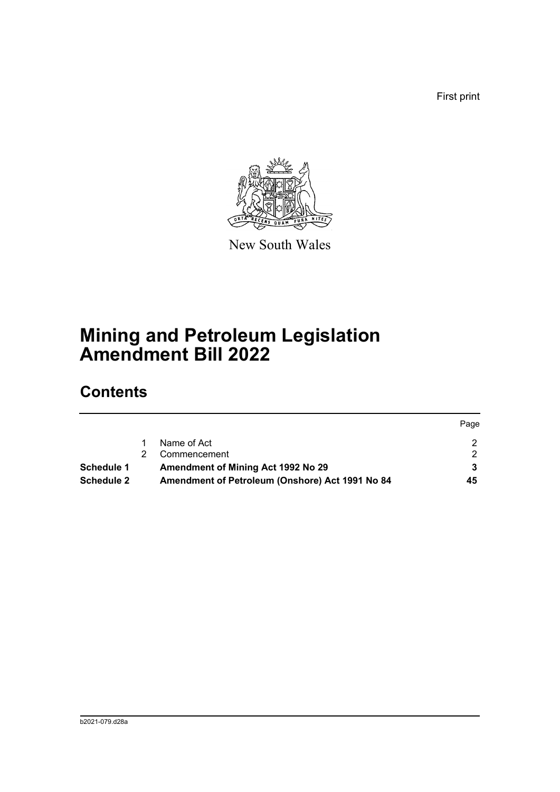First print



New South Wales

# **Mining and Petroleum Legislation Amendment Bill 2022**

## **Contents**

| Schedule 1<br><b>Schedule 2</b> | Amendment of Mining Act 1992 No 29<br>Amendment of Petroleum (Onshore) Act 1991 No 84 | 45   |
|---------------------------------|---------------------------------------------------------------------------------------|------|
|                                 | Commencement                                                                          |      |
|                                 | Name of Act                                                                           |      |
|                                 |                                                                                       | Page |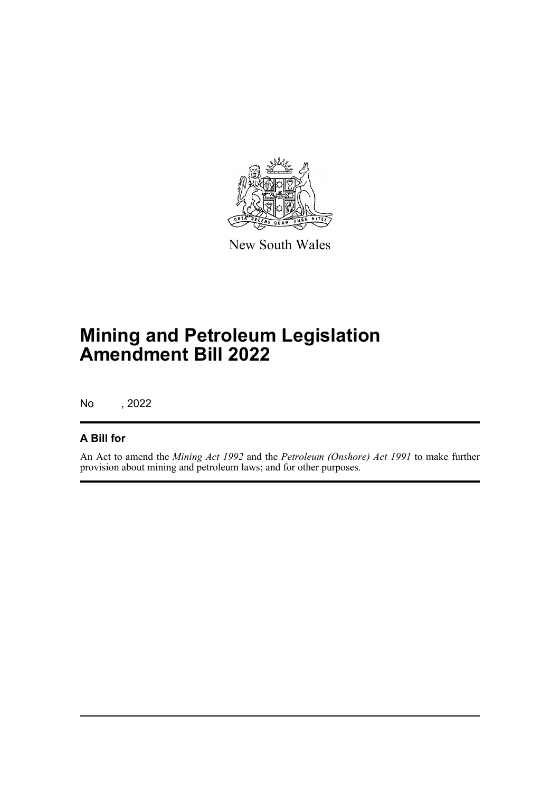

New South Wales

# **Mining and Petroleum Legislation Amendment Bill 2022**

No , 2022

#### **A Bill for**

An Act to amend the *Mining Act 1992* and the *Petroleum (Onshore) Act 1991* to make further provision about mining and petroleum laws; and for other purposes.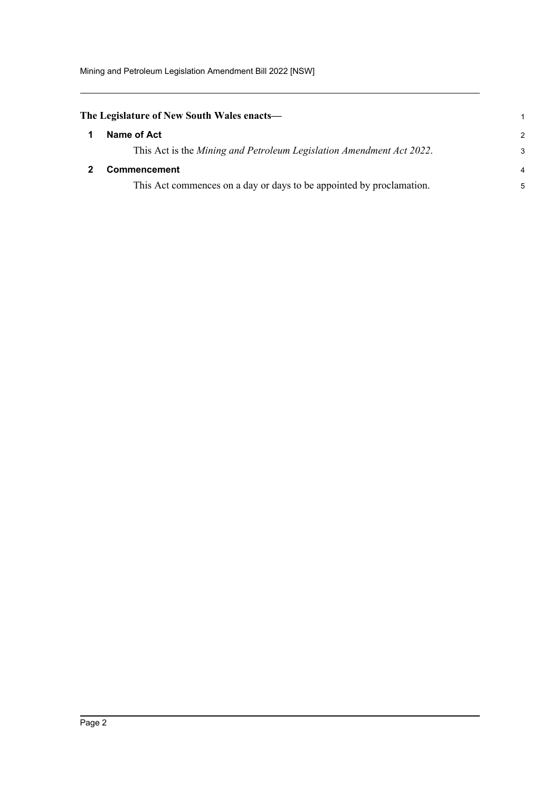Mining and Petroleum Legislation Amendment Bill 2022 [NSW]

<span id="page-9-1"></span><span id="page-9-0"></span>

| The Legislature of New South Wales enacts—                           | 1                        |
|----------------------------------------------------------------------|--------------------------|
| Name of Act                                                          | $\mathcal{P}$            |
| This Act is the Mining and Petroleum Legislation Amendment Act 2022. | 3                        |
| <b>Commencement</b>                                                  | $\overline{\mathcal{A}}$ |
| This Act commences on a day or days to be appointed by proclamation. | 5                        |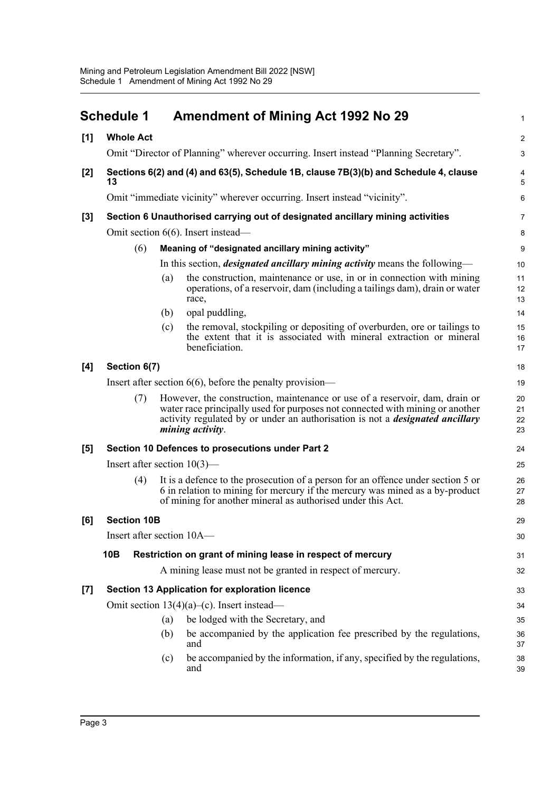<span id="page-10-0"></span>

|       | <b>Schedule 1</b>                                                                          |     | <b>Amendment of Mining Act 1992 No 29</b>                                                                                                                                                                                                                                | $\mathbf{1}$         |  |  |
|-------|--------------------------------------------------------------------------------------------|-----|--------------------------------------------------------------------------------------------------------------------------------------------------------------------------------------------------------------------------------------------------------------------------|----------------------|--|--|
| [1]   | <b>Whole Act</b>                                                                           |     |                                                                                                                                                                                                                                                                          | $\overline{c}$       |  |  |
|       |                                                                                            |     | Omit "Director of Planning" wherever occurring. Insert instead "Planning Secretary".                                                                                                                                                                                     | $\mathbf{3}$         |  |  |
| $[2]$ | Sections 6(2) and (4) and 63(5), Schedule 1B, clause 7B(3)(b) and Schedule 4, clause<br>13 |     |                                                                                                                                                                                                                                                                          |                      |  |  |
|       |                                                                                            |     | Omit "immediate vicinity" wherever occurring. Insert instead "vicinity".                                                                                                                                                                                                 | 6                    |  |  |
| [3]   |                                                                                            |     | Section 6 Unauthorised carrying out of designated ancillary mining activities                                                                                                                                                                                            | 7                    |  |  |
|       |                                                                                            |     | Omit section 6(6). Insert instead—                                                                                                                                                                                                                                       | 8                    |  |  |
|       | (6)                                                                                        |     | Meaning of "designated ancillary mining activity"                                                                                                                                                                                                                        | 9                    |  |  |
|       |                                                                                            |     | In this section, <i>designated ancillary mining activity</i> means the following—                                                                                                                                                                                        | 10                   |  |  |
|       |                                                                                            | (a) | the construction, maintenance or use, in or in connection with mining<br>operations, of a reservoir, dam (including a tailings dam), drain or water<br>race,                                                                                                             | 11<br>12<br>13       |  |  |
|       |                                                                                            | (b) | opal puddling,                                                                                                                                                                                                                                                           | 14                   |  |  |
|       |                                                                                            | (c) | the removal, stockpiling or depositing of overburden, ore or tailings to<br>the extent that it is associated with mineral extraction or mineral<br>beneficiation.                                                                                                        | 15<br>16<br>17       |  |  |
| [4]   | Section 6(7)                                                                               |     |                                                                                                                                                                                                                                                                          | 18                   |  |  |
|       |                                                                                            |     | Insert after section $6(6)$ , before the penalty provision—                                                                                                                                                                                                              | 19                   |  |  |
|       | (7)                                                                                        |     | However, the construction, maintenance or use of a reservoir, dam, drain or<br>water race principally used for purposes not connected with mining or another<br>activity regulated by or under an authorisation is not a <i>designated ancillary</i><br>mining activity. | 20<br>21<br>22<br>23 |  |  |
| [5]   |                                                                                            |     | Section 10 Defences to prosecutions under Part 2                                                                                                                                                                                                                         | 24                   |  |  |
|       | Insert after section $10(3)$ —                                                             |     |                                                                                                                                                                                                                                                                          | 25                   |  |  |
|       | (4)                                                                                        |     | It is a defence to the prosecution of a person for an offence under section 5 or<br>6 in relation to mining for mercury if the mercury was mined as a by-product<br>of mining for another mineral as authorised under this Act.                                          | 26<br>27<br>28       |  |  |
| [6]   | <b>Section 10B</b>                                                                         |     |                                                                                                                                                                                                                                                                          | 29                   |  |  |
|       | Insert after section 10A-                                                                  |     |                                                                                                                                                                                                                                                                          | 30                   |  |  |
|       | 10B                                                                                        |     | Restriction on grant of mining lease in respect of mercury                                                                                                                                                                                                               | 31                   |  |  |
|       |                                                                                            |     | A mining lease must not be granted in respect of mercury.                                                                                                                                                                                                                | 32                   |  |  |
| $[7]$ |                                                                                            |     | Section 13 Application for exploration licence                                                                                                                                                                                                                           | 33                   |  |  |
|       |                                                                                            |     | Omit section 13(4)(a)–(c). Insert instead—                                                                                                                                                                                                                               | 34                   |  |  |
|       |                                                                                            | (a) | be lodged with the Secretary, and                                                                                                                                                                                                                                        | 35                   |  |  |
|       |                                                                                            | (b) | be accompanied by the application fee prescribed by the regulations,<br>and                                                                                                                                                                                              | 36<br>37             |  |  |
|       |                                                                                            | (c) | be accompanied by the information, if any, specified by the regulations,<br>and                                                                                                                                                                                          | 38<br>39             |  |  |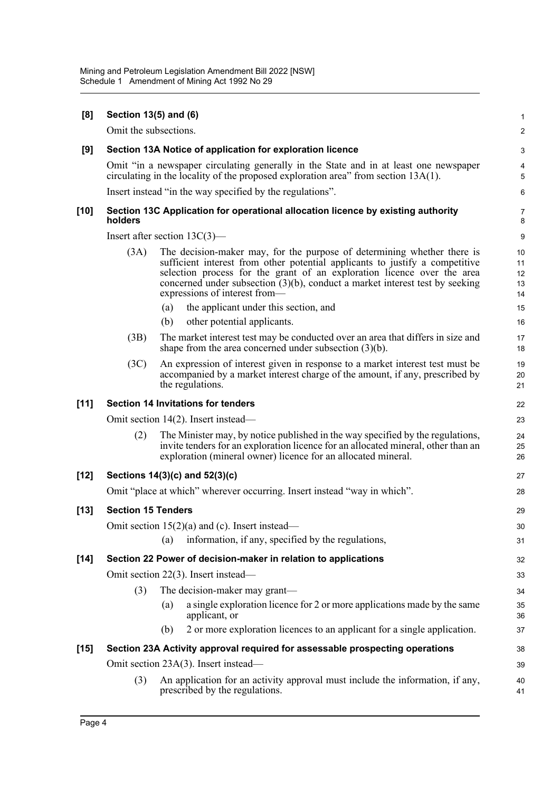| [8]    | Section 13(5) and (6)           |     |                                                                                                                                                                                                                                                                                                                                                        | $\mathbf 1$                |
|--------|---------------------------------|-----|--------------------------------------------------------------------------------------------------------------------------------------------------------------------------------------------------------------------------------------------------------------------------------------------------------------------------------------------------------|----------------------------|
|        | Omit the subsections.           |     |                                                                                                                                                                                                                                                                                                                                                        | $\boldsymbol{2}$           |
| [9]    |                                 |     | Section 13A Notice of application for exploration licence                                                                                                                                                                                                                                                                                              | 3                          |
|        |                                 |     | Omit "in a newspaper circulating generally in the State and in at least one newspaper<br>circulating in the locality of the proposed exploration area" from section $13A(1)$ .                                                                                                                                                                         | 4<br>5                     |
|        |                                 |     | Insert instead "in the way specified by the regulations".                                                                                                                                                                                                                                                                                              | 6                          |
| $[10]$ | holders                         |     | Section 13C Application for operational allocation licence by existing authority                                                                                                                                                                                                                                                                       | $\overline{7}$<br>8        |
|        | Insert after section $13C(3)$ — |     |                                                                                                                                                                                                                                                                                                                                                        | 9                          |
|        | (3A)                            |     | The decision-maker may, for the purpose of determining whether there is<br>sufficient interest from other potential applicants to justify a competitive<br>selection process for the grant of an exploration licence over the area<br>concerned under subsection $(3)(b)$ , conduct a market interest test by seeking<br>expressions of interest from- | 10<br>11<br>12<br>13<br>14 |
|        |                                 | (a) | the applicant under this section, and                                                                                                                                                                                                                                                                                                                  | 15                         |
|        |                                 | (b) | other potential applicants.                                                                                                                                                                                                                                                                                                                            | 16                         |
|        | (3B)                            |     | The market interest test may be conducted over an area that differs in size and<br>shape from the area concerned under subsection $(3)(b)$ .                                                                                                                                                                                                           | 17<br>18                   |
|        | (3C)                            |     | An expression of interest given in response to a market interest test must be<br>accompanied by a market interest charge of the amount, if any, prescribed by<br>the regulations.                                                                                                                                                                      | 19<br>20<br>21             |
| [11]   |                                 |     | <b>Section 14 Invitations for tenders</b>                                                                                                                                                                                                                                                                                                              | 22                         |
|        |                                 |     | Omit section 14(2). Insert instead—                                                                                                                                                                                                                                                                                                                    | 23                         |
|        | (2)                             |     | The Minister may, by notice published in the way specified by the regulations,<br>invite tenders for an exploration licence for an allocated mineral, other than an<br>exploration (mineral owner) licence for an allocated mineral.                                                                                                                   | 24<br>25<br>26             |
| $[12]$ |                                 |     | Sections 14(3)(c) and 52(3)(c)                                                                                                                                                                                                                                                                                                                         | 27                         |
|        |                                 |     | Omit "place at which" wherever occurring. Insert instead "way in which".                                                                                                                                                                                                                                                                               | 28                         |
| $[13]$ | <b>Section 15 Tenders</b>       |     |                                                                                                                                                                                                                                                                                                                                                        | 29                         |
|        |                                 |     | Omit section $15(2)(a)$ and (c). Insert instead—                                                                                                                                                                                                                                                                                                       | $30\,$                     |
|        |                                 | (a) | information, if any, specified by the regulations,                                                                                                                                                                                                                                                                                                     | 31                         |
| $[14]$ |                                 |     | Section 22 Power of decision-maker in relation to applications                                                                                                                                                                                                                                                                                         | 32                         |
|        |                                 |     | Omit section 22(3). Insert instead—                                                                                                                                                                                                                                                                                                                    | 33                         |
|        | (3)                             |     | The decision-maker may grant—                                                                                                                                                                                                                                                                                                                          | 34                         |
|        |                                 | (a) | a single exploration licence for 2 or more applications made by the same<br>applicant, or                                                                                                                                                                                                                                                              | 35<br>36                   |
|        |                                 | (b) | 2 or more exploration licences to an applicant for a single application.                                                                                                                                                                                                                                                                               | 37                         |
| $[15]$ |                                 |     | Section 23A Activity approval required for assessable prospecting operations                                                                                                                                                                                                                                                                           | 38                         |
|        |                                 |     | Omit section 23A(3). Insert instead—                                                                                                                                                                                                                                                                                                                   | 39                         |
|        | (3)                             |     | An application for an activity approval must include the information, if any,<br>prescribed by the regulations.                                                                                                                                                                                                                                        | 40<br>41                   |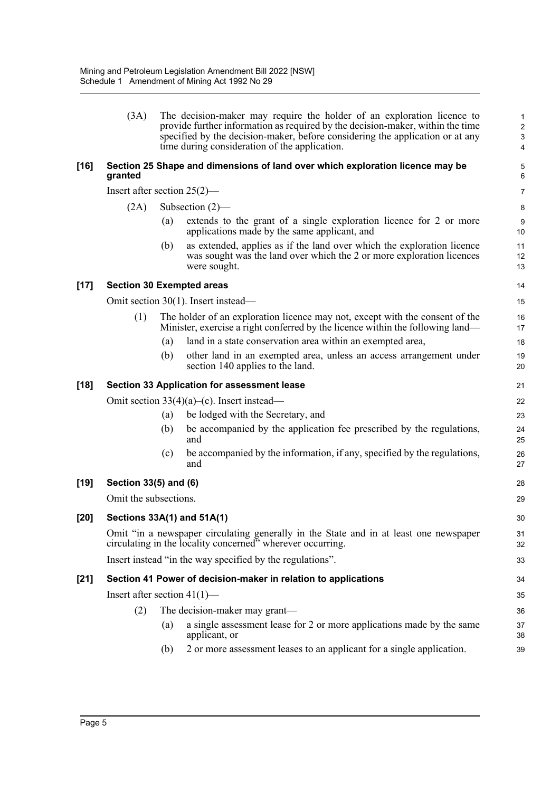|        | (3A)                           |     | The decision-maker may require the holder of an exploration licence to<br>provide further information as required by the decision-maker, within the time<br>specified by the decision-maker, before considering the application or at any<br>time during consideration of the application. | 1<br>$\overline{\mathbf{c}}$<br>3<br>4 |
|--------|--------------------------------|-----|--------------------------------------------------------------------------------------------------------------------------------------------------------------------------------------------------------------------------------------------------------------------------------------------|----------------------------------------|
| $[16]$ | granted                        |     | Section 25 Shape and dimensions of land over which exploration licence may be                                                                                                                                                                                                              | 5<br>6                                 |
|        | Insert after section $25(2)$ — |     |                                                                                                                                                                                                                                                                                            | 7                                      |
|        | (2A)                           |     | Subsection $(2)$ —                                                                                                                                                                                                                                                                         | 8                                      |
|        |                                | (a) | extends to the grant of a single exploration licence for 2 or more<br>applications made by the same applicant, and                                                                                                                                                                         | 9<br>10                                |
|        |                                | (b) | as extended, applies as if the land over which the exploration licence<br>was sought was the land over which the 2 or more exploration licences<br>were sought.                                                                                                                            | 11<br>12<br>13                         |
| $[17]$ |                                |     | <b>Section 30 Exempted areas</b>                                                                                                                                                                                                                                                           | 14                                     |
|        |                                |     | Omit section 30(1). Insert instead—                                                                                                                                                                                                                                                        | 15                                     |
|        | (1)                            |     | The holder of an exploration licence may not, except with the consent of the<br>Minister, exercise a right conferred by the licence within the following land—                                                                                                                             | 16<br>17                               |
|        |                                | (a) | land in a state conservation area within an exempted area,                                                                                                                                                                                                                                 | 18                                     |
|        |                                | (b) | other land in an exempted area, unless an access arrangement under<br>section 140 applies to the land.                                                                                                                                                                                     | 19<br>20                               |
| $[18]$ |                                |     | Section 33 Application for assessment lease                                                                                                                                                                                                                                                | 21                                     |
|        |                                |     | Omit section $33(4)(a)$ –(c). Insert instead—                                                                                                                                                                                                                                              | 22                                     |
|        |                                | (a) | be lodged with the Secretary, and                                                                                                                                                                                                                                                          | 23                                     |
|        |                                | (b) | be accompanied by the application fee prescribed by the regulations,<br>and                                                                                                                                                                                                                | 24<br>25                               |
|        |                                | (c) | be accompanied by the information, if any, specified by the regulations,<br>and                                                                                                                                                                                                            | 26<br>27                               |
| $[19]$ | Section 33(5) and (6)          |     |                                                                                                                                                                                                                                                                                            | 28                                     |
|        | Omit the subsections.          |     |                                                                                                                                                                                                                                                                                            | 29                                     |
| $[20]$ |                                |     | Sections 33A(1) and 51A(1)                                                                                                                                                                                                                                                                 | 30                                     |
|        |                                |     | Omit "in a newspaper circulating generally in the State and in at least one newspaper circulating in the locality concerned" wherever occurring.                                                                                                                                           | 31<br>32                               |
|        |                                |     | Insert instead "in the way specified by the regulations".                                                                                                                                                                                                                                  | 33                                     |
| $[21]$ |                                |     | Section 41 Power of decision-maker in relation to applications                                                                                                                                                                                                                             | 34                                     |
|        | Insert after section $41(1)$ — |     |                                                                                                                                                                                                                                                                                            | 35                                     |
|        | (2)                            |     | The decision-maker may grant—                                                                                                                                                                                                                                                              | 36                                     |
|        |                                | (a) | a single assessment lease for 2 or more applications made by the same<br>applicant, or                                                                                                                                                                                                     | 37<br>38                               |
|        |                                | (b) | 2 or more assessment leases to an applicant for a single application.                                                                                                                                                                                                                      | 39                                     |
|        |                                |     |                                                                                                                                                                                                                                                                                            |                                        |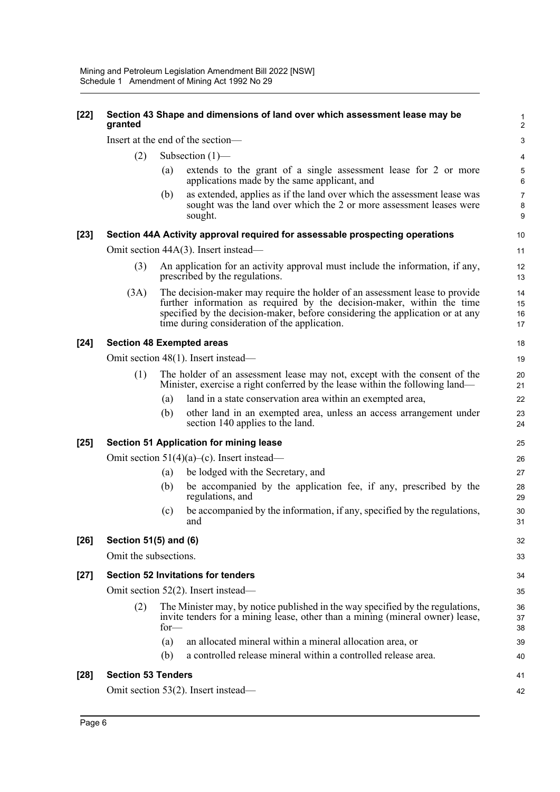| $[22]$ | granted                             |        | Section 43 Shape and dimensions of land over which assessment lease may be                                                                                                                                                                                                              | $\mathbf 1$<br>$\overline{2}$ |  |  |
|--------|-------------------------------------|--------|-----------------------------------------------------------------------------------------------------------------------------------------------------------------------------------------------------------------------------------------------------------------------------------------|-------------------------------|--|--|
|        |                                     |        | Insert at the end of the section-                                                                                                                                                                                                                                                       | $\mathsf 3$                   |  |  |
|        | (2)                                 |        | Subsection $(1)$ —                                                                                                                                                                                                                                                                      | $\overline{\mathbf{4}}$       |  |  |
|        |                                     | (a)    | extends to the grant of a single assessment lease for 2 or more<br>applications made by the same applicant, and                                                                                                                                                                         | 5<br>6                        |  |  |
|        |                                     | (b)    | as extended, applies as if the land over which the assessment lease was<br>sought was the land over which the 2 or more assessment leases were<br>sought.                                                                                                                               | $\overline{7}$<br>8<br>9      |  |  |
| $[23]$ |                                     |        | Section 44A Activity approval required for assessable prospecting operations                                                                                                                                                                                                            | 10                            |  |  |
|        |                                     |        | Omit section 44A(3). Insert instead—                                                                                                                                                                                                                                                    | 11                            |  |  |
|        | (3)                                 |        | An application for an activity approval must include the information, if any,<br>prescribed by the regulations.                                                                                                                                                                         | 12<br>13                      |  |  |
|        | (3A)                                |        | The decision-maker may require the holder of an assessment lease to provide<br>further information as required by the decision-maker, within the time<br>specified by the decision-maker, before considering the application or at any<br>time during consideration of the application. | 14<br>15<br>16<br>17          |  |  |
| $[24]$ |                                     |        | <b>Section 48 Exempted areas</b>                                                                                                                                                                                                                                                        | 18                            |  |  |
|        | Omit section 48(1). Insert instead— |        |                                                                                                                                                                                                                                                                                         |                               |  |  |
|        | (1)                                 |        | The holder of an assessment lease may not, except with the consent of the<br>Minister, exercise a right conferred by the lease within the following land—                                                                                                                               | 20<br>21                      |  |  |
|        |                                     | (a)    | land in a state conservation area within an exempted area,                                                                                                                                                                                                                              | 22                            |  |  |
|        |                                     | (b)    | other land in an exempted area, unless an access arrangement under<br>section 140 applies to the land.                                                                                                                                                                                  | 23<br>24                      |  |  |
| $[25]$ |                                     |        | <b>Section 51 Application for mining lease</b>                                                                                                                                                                                                                                          | 25                            |  |  |
|        |                                     |        | Omit section $51(4)(a)$ –(c). Insert instead—                                                                                                                                                                                                                                           | 26                            |  |  |
|        |                                     | (a)    | be lodged with the Secretary, and                                                                                                                                                                                                                                                       | 27                            |  |  |
|        |                                     | (b)    | be accompanied by the application fee, if any, prescribed by the<br>regulations, and                                                                                                                                                                                                    | 28<br>29                      |  |  |
|        |                                     | (c)    | be accompanied by the information, if any, specified by the regulations,<br>and                                                                                                                                                                                                         | 30<br>31                      |  |  |
| $[26]$ | Section 51(5) and (6)               |        |                                                                                                                                                                                                                                                                                         | 32                            |  |  |
|        | Omit the subsections.               |        |                                                                                                                                                                                                                                                                                         | 33                            |  |  |
| $[27]$ |                                     |        | <b>Section 52 Invitations for tenders</b>                                                                                                                                                                                                                                               | 34                            |  |  |
|        |                                     |        | Omit section 52(2). Insert instead—                                                                                                                                                                                                                                                     | 35                            |  |  |
|        | (2)                                 | $for-$ | The Minister may, by notice published in the way specified by the regulations,<br>invite tenders for a mining lease, other than a mining (mineral owner) lease,                                                                                                                         | 36<br>37<br>38                |  |  |
|        |                                     | (a)    | an allocated mineral within a mineral allocation area, or                                                                                                                                                                                                                               | 39                            |  |  |
|        |                                     | (b)    | a controlled release mineral within a controlled release area.                                                                                                                                                                                                                          | 40                            |  |  |
| $[28]$ | <b>Section 53 Tenders</b>           |        |                                                                                                                                                                                                                                                                                         | 41                            |  |  |
|        |                                     |        | Omit section 53(2). Insert instead—                                                                                                                                                                                                                                                     | 42                            |  |  |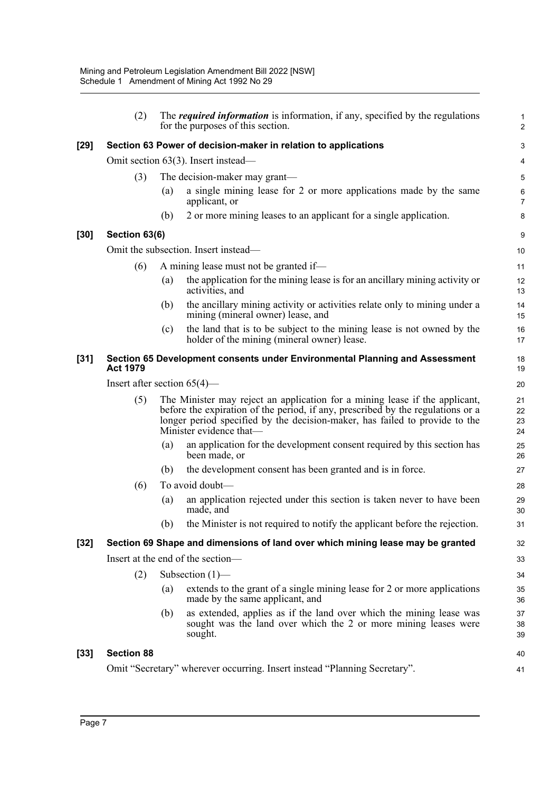|        | (2)                            |     | The <i>required information</i> is information, if any, specified by the regulations<br>for the purposes of this section.                                                                                                                                                | $\mathbf 1$<br>$\overline{2}$ |  |  |
|--------|--------------------------------|-----|--------------------------------------------------------------------------------------------------------------------------------------------------------------------------------------------------------------------------------------------------------------------------|-------------------------------|--|--|
| $[29]$ |                                |     | Section 63 Power of decision-maker in relation to applications                                                                                                                                                                                                           | 3                             |  |  |
|        |                                |     | Omit section $63(3)$ . Insert instead—                                                                                                                                                                                                                                   | 4                             |  |  |
|        | (3)                            |     | The decision-maker may grant—                                                                                                                                                                                                                                            | 5                             |  |  |
|        |                                | (a) | a single mining lease for 2 or more applications made by the same<br>applicant, or                                                                                                                                                                                       | 6<br>$\overline{7}$           |  |  |
|        |                                | (b) | 2 or more mining leases to an applicant for a single application.                                                                                                                                                                                                        | 8                             |  |  |
| $[30]$ | Section 63(6)                  |     |                                                                                                                                                                                                                                                                          | 9                             |  |  |
|        |                                |     | Omit the subsection. Insert instead—                                                                                                                                                                                                                                     | 10                            |  |  |
|        | (6)                            |     | A mining lease must not be granted if—                                                                                                                                                                                                                                   | 11                            |  |  |
|        |                                | (a) | the application for the mining lease is for an ancillary mining activity or<br>activities, and                                                                                                                                                                           | 12<br>13                      |  |  |
|        |                                | (b) | the ancillary mining activity or activities relate only to mining under a<br>mining (mineral owner) lease, and                                                                                                                                                           | 14<br>15                      |  |  |
|        |                                | (c) | the land that is to be subject to the mining lease is not owned by the<br>holder of the mining (mineral owner) lease.                                                                                                                                                    | 16<br>17                      |  |  |
| $[31]$ | <b>Act 1979</b>                |     | Section 65 Development consents under Environmental Planning and Assessment                                                                                                                                                                                              | 18<br>19                      |  |  |
|        | Insert after section $65(4)$ — |     |                                                                                                                                                                                                                                                                          |                               |  |  |
|        | (5)                            |     | The Minister may reject an application for a mining lease if the applicant,<br>before the expiration of the period, if any, prescribed by the regulations or a<br>longer period specified by the decision-maker, has failed to provide to the<br>Minister evidence that— | 21<br>22<br>23<br>24          |  |  |
|        |                                | (a) | an application for the development consent required by this section has<br>been made, or                                                                                                                                                                                 | 25<br>26                      |  |  |
|        |                                | (b) | the development consent has been granted and is in force.                                                                                                                                                                                                                | 27                            |  |  |
|        | (6)                            |     | To avoid doubt-                                                                                                                                                                                                                                                          | 28                            |  |  |
|        |                                | (a) | an application rejected under this section is taken never to have been<br>made, and                                                                                                                                                                                      | 29<br>30                      |  |  |
|        |                                | (b) | the Minister is not required to notify the applicant before the rejection.                                                                                                                                                                                               | 31                            |  |  |
| $[32]$ |                                |     | Section 69 Shape and dimensions of land over which mining lease may be granted                                                                                                                                                                                           | 32                            |  |  |
|        |                                |     | Insert at the end of the section-                                                                                                                                                                                                                                        | 33                            |  |  |
|        | (2)                            |     | Subsection $(1)$ —                                                                                                                                                                                                                                                       | 34                            |  |  |
|        |                                | (a) | extends to the grant of a single mining lease for 2 or more applications<br>made by the same applicant, and                                                                                                                                                              | 35<br>36                      |  |  |
|        |                                | (b) | as extended, applies as if the land over which the mining lease was<br>sought was the land over which the 2 or more mining leases were<br>sought.                                                                                                                        | 37<br>38<br>39                |  |  |
| $[33]$ | <b>Section 88</b>              |     |                                                                                                                                                                                                                                                                          | 40                            |  |  |
|        |                                |     | Omit "Secretary" wherever occurring. Insert instead "Planning Secretary".                                                                                                                                                                                                | 41                            |  |  |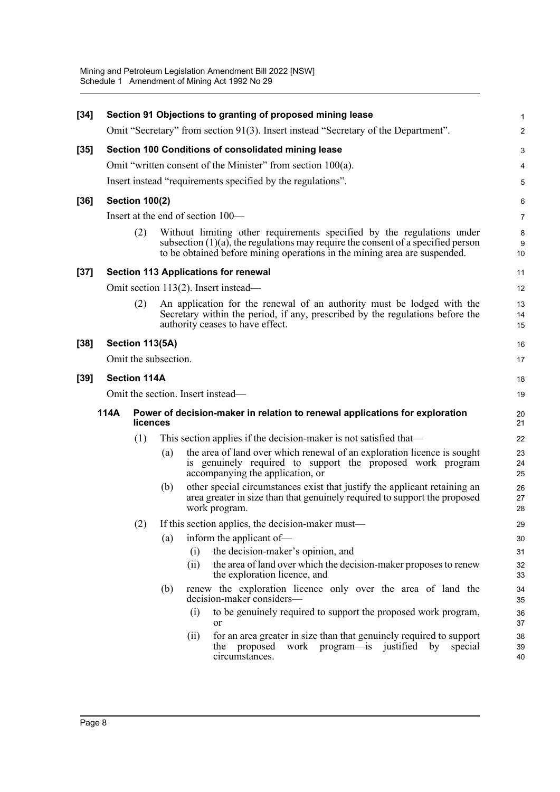| $[34]$ |      |                       |     |                                   | Section 91 Objections to granting of proposed mining lease                                                                                                                                                                                 | 1                |
|--------|------|-----------------------|-----|-----------------------------------|--------------------------------------------------------------------------------------------------------------------------------------------------------------------------------------------------------------------------------------------|------------------|
|        |      |                       |     |                                   | Omit "Secretary" from section 91(3). Insert instead "Secretary of the Department".                                                                                                                                                         | $\boldsymbol{2}$ |
| $[35]$ |      |                       |     |                                   | Section 100 Conditions of consolidated mining lease                                                                                                                                                                                        | 3                |
|        |      |                       |     |                                   | Omit "written consent of the Minister" from section 100(a).                                                                                                                                                                                | 4                |
|        |      |                       |     |                                   | Insert instead "requirements specified by the regulations".                                                                                                                                                                                | 5                |
| $[36]$ |      | <b>Section 100(2)</b> |     |                                   |                                                                                                                                                                                                                                            | 6                |
|        |      |                       |     | Insert at the end of section 100— |                                                                                                                                                                                                                                            | 7                |
|        |      | (2)                   |     |                                   | Without limiting other requirements specified by the regulations under<br>subsection $(1)(a)$ , the regulations may require the consent of a specified person<br>to be obtained before mining operations in the mining area are suspended. | 8<br>9<br>10     |
| $[37]$ |      |                       |     |                                   | <b>Section 113 Applications for renewal</b>                                                                                                                                                                                                | 11               |
|        |      |                       |     |                                   | Omit section 113(2). Insert instead—                                                                                                                                                                                                       | 12               |
|        |      | (2)                   |     |                                   | An application for the renewal of an authority must be lodged with the<br>Secretary within the period, if any, prescribed by the regulations before the<br>authority ceases to have effect.                                                | 13<br>14<br>15   |
| $[38]$ |      | Section 113(5A)       |     |                                   |                                                                                                                                                                                                                                            | 16               |
|        |      | Omit the subsection.  |     |                                   |                                                                                                                                                                                                                                            | 17               |
| $[39]$ |      | <b>Section 114A</b>   |     |                                   |                                                                                                                                                                                                                                            | 18               |
|        |      |                       |     | Omit the section. Insert instead— |                                                                                                                                                                                                                                            | 19               |
|        | 114A | licences              |     |                                   | Power of decision-maker in relation to renewal applications for exploration                                                                                                                                                                | 20<br>21         |
|        |      | (1)                   |     |                                   | This section applies if the decision-maker is not satisfied that—                                                                                                                                                                          | 22               |
|        |      |                       | (a) |                                   | the area of land over which renewal of an exploration licence is sought<br>is genuinely required to support the proposed work program<br>accompanying the application, or                                                                  | 23<br>24<br>25   |
|        |      |                       | (b) | work program.                     | other special circumstances exist that justify the applicant retaining an<br>area greater in size than that genuinely required to support the proposed                                                                                     | 26<br>27<br>28   |
|        |      | (2)                   |     |                                   | If this section applies, the decision-maker must—                                                                                                                                                                                          | 29               |
|        |      |                       | (a) |                                   | inform the applicant of-                                                                                                                                                                                                                   | 30               |
|        |      |                       |     | (i)                               | the decision-maker's opinion, and                                                                                                                                                                                                          | 31               |
|        |      |                       |     | (ii)                              | the area of land over which the decision-maker proposes to renew<br>the exploration licence, and                                                                                                                                           | 32<br>33         |
|        |      |                       | (b) |                                   | renew the exploration licence only over the area of land the<br>decision-maker considers-                                                                                                                                                  | 34<br>35         |
|        |      |                       |     | (i)<br>or                         | to be genuinely required to support the proposed work program,                                                                                                                                                                             | 36<br>37         |
|        |      |                       |     | (ii)                              | for an area greater in size than that genuinely required to support<br>proposed<br>work<br>program—is justified by special<br>the<br>circumstances.                                                                                        | 38<br>39<br>40   |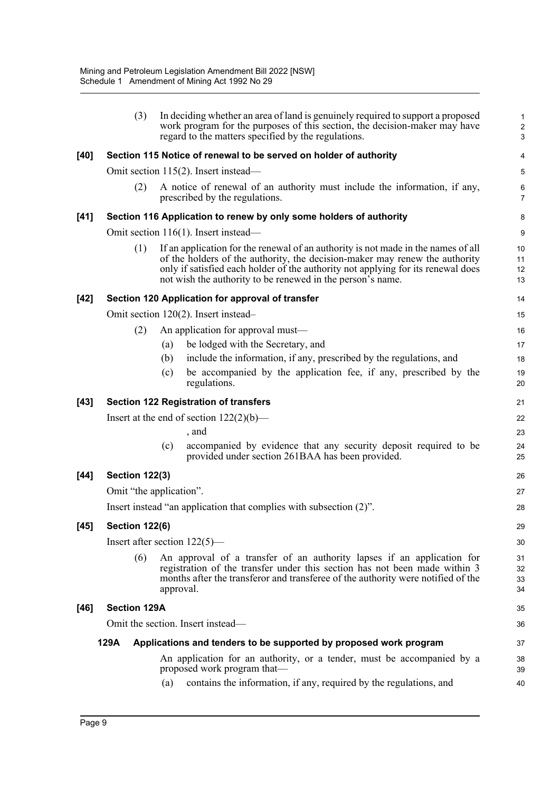|        | (3)                   | In deciding whether an area of land is genuinely required to support a proposed<br>work program for the purposes of this section, the decision-maker may have<br>regard to the matters specified by the regulations.                                                                                               | 1<br>$\overline{c}$<br>$\mathbf{3}$ |
|--------|-----------------------|--------------------------------------------------------------------------------------------------------------------------------------------------------------------------------------------------------------------------------------------------------------------------------------------------------------------|-------------------------------------|
| $[40]$ |                       | Section 115 Notice of renewal to be served on holder of authority                                                                                                                                                                                                                                                  | 4                                   |
|        |                       | Omit section 115(2). Insert instead—                                                                                                                                                                                                                                                                               | 5                                   |
|        | (2)                   | A notice of renewal of an authority must include the information, if any,<br>prescribed by the regulations.                                                                                                                                                                                                        | 6<br>$\overline{7}$                 |
| $[41]$ |                       | Section 116 Application to renew by only some holders of authority                                                                                                                                                                                                                                                 | 8                                   |
|        |                       | Omit section 116(1). Insert instead—                                                                                                                                                                                                                                                                               | 9                                   |
|        | (1)                   | If an application for the renewal of an authority is not made in the names of all<br>of the holders of the authority, the decision-maker may renew the authority<br>only if satisfied each holder of the authority not applying for its renewal does<br>not wish the authority to be renewed in the person's name. | 10<br>11<br>12<br>13                |
| $[42]$ |                       | Section 120 Application for approval of transfer                                                                                                                                                                                                                                                                   | 14                                  |
|        |                       | Omit section 120(2). Insert instead-                                                                                                                                                                                                                                                                               | 15                                  |
|        | (2)                   | An application for approval must—                                                                                                                                                                                                                                                                                  | 16                                  |
|        |                       | be lodged with the Secretary, and<br>(a)                                                                                                                                                                                                                                                                           | 17                                  |
|        |                       | include the information, if any, prescribed by the regulations, and<br>(b)                                                                                                                                                                                                                                         | 18                                  |
|        |                       | be accompanied by the application fee, if any, prescribed by the<br>(c)<br>regulations.                                                                                                                                                                                                                            | 19<br>20                            |
| $[43]$ |                       | <b>Section 122 Registration of transfers</b>                                                                                                                                                                                                                                                                       | 21                                  |
|        |                       | Insert at the end of section $122(2)(b)$ —                                                                                                                                                                                                                                                                         | 22                                  |
|        |                       | , and                                                                                                                                                                                                                                                                                                              | 23                                  |
|        |                       | accompanied by evidence that any security deposit required to be<br>(c)<br>provided under section 261BAA has been provided.                                                                                                                                                                                        | 24<br>25                            |
| $[44]$ | <b>Section 122(3)</b> |                                                                                                                                                                                                                                                                                                                    | 26                                  |
|        |                       | Omit "the application".                                                                                                                                                                                                                                                                                            | 27                                  |
|        |                       | Insert instead "an application that complies with subsection (2)".                                                                                                                                                                                                                                                 | 28                                  |
| [45]   | <b>Section 122(6)</b> |                                                                                                                                                                                                                                                                                                                    | 29                                  |
|        |                       | Insert after section $122(5)$ —                                                                                                                                                                                                                                                                                    | 30                                  |
|        | (6)                   | An approval of a transfer of an authority lapses if an application for<br>registration of the transfer under this section has not been made within 3<br>months after the transferor and transferee of the authority were notified of the<br>approval.                                                              | 31<br>32<br>33<br>34                |
| $[46]$ | <b>Section 129A</b>   |                                                                                                                                                                                                                                                                                                                    | 35                                  |
|        |                       | Omit the section. Insert instead—                                                                                                                                                                                                                                                                                  | 36                                  |
|        | 129A                  | Applications and tenders to be supported by proposed work program                                                                                                                                                                                                                                                  | 37                                  |
|        |                       | An application for an authority, or a tender, must be accompanied by a<br>proposed work program that—                                                                                                                                                                                                              | 38<br>39                            |
|        |                       | contains the information, if any, required by the regulations, and<br>(a)                                                                                                                                                                                                                                          | 40                                  |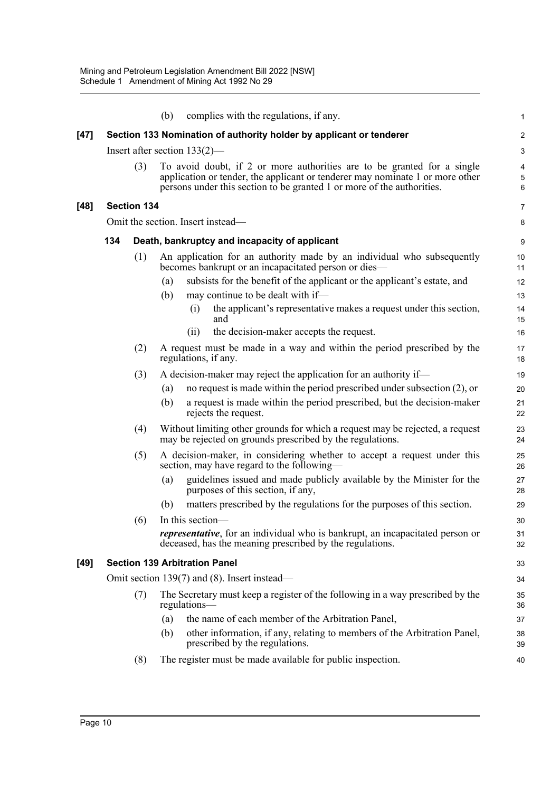|      |     |                    | complies with the regulations, if any.<br>(b)                                                                                                                                                                                      | 1              |
|------|-----|--------------------|------------------------------------------------------------------------------------------------------------------------------------------------------------------------------------------------------------------------------------|----------------|
| [47] |     |                    | Section 133 Nomination of authority holder by applicant or tenderer                                                                                                                                                                | $\overline{a}$ |
|      |     |                    | Insert after section $133(2)$ —                                                                                                                                                                                                    | 3              |
|      |     | (3)                | To avoid doubt, if 2 or more authorities are to be granted for a single<br>application or tender, the applicant or tenderer may nominate 1 or more other<br>persons under this section to be granted 1 or more of the authorities. | 4<br>5<br>6    |
| [48] |     | <b>Section 134</b> |                                                                                                                                                                                                                                    | 7              |
|      |     |                    | Omit the section. Insert instead—                                                                                                                                                                                                  | 8              |
|      | 134 |                    | Death, bankruptcy and incapacity of applicant                                                                                                                                                                                      | 9              |
|      |     | (1)                | An application for an authority made by an individual who subsequently<br>becomes bankrupt or an incapacitated person or dies-                                                                                                     | 10<br>11       |
|      |     |                    | subsists for the benefit of the applicant or the applicant's estate, and<br>(a)                                                                                                                                                    | 12             |
|      |     |                    | (b)<br>may continue to be dealt with if-                                                                                                                                                                                           | 13             |
|      |     |                    | the applicant's representative makes a request under this section,<br>(i)<br>and                                                                                                                                                   | 14<br>15       |
|      |     |                    | the decision-maker accepts the request.<br>(ii)                                                                                                                                                                                    | 16             |
|      |     | (2)                | A request must be made in a way and within the period prescribed by the<br>regulations, if any.                                                                                                                                    | 17<br>18       |
|      |     | (3)                | A decision-maker may reject the application for an authority if—                                                                                                                                                                   | 19             |
|      |     |                    | no request is made within the period prescribed under subsection $(2)$ , or<br>(a)                                                                                                                                                 | 20             |
|      |     |                    | (b)<br>a request is made within the period prescribed, but the decision-maker<br>rejects the request.                                                                                                                              | 21<br>22       |
|      |     | (4)                | Without limiting other grounds for which a request may be rejected, a request<br>may be rejected on grounds prescribed by the regulations.                                                                                         | 23<br>24       |
|      |     | (5)                | A decision-maker, in considering whether to accept a request under this<br>section, may have regard to the following—                                                                                                              | 25<br>26       |
|      |     |                    | guidelines issued and made publicly available by the Minister for the<br>(a)<br>purposes of this section, if any,                                                                                                                  | 27<br>28       |
|      |     |                    | matters prescribed by the regulations for the purposes of this section.<br>(b)                                                                                                                                                     | 29             |
|      |     | (6)                | In this section-                                                                                                                                                                                                                   | 30             |
|      |     |                    | <i>representative</i> , for an individual who is bankrupt, an incapacitated person or<br>deceased, has the meaning prescribed by the regulations.                                                                                  | 31<br>32       |
| [49] |     |                    | <b>Section 139 Arbitration Panel</b>                                                                                                                                                                                               | 33             |
|      |     |                    | Omit section 139(7) and (8). Insert instead—                                                                                                                                                                                       | 34             |
|      |     | (7)                | The Secretary must keep a register of the following in a way prescribed by the<br>regulations-                                                                                                                                     | 35<br>36       |
|      |     |                    | (a)<br>the name of each member of the Arbitration Panel,                                                                                                                                                                           | 37             |
|      |     |                    | other information, if any, relating to members of the Arbitration Panel,<br>(b)<br>prescribed by the regulations.                                                                                                                  | 38<br>39       |
|      |     | (8)                | The register must be made available for public inspection.                                                                                                                                                                         | 40             |
|      |     |                    |                                                                                                                                                                                                                                    |                |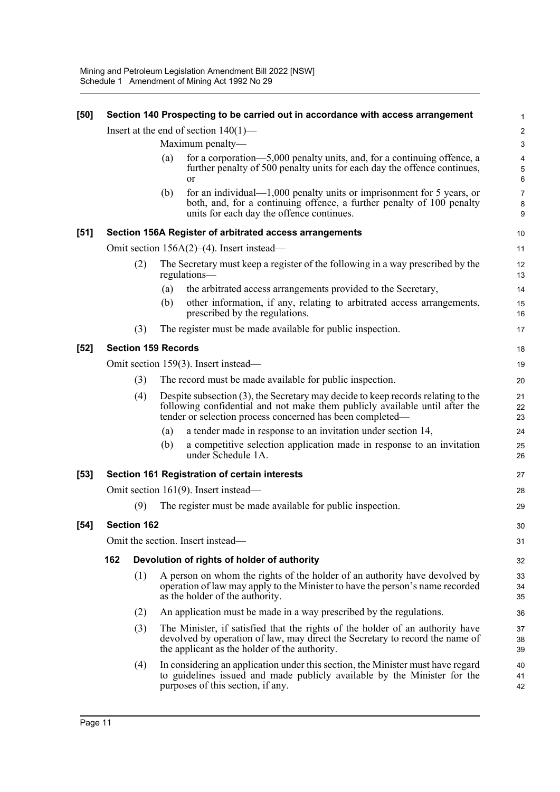|                                                                 |     |     |                                                                                                                                                                                                | 1                                                                                                                                                                                                                                                                                                                                                                                                                                                                                                                                                                                                                                                                                                                                                                                                                                                                                                                                                                                                                                                                                                                                                                                                                                                                                                                                                                                                                                                                                                                                                                                                                                                                                                                                                   |  |  |
|-----------------------------------------------------------------|-----|-----|------------------------------------------------------------------------------------------------------------------------------------------------------------------------------------------------|-----------------------------------------------------------------------------------------------------------------------------------------------------------------------------------------------------------------------------------------------------------------------------------------------------------------------------------------------------------------------------------------------------------------------------------------------------------------------------------------------------------------------------------------------------------------------------------------------------------------------------------------------------------------------------------------------------------------------------------------------------------------------------------------------------------------------------------------------------------------------------------------------------------------------------------------------------------------------------------------------------------------------------------------------------------------------------------------------------------------------------------------------------------------------------------------------------------------------------------------------------------------------------------------------------------------------------------------------------------------------------------------------------------------------------------------------------------------------------------------------------------------------------------------------------------------------------------------------------------------------------------------------------------------------------------------------------------------------------------------------------|--|--|
|                                                                 |     |     |                                                                                                                                                                                                | $\overline{\mathbf{c}}$                                                                                                                                                                                                                                                                                                                                                                                                                                                                                                                                                                                                                                                                                                                                                                                                                                                                                                                                                                                                                                                                                                                                                                                                                                                                                                                                                                                                                                                                                                                                                                                                                                                                                                                             |  |  |
|                                                                 |     |     |                                                                                                                                                                                                | $\mathsf 3$                                                                                                                                                                                                                                                                                                                                                                                                                                                                                                                                                                                                                                                                                                                                                                                                                                                                                                                                                                                                                                                                                                                                                                                                                                                                                                                                                                                                                                                                                                                                                                                                                                                                                                                                         |  |  |
|                                                                 |     |     | further penalty of 500 penalty units for each day the offence continues,<br><sub>or</sub>                                                                                                      | $\overline{\mathbf{4}}$<br>5<br>6                                                                                                                                                                                                                                                                                                                                                                                                                                                                                                                                                                                                                                                                                                                                                                                                                                                                                                                                                                                                                                                                                                                                                                                                                                                                                                                                                                                                                                                                                                                                                                                                                                                                                                                   |  |  |
|                                                                 |     | (b) | for an individual— $1,000$ penalty units or imprisonment for 5 years, or<br>both, and, for a continuing offence, a further penalty of 100 penalty<br>units for each day the offence continues. | $\overline{7}$<br>8<br>9                                                                                                                                                                                                                                                                                                                                                                                                                                                                                                                                                                                                                                                                                                                                                                                                                                                                                                                                                                                                                                                                                                                                                                                                                                                                                                                                                                                                                                                                                                                                                                                                                                                                                                                            |  |  |
|                                                                 |     |     |                                                                                                                                                                                                | 10                                                                                                                                                                                                                                                                                                                                                                                                                                                                                                                                                                                                                                                                                                                                                                                                                                                                                                                                                                                                                                                                                                                                                                                                                                                                                                                                                                                                                                                                                                                                                                                                                                                                                                                                                  |  |  |
|                                                                 |     |     |                                                                                                                                                                                                | 11                                                                                                                                                                                                                                                                                                                                                                                                                                                                                                                                                                                                                                                                                                                                                                                                                                                                                                                                                                                                                                                                                                                                                                                                                                                                                                                                                                                                                                                                                                                                                                                                                                                                                                                                                  |  |  |
|                                                                 | (2) |     |                                                                                                                                                                                                | 12<br>13                                                                                                                                                                                                                                                                                                                                                                                                                                                                                                                                                                                                                                                                                                                                                                                                                                                                                                                                                                                                                                                                                                                                                                                                                                                                                                                                                                                                                                                                                                                                                                                                                                                                                                                                            |  |  |
|                                                                 |     | (a) | the arbitrated access arrangements provided to the Secretary,                                                                                                                                  | 14                                                                                                                                                                                                                                                                                                                                                                                                                                                                                                                                                                                                                                                                                                                                                                                                                                                                                                                                                                                                                                                                                                                                                                                                                                                                                                                                                                                                                                                                                                                                                                                                                                                                                                                                                  |  |  |
|                                                                 |     | (b) | prescribed by the regulations.                                                                                                                                                                 | 15<br>16                                                                                                                                                                                                                                                                                                                                                                                                                                                                                                                                                                                                                                                                                                                                                                                                                                                                                                                                                                                                                                                                                                                                                                                                                                                                                                                                                                                                                                                                                                                                                                                                                                                                                                                                            |  |  |
|                                                                 | (3) |     |                                                                                                                                                                                                | 17                                                                                                                                                                                                                                                                                                                                                                                                                                                                                                                                                                                                                                                                                                                                                                                                                                                                                                                                                                                                                                                                                                                                                                                                                                                                                                                                                                                                                                                                                                                                                                                                                                                                                                                                                  |  |  |
|                                                                 |     |     |                                                                                                                                                                                                | 18                                                                                                                                                                                                                                                                                                                                                                                                                                                                                                                                                                                                                                                                                                                                                                                                                                                                                                                                                                                                                                                                                                                                                                                                                                                                                                                                                                                                                                                                                                                                                                                                                                                                                                                                                  |  |  |
| Omit section 159(3). Insert instead—                            |     |     |                                                                                                                                                                                                |                                                                                                                                                                                                                                                                                                                                                                                                                                                                                                                                                                                                                                                                                                                                                                                                                                                                                                                                                                                                                                                                                                                                                                                                                                                                                                                                                                                                                                                                                                                                                                                                                                                                                                                                                     |  |  |
| The record must be made available for public inspection.<br>(3) |     |     |                                                                                                                                                                                                | 20                                                                                                                                                                                                                                                                                                                                                                                                                                                                                                                                                                                                                                                                                                                                                                                                                                                                                                                                                                                                                                                                                                                                                                                                                                                                                                                                                                                                                                                                                                                                                                                                                                                                                                                                                  |  |  |
|                                                                 | (4) |     |                                                                                                                                                                                                | 21<br>22<br>23                                                                                                                                                                                                                                                                                                                                                                                                                                                                                                                                                                                                                                                                                                                                                                                                                                                                                                                                                                                                                                                                                                                                                                                                                                                                                                                                                                                                                                                                                                                                                                                                                                                                                                                                      |  |  |
|                                                                 |     | (a) | a tender made in response to an invitation under section 14,                                                                                                                                   | 24                                                                                                                                                                                                                                                                                                                                                                                                                                                                                                                                                                                                                                                                                                                                                                                                                                                                                                                                                                                                                                                                                                                                                                                                                                                                                                                                                                                                                                                                                                                                                                                                                                                                                                                                                  |  |  |
|                                                                 |     | (b) | a competitive selection application made in response to an invitation<br>under Schedule 1A.                                                                                                    | 25<br>26                                                                                                                                                                                                                                                                                                                                                                                                                                                                                                                                                                                                                                                                                                                                                                                                                                                                                                                                                                                                                                                                                                                                                                                                                                                                                                                                                                                                                                                                                                                                                                                                                                                                                                                                            |  |  |
|                                                                 |     |     |                                                                                                                                                                                                | 27                                                                                                                                                                                                                                                                                                                                                                                                                                                                                                                                                                                                                                                                                                                                                                                                                                                                                                                                                                                                                                                                                                                                                                                                                                                                                                                                                                                                                                                                                                                                                                                                                                                                                                                                                  |  |  |
|                                                                 |     |     |                                                                                                                                                                                                | 28                                                                                                                                                                                                                                                                                                                                                                                                                                                                                                                                                                                                                                                                                                                                                                                                                                                                                                                                                                                                                                                                                                                                                                                                                                                                                                                                                                                                                                                                                                                                                                                                                                                                                                                                                  |  |  |
|                                                                 | (9) |     |                                                                                                                                                                                                | 29                                                                                                                                                                                                                                                                                                                                                                                                                                                                                                                                                                                                                                                                                                                                                                                                                                                                                                                                                                                                                                                                                                                                                                                                                                                                                                                                                                                                                                                                                                                                                                                                                                                                                                                                                  |  |  |
|                                                                 |     |     |                                                                                                                                                                                                | 30                                                                                                                                                                                                                                                                                                                                                                                                                                                                                                                                                                                                                                                                                                                                                                                                                                                                                                                                                                                                                                                                                                                                                                                                                                                                                                                                                                                                                                                                                                                                                                                                                                                                                                                                                  |  |  |
| Omit the section. Insert instead-                               |     |     |                                                                                                                                                                                                |                                                                                                                                                                                                                                                                                                                                                                                                                                                                                                                                                                                                                                                                                                                                                                                                                                                                                                                                                                                                                                                                                                                                                                                                                                                                                                                                                                                                                                                                                                                                                                                                                                                                                                                                                     |  |  |
| 162                                                             |     |     |                                                                                                                                                                                                |                                                                                                                                                                                                                                                                                                                                                                                                                                                                                                                                                                                                                                                                                                                                                                                                                                                                                                                                                                                                                                                                                                                                                                                                                                                                                                                                                                                                                                                                                                                                                                                                                                                                                                                                                     |  |  |
|                                                                 | (1) |     |                                                                                                                                                                                                | 33<br>34<br>35                                                                                                                                                                                                                                                                                                                                                                                                                                                                                                                                                                                                                                                                                                                                                                                                                                                                                                                                                                                                                                                                                                                                                                                                                                                                                                                                                                                                                                                                                                                                                                                                                                                                                                                                      |  |  |
|                                                                 |     |     |                                                                                                                                                                                                | 36                                                                                                                                                                                                                                                                                                                                                                                                                                                                                                                                                                                                                                                                                                                                                                                                                                                                                                                                                                                                                                                                                                                                                                                                                                                                                                                                                                                                                                                                                                                                                                                                                                                                                                                                                  |  |  |
|                                                                 | (3) |     |                                                                                                                                                                                                | 37<br>38<br>39                                                                                                                                                                                                                                                                                                                                                                                                                                                                                                                                                                                                                                                                                                                                                                                                                                                                                                                                                                                                                                                                                                                                                                                                                                                                                                                                                                                                                                                                                                                                                                                                                                                                                                                                      |  |  |
|                                                                 | (4) |     |                                                                                                                                                                                                | 40<br>41<br>42                                                                                                                                                                                                                                                                                                                                                                                                                                                                                                                                                                                                                                                                                                                                                                                                                                                                                                                                                                                                                                                                                                                                                                                                                                                                                                                                                                                                                                                                                                                                                                                                                                                                                                                                      |  |  |
|                                                                 |     | (2) | (a)<br><b>Section 162</b>                                                                                                                                                                      | Section 140 Prospecting to be carried out in accordance with access arrangement<br>Insert at the end of section $140(1)$ —<br>Maximum penalty-<br>for a corporation—5,000 penalty units, and, for a continuing offence, a<br>Section 156A Register of arbitrated access arrangements<br>Omit section $156A(2)$ (4). Insert instead—<br>The Secretary must keep a register of the following in a way prescribed by the<br>regulations-<br>other information, if any, relating to arbitrated access arrangements,<br>The register must be made available for public inspection.<br><b>Section 159 Records</b><br>Despite subsection (3), the Secretary may decide to keep records relating to the<br>following confidential and not make them publicly available until after the<br>tender or selection process concerned has been completed—<br>Section 161 Registration of certain interests<br>Omit section $161(9)$ . Insert instead—<br>The register must be made available for public inspection.<br>Devolution of rights of holder of authority<br>A person on whom the rights of the holder of an authority have devolved by<br>operation of law may apply to the Minister to have the person's name recorded<br>as the holder of the authority.<br>An application must be made in a way prescribed by the regulations.<br>The Minister, if satisfied that the rights of the holder of an authority have<br>devolved by operation of law, may direct the Secretary to record the name of<br>the applicant as the holder of the authority.<br>In considering an application under this section, the Minister must have regard<br>to guidelines issued and made publicly available by the Minister for the<br>purposes of this section, if any. |  |  |

**[50] Section 140 Prospecting to be carried out in accordance with access arrangement**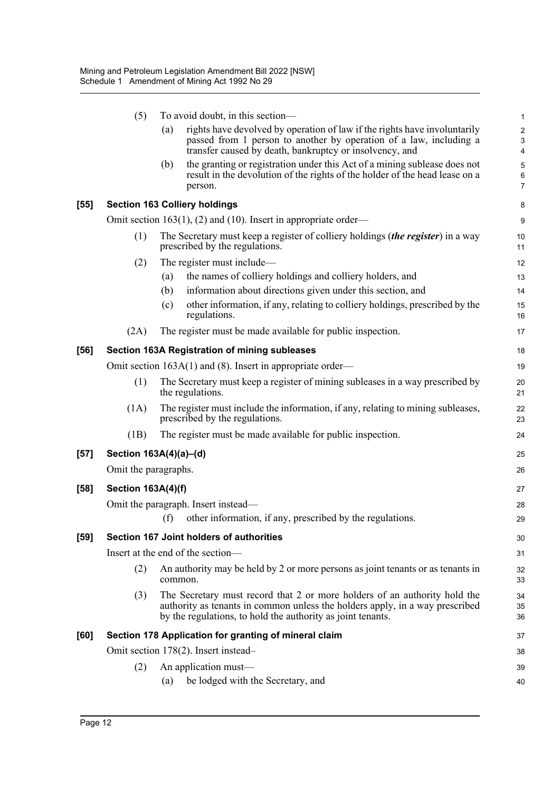|        | (5)                                 |         | To avoid doubt, in this section-                                                                                                                                                                                         | $\mathbf{1}$                                              |  |
|--------|-------------------------------------|---------|--------------------------------------------------------------------------------------------------------------------------------------------------------------------------------------------------------------------------|-----------------------------------------------------------|--|
|        |                                     | (a)     | rights have devolved by operation of law if the rights have involuntarily<br>passed from 1 person to another by operation of a law, including a<br>transfer caused by death, bankruptcy or insolvency, and               | $\sqrt{2}$<br>$\ensuremath{\mathsf{3}}$<br>$\overline{4}$ |  |
|        |                                     | (b)     | the granting or registration under this Act of a mining sublease does not<br>result in the devolution of the rights of the holder of the head lease on a<br>person.                                                      | 5<br>$\,6$<br>$\overline{7}$                              |  |
| $[55]$ |                                     |         | <b>Section 163 Colliery holdings</b>                                                                                                                                                                                     | 8                                                         |  |
|        |                                     |         | Omit section 163(1), (2) and (10). Insert in appropriate order—                                                                                                                                                          | 9                                                         |  |
|        | (1)                                 |         | The Secretary must keep a register of colliery holdings ( <i>the register</i> ) in a way<br>prescribed by the regulations.                                                                                               | 10<br>11                                                  |  |
|        | (2)                                 |         | The register must include—                                                                                                                                                                                               | 12                                                        |  |
|        |                                     | (a)     | the names of colliery holdings and colliery holders, and                                                                                                                                                                 | 13                                                        |  |
|        |                                     | (b)     | information about directions given under this section, and                                                                                                                                                               | 14                                                        |  |
|        |                                     | (c)     | other information, if any, relating to colliery holdings, prescribed by the<br>regulations.                                                                                                                              | 15<br>16                                                  |  |
|        | (2A)                                |         | The register must be made available for public inspection.                                                                                                                                                               | 17                                                        |  |
| $[56]$ |                                     |         | Section 163A Registration of mining subleases                                                                                                                                                                            | 18                                                        |  |
|        |                                     |         | Omit section $163A(1)$ and (8). Insert in appropriate order—                                                                                                                                                             | 19                                                        |  |
|        | (1)                                 |         | The Secretary must keep a register of mining subleases in a way prescribed by<br>the regulations.                                                                                                                        | 20<br>21                                                  |  |
|        | (1A)                                |         | The register must include the information, if any, relating to mining subleases,<br>prescribed by the regulations.                                                                                                       | 22<br>23                                                  |  |
|        | (1B)                                |         | The register must be made available for public inspection.                                                                                                                                                               | 24                                                        |  |
| $[57]$ | Section 163A(4)(a)-(d)              |         |                                                                                                                                                                                                                          | 25                                                        |  |
|        | Omit the paragraphs.                |         |                                                                                                                                                                                                                          | 26                                                        |  |
| [58]   | <b>Section 163A(4)(f)</b>           |         |                                                                                                                                                                                                                          | 27                                                        |  |
|        | Omit the paragraph. Insert instead— |         |                                                                                                                                                                                                                          |                                                           |  |
|        |                                     | (f)     | other information, if any, prescribed by the regulations.                                                                                                                                                                | 28<br>29                                                  |  |
| $[59]$ |                                     |         | Section 167 Joint holders of authorities                                                                                                                                                                                 | 30                                                        |  |
|        |                                     |         | Insert at the end of the section-                                                                                                                                                                                        | 31                                                        |  |
|        | (2)                                 | common. | An authority may be held by 2 or more persons as joint tenants or as tenants in                                                                                                                                          | 32<br>33                                                  |  |
|        | (3)                                 |         | The Secretary must record that 2 or more holders of an authority hold the<br>authority as tenants in common unless the holders apply, in a way prescribed<br>by the regulations, to hold the authority as joint tenants. | 34<br>35<br>36                                            |  |
| [60]   |                                     |         | Section 178 Application for granting of mineral claim                                                                                                                                                                    | 37                                                        |  |
|        |                                     |         | Omit section 178(2). Insert instead-                                                                                                                                                                                     | 38                                                        |  |
|        | (2)                                 |         | An application must-                                                                                                                                                                                                     | 39                                                        |  |
|        |                                     | (a)     | be lodged with the Secretary, and                                                                                                                                                                                        | 40                                                        |  |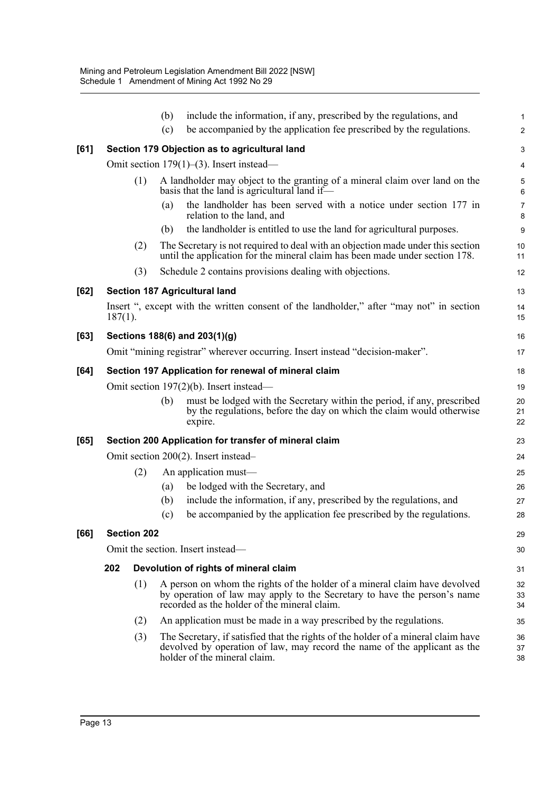|      |                                                      |                    | (b) | include the information, if any, prescribed by the regulations, and                                                                                                                                    | $\mathbf{1}$   |  |  |  |
|------|------------------------------------------------------|--------------------|-----|--------------------------------------------------------------------------------------------------------------------------------------------------------------------------------------------------------|----------------|--|--|--|
|      |                                                      |                    | (c) | be accompanied by the application fee prescribed by the regulations.                                                                                                                                   | $\overline{2}$ |  |  |  |
| [61] |                                                      |                    |     | Section 179 Objection as to agricultural land                                                                                                                                                          | 3              |  |  |  |
|      |                                                      |                    |     | Omit section $179(1)$ –(3). Insert instead—                                                                                                                                                            | $\overline{4}$ |  |  |  |
|      |                                                      | (1)                |     | A landholder may object to the granting of a mineral claim over land on the<br>basis that the land is agricultural land if-                                                                            | 5<br>6         |  |  |  |
|      |                                                      |                    | (a) | the landholder has been served with a notice under section 177 in<br>relation to the land, and                                                                                                         | 7<br>8         |  |  |  |
|      |                                                      |                    | (b) | the landholder is entitled to use the land for agricultural purposes.                                                                                                                                  | 9              |  |  |  |
|      |                                                      | (2)                |     | The Secretary is not required to deal with an objection made under this section<br>until the application for the mineral claim has been made under section 178.                                        | 10<br>11       |  |  |  |
|      |                                                      | (3)                |     | Schedule 2 contains provisions dealing with objections.                                                                                                                                                | 12             |  |  |  |
| [62] |                                                      |                    |     | Section 187 Agricultural land                                                                                                                                                                          | 13             |  |  |  |
|      | $187(1)$ .                                           |                    |     | Insert ", except with the written consent of the landholder," after "may not" in section                                                                                                               | 14<br>15       |  |  |  |
| [63] |                                                      |                    |     | Sections 188(6) and 203(1)(g)                                                                                                                                                                          | 16             |  |  |  |
|      |                                                      |                    |     | Omit "mining registrar" wherever occurring. Insert instead "decision-maker".                                                                                                                           | 17             |  |  |  |
| [64] | Section 197 Application for renewal of mineral claim |                    |     |                                                                                                                                                                                                        |                |  |  |  |
|      | Omit section 197(2)(b). Insert instead—              |                    |     |                                                                                                                                                                                                        |                |  |  |  |
|      |                                                      |                    | (b) | must be lodged with the Secretary within the period, if any, prescribed<br>by the regulations, before the day on which the claim would otherwise<br>expire.                                            | 20<br>21<br>22 |  |  |  |
| [65] |                                                      |                    |     | Section 200 Application for transfer of mineral claim                                                                                                                                                  | 23             |  |  |  |
|      |                                                      |                    |     | Omit section 200(2). Insert instead-                                                                                                                                                                   | 24             |  |  |  |
|      |                                                      | (2)                |     | An application must—                                                                                                                                                                                   | 25             |  |  |  |
|      |                                                      |                    | (a) | be lodged with the Secretary, and                                                                                                                                                                      | 26             |  |  |  |
|      |                                                      |                    | (b) | include the information, if any, prescribed by the regulations, and                                                                                                                                    | 27             |  |  |  |
|      |                                                      |                    | (c) | be accompanied by the application fee prescribed by the regulations.                                                                                                                                   | 28             |  |  |  |
| [66] |                                                      | <b>Section 202</b> |     |                                                                                                                                                                                                        | 29             |  |  |  |
|      | Omit the section. Insert instead—                    |                    |     |                                                                                                                                                                                                        |                |  |  |  |
|      | 202                                                  |                    |     | Devolution of rights of mineral claim                                                                                                                                                                  | 31             |  |  |  |
|      |                                                      | (1)                |     | A person on whom the rights of the holder of a mineral claim have devolved<br>by operation of law may apply to the Secretary to have the person's name<br>recorded as the holder of the mineral claim. | 32<br>33<br>34 |  |  |  |
|      |                                                      | (2)                |     | An application must be made in a way prescribed by the regulations.                                                                                                                                    | 35             |  |  |  |
|      |                                                      | (3)                |     | The Secretary, if satisfied that the rights of the holder of a mineral claim have<br>devolved by operation of law, may record the name of the applicant as the<br>holder of the mineral claim.         | 36<br>37<br>38 |  |  |  |
|      |                                                      |                    |     |                                                                                                                                                                                                        |                |  |  |  |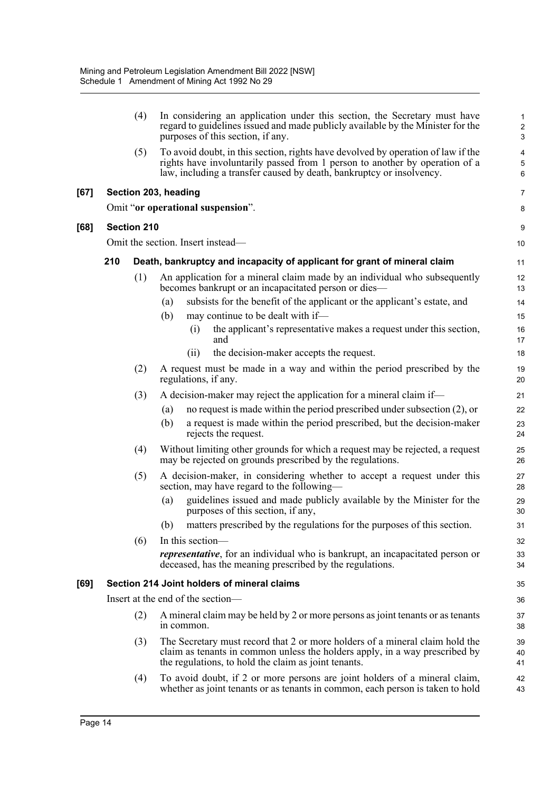|      |     | (4)                | In considering an application under this section, the Secretary must have<br>regard to guidelines issued and made publicly available by the Minister for the<br>purposes of this section, if any.                                       | $\mathbf{1}$<br>$\overline{c}$<br>3 |
|------|-----|--------------------|-----------------------------------------------------------------------------------------------------------------------------------------------------------------------------------------------------------------------------------------|-------------------------------------|
|      |     | (5)                | To avoid doubt, in this section, rights have devolved by operation of law if the<br>rights have involuntarily passed from 1 person to another by operation of a<br>law, including a transfer caused by death, bankruptcy or insolvency. | 4<br>$\mathbf 5$<br>$\,6\,$         |
| [67] |     |                    | Section 203, heading                                                                                                                                                                                                                    | $\overline{7}$                      |
|      |     |                    | Omit "or operational suspension".                                                                                                                                                                                                       | 8                                   |
| [68] |     | <b>Section 210</b> |                                                                                                                                                                                                                                         | 9                                   |
|      |     |                    | Omit the section. Insert instead—                                                                                                                                                                                                       | 10                                  |
|      | 210 |                    | Death, bankruptcy and incapacity of applicant for grant of mineral claim                                                                                                                                                                | 11                                  |
|      |     | (1)                | An application for a mineral claim made by an individual who subsequently<br>becomes bankrupt or an incapacitated person or dies-                                                                                                       | 12<br>13                            |
|      |     |                    | subsists for the benefit of the applicant or the applicant's estate, and<br>(a)                                                                                                                                                         | 14                                  |
|      |     |                    | (b)<br>may continue to be dealt with if-                                                                                                                                                                                                | 15                                  |
|      |     |                    | the applicant's representative makes a request under this section,<br>(i)<br>and                                                                                                                                                        | 16<br>17                            |
|      |     |                    | the decision-maker accepts the request.<br>(ii)                                                                                                                                                                                         | 18                                  |
|      |     | (2)                | A request must be made in a way and within the period prescribed by the<br>regulations, if any.                                                                                                                                         | 19<br>20                            |
|      |     | (3)                | A decision-maker may reject the application for a mineral claim if—                                                                                                                                                                     | 21                                  |
|      |     |                    | no request is made within the period prescribed under subsection $(2)$ , or<br>(a)                                                                                                                                                      | 22                                  |
|      |     |                    | a request is made within the period prescribed, but the decision-maker<br>(b)<br>rejects the request.                                                                                                                                   | 23<br>24                            |
|      |     | (4)                | Without limiting other grounds for which a request may be rejected, a request<br>may be rejected on grounds prescribed by the regulations.                                                                                              | 25<br>26                            |
|      |     | (5)                | A decision-maker, in considering whether to accept a request under this<br>section, may have regard to the following—                                                                                                                   | 27<br>28                            |
|      |     |                    | guidelines issued and made publicly available by the Minister for the<br>(a)<br>purposes of this section, if any,                                                                                                                       | 29<br>30                            |
|      |     |                    | matters prescribed by the regulations for the purposes of this section.<br>(b)                                                                                                                                                          | 31                                  |
|      |     | (6)                | In this section—                                                                                                                                                                                                                        | 32                                  |
|      |     |                    | <i>representative</i> , for an individual who is bankrupt, an incapacitated person or<br>deceased, has the meaning prescribed by the regulations.                                                                                       | 33<br>34                            |
| [69] |     |                    | Section 214 Joint holders of mineral claims                                                                                                                                                                                             | 35                                  |
|      |     |                    | Insert at the end of the section-                                                                                                                                                                                                       | 36                                  |
|      |     | (2)                | A mineral claim may be held by 2 or more persons as joint tenants or as tenants<br>in common.                                                                                                                                           | 37<br>38                            |
|      |     | (3)                | The Secretary must record that 2 or more holders of a mineral claim hold the<br>claim as tenants in common unless the holders apply, in a way prescribed by<br>the regulations, to hold the claim as joint tenants.                     | 39<br>40<br>41                      |
|      |     | (4)                | To avoid doubt, if 2 or more persons are joint holders of a mineral claim,<br>whether as joint tenants or as tenants in common, each person is taken to hold                                                                            | 42<br>43                            |
|      |     |                    |                                                                                                                                                                                                                                         |                                     |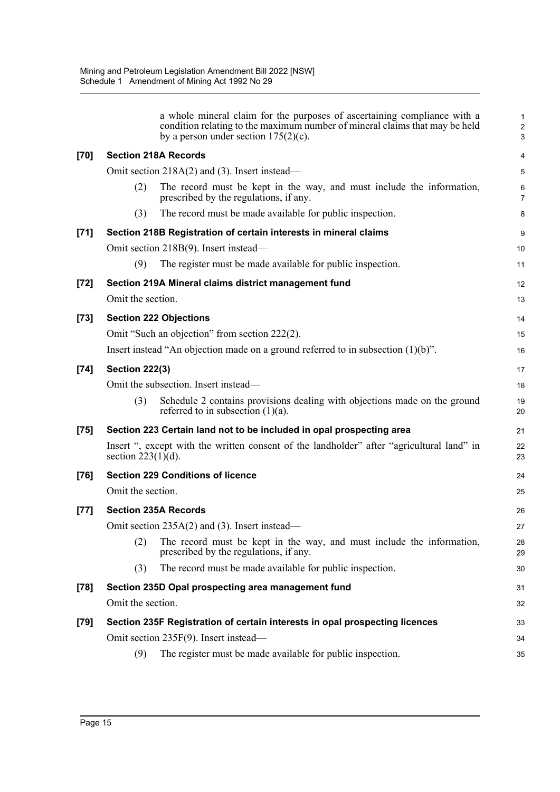|        |                       | a whole mineral claim for the purposes of ascertaining compliance with a<br>condition relating to the maximum number of mineral claims that may be held<br>by a person under section $175(2)(c)$ . | $\mathbf{1}$<br>$\overline{2}$<br>$\mathbf{3}$ |
|--------|-----------------------|----------------------------------------------------------------------------------------------------------------------------------------------------------------------------------------------------|------------------------------------------------|
| $[70]$ |                       | <b>Section 218A Records</b>                                                                                                                                                                        | 4                                              |
|        |                       | Omit section 218A(2) and (3). Insert instead—                                                                                                                                                      | 5                                              |
|        | (2)                   | The record must be kept in the way, and must include the information,<br>prescribed by the regulations, if any.                                                                                    | $\,6\,$<br>$\overline{7}$                      |
|        | (3)                   | The record must be made available for public inspection.                                                                                                                                           | 8                                              |
| $[71]$ |                       | Section 218B Registration of certain interests in mineral claims                                                                                                                                   | 9                                              |
|        |                       | Omit section 218B(9). Insert instead—                                                                                                                                                              | 10                                             |
|        | (9)                   | The register must be made available for public inspection.                                                                                                                                         | 11                                             |
| $[72]$ |                       | Section 219A Mineral claims district management fund                                                                                                                                               | 12                                             |
|        | Omit the section.     |                                                                                                                                                                                                    | 13                                             |
| $[73]$ |                       | <b>Section 222 Objections</b>                                                                                                                                                                      | 14                                             |
|        |                       | Omit "Such an objection" from section 222(2).                                                                                                                                                      | 15                                             |
|        |                       | Insert instead "An objection made on a ground referred to in subsection $(1)(b)$ ".                                                                                                                | 16                                             |
| $[74]$ | <b>Section 222(3)</b> |                                                                                                                                                                                                    | 17                                             |
|        |                       | Omit the subsection. Insert instead—                                                                                                                                                               | 18                                             |
|        | (3)                   | Schedule 2 contains provisions dealing with objections made on the ground<br>referred to in subsection $(1)(a)$ .                                                                                  | 19<br>20                                       |
| $[75]$ |                       | Section 223 Certain land not to be included in opal prospecting area                                                                                                                               | 21                                             |
|        | section $223(1)(d)$ . | Insert ", except with the written consent of the landholder" after "agricultural land" in                                                                                                          | 22<br>23                                       |
| $[76]$ |                       | <b>Section 229 Conditions of licence</b>                                                                                                                                                           | 24                                             |
|        | Omit the section.     |                                                                                                                                                                                                    | 25                                             |
| $[77]$ |                       | <b>Section 235A Records</b>                                                                                                                                                                        | 26                                             |
|        |                       | Omit section 235A(2) and (3). Insert instead—                                                                                                                                                      | 27                                             |
|        | (2)                   | The record must be kept in the way, and must include the information,<br>prescribed by the regulations, if any.                                                                                    | 28<br>29                                       |
|        | (3)                   | The record must be made available for public inspection.                                                                                                                                           | 30                                             |
| $[78]$ |                       | Section 235D Opal prospecting area management fund                                                                                                                                                 | 31                                             |
|        | Omit the section.     |                                                                                                                                                                                                    | 32                                             |
| $[79]$ |                       | Section 235F Registration of certain interests in opal prospecting licences                                                                                                                        | 33                                             |
|        |                       | Omit section 235F(9). Insert instead—                                                                                                                                                              | 34                                             |
|        | (9)                   | The register must be made available for public inspection.                                                                                                                                         | 35                                             |
|        |                       |                                                                                                                                                                                                    |                                                |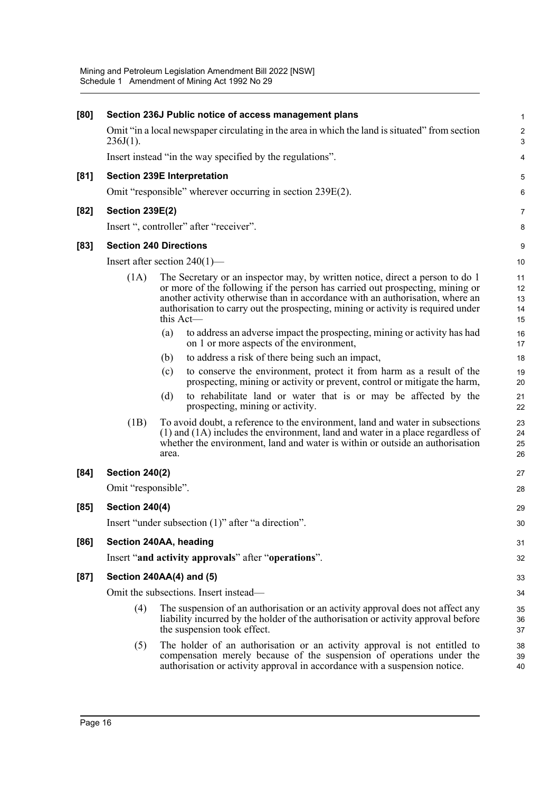| [80]                             | Section 236J Public notice of access management plans                                                                                                                                                                                                                                                                                            |                            |  |  |  |  |  |
|----------------------------------|--------------------------------------------------------------------------------------------------------------------------------------------------------------------------------------------------------------------------------------------------------------------------------------------------------------------------------------------------|----------------------------|--|--|--|--|--|
| $236J(1)$ .                      | Omit "in a local newspaper circulating in the area in which the land is situated" from section                                                                                                                                                                                                                                                   | $\sqrt{2}$<br>3            |  |  |  |  |  |
|                                  | Insert instead "in the way specified by the regulations".                                                                                                                                                                                                                                                                                        | 4                          |  |  |  |  |  |
| [81]                             | <b>Section 239E Interpretation</b>                                                                                                                                                                                                                                                                                                               | 5                          |  |  |  |  |  |
|                                  | Omit "responsible" wherever occurring in section 239E(2).                                                                                                                                                                                                                                                                                        | 6                          |  |  |  |  |  |
| $[82]$<br><b>Section 239E(2)</b> |                                                                                                                                                                                                                                                                                                                                                  | 7                          |  |  |  |  |  |
|                                  | Insert ", controller" after "receiver".                                                                                                                                                                                                                                                                                                          | 8                          |  |  |  |  |  |
| $[83]$                           | <b>Section 240 Directions</b>                                                                                                                                                                                                                                                                                                                    | 9                          |  |  |  |  |  |
|                                  | Insert after section $240(1)$ —                                                                                                                                                                                                                                                                                                                  | 10                         |  |  |  |  |  |
| (1A)                             | The Secretary or an inspector may, by written notice, direct a person to do 1<br>or more of the following if the person has carried out prospecting, mining or<br>another activity otherwise than in accordance with an authorisation, where an<br>authorisation to carry out the prospecting, mining or activity is required under<br>this Act- | 11<br>12<br>13<br>14<br>15 |  |  |  |  |  |
|                                  | to address an adverse impact the prospecting, mining or activity has had<br>(a)<br>on 1 or more aspects of the environment,                                                                                                                                                                                                                      | 16<br>17                   |  |  |  |  |  |
|                                  | to address a risk of there being such an impact,<br>(b)                                                                                                                                                                                                                                                                                          | 18                         |  |  |  |  |  |
|                                  | to conserve the environment, protect it from harm as a result of the<br>(c)<br>prospecting, mining or activity or prevent, control or mitigate the harm,                                                                                                                                                                                         | 19<br>20                   |  |  |  |  |  |
|                                  | to rehabilitate land or water that is or may be affected by the<br>(d)<br>prospecting, mining or activity.                                                                                                                                                                                                                                       | 21<br>22                   |  |  |  |  |  |
| (1B)                             | To avoid doubt, a reference to the environment, land and water in subsections<br>(1) and (1A) includes the environment, land and water in a place regardless of<br>whether the environment, land and water is within or outside an authorisation<br>area.                                                                                        | 23<br>24<br>25<br>26       |  |  |  |  |  |
| <b>Section 240(2)</b><br>[84]    |                                                                                                                                                                                                                                                                                                                                                  | 27                         |  |  |  |  |  |
| Omit "responsible".              |                                                                                                                                                                                                                                                                                                                                                  | 28                         |  |  |  |  |  |
| <b>Section 240(4)</b><br>[85]    |                                                                                                                                                                                                                                                                                                                                                  | 29                         |  |  |  |  |  |
|                                  | Insert "under subsection (1)" after "a direction".                                                                                                                                                                                                                                                                                               | 30                         |  |  |  |  |  |
| [86]                             | Section 240AA, heading                                                                                                                                                                                                                                                                                                                           | 31                         |  |  |  |  |  |
|                                  | Insert "and activity approvals" after "operations".                                                                                                                                                                                                                                                                                              | 32                         |  |  |  |  |  |
| [87]                             | Section 240AA(4) and (5)                                                                                                                                                                                                                                                                                                                         | 33                         |  |  |  |  |  |
|                                  | Omit the subsections. Insert instead—                                                                                                                                                                                                                                                                                                            | 34                         |  |  |  |  |  |
| (4)                              | The suspension of an authorisation or an activity approval does not affect any<br>liability incurred by the holder of the authorisation or activity approval before<br>the suspension took effect.                                                                                                                                               | 35<br>36<br>37             |  |  |  |  |  |
|                                  |                                                                                                                                                                                                                                                                                                                                                  |                            |  |  |  |  |  |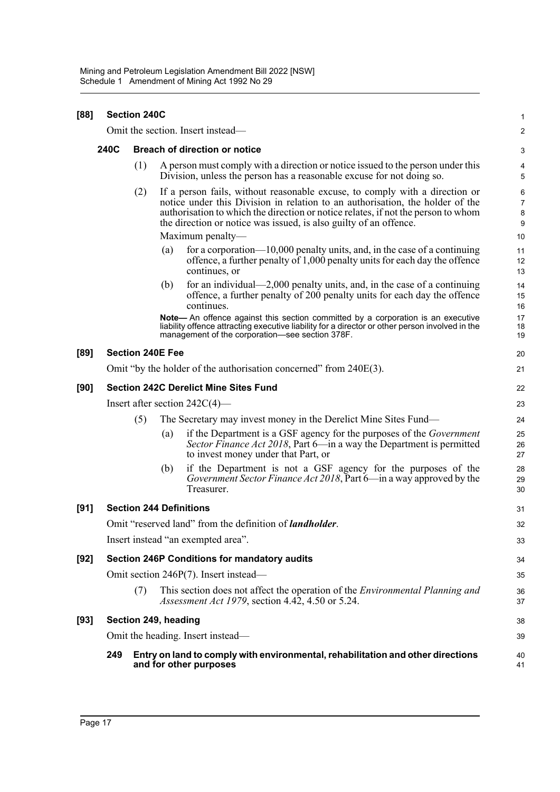| [88]   | <b>Section 240C</b>                          |                         |     |                                                                                                                                                                                                                                                                                                                        |                                     |  |  |
|--------|----------------------------------------------|-------------------------|-----|------------------------------------------------------------------------------------------------------------------------------------------------------------------------------------------------------------------------------------------------------------------------------------------------------------------------|-------------------------------------|--|--|
|        |                                              |                         |     | Omit the section. Insert instead—                                                                                                                                                                                                                                                                                      | 2                                   |  |  |
|        | 240C<br><b>Breach of direction or notice</b> |                         |     |                                                                                                                                                                                                                                                                                                                        |                                     |  |  |
|        |                                              | (1)                     |     | A person must comply with a direction or notice issued to the person under this<br>Division, unless the person has a reasonable excuse for not doing so.                                                                                                                                                               | 4<br>5                              |  |  |
|        |                                              | (2)                     |     | If a person fails, without reasonable excuse, to comply with a direction or<br>notice under this Division in relation to an authorisation, the holder of the<br>authorisation to which the direction or notice relates, if not the person to whom<br>the direction or notice was issued, is also guilty of an offence. | 6<br>$\overline{7}$<br>$\bf 8$<br>9 |  |  |
|        |                                              |                         |     | Maximum penalty—                                                                                                                                                                                                                                                                                                       | 10                                  |  |  |
|        |                                              |                         | (a) | for a corporation— $10,000$ penalty units, and, in the case of a continuing<br>offence, a further penalty of 1,000 penalty units for each day the offence<br>continues, or                                                                                                                                             | 11<br>12<br>13                      |  |  |
|        |                                              |                         | (b) | for an individual—2,000 penalty units, and, in the case of a continuing<br>offence, a further penalty of 200 penalty units for each day the offence<br>continues.                                                                                                                                                      | 14<br>15<br>16                      |  |  |
|        |                                              |                         |     | Note- An offence against this section committed by a corporation is an executive<br>liability offence attracting executive liability for a director or other person involved in the<br>management of the corporation-see section 378F.                                                                                 | 17<br>18<br>19                      |  |  |
| [89]   |                                              | <b>Section 240E Fee</b> |     |                                                                                                                                                                                                                                                                                                                        | 20                                  |  |  |
|        |                                              |                         |     | Omit "by the holder of the authorisation concerned" from 240E(3).                                                                                                                                                                                                                                                      | 21                                  |  |  |
| [90]   |                                              |                         |     | <b>Section 242C Derelict Mine Sites Fund</b>                                                                                                                                                                                                                                                                           | 22                                  |  |  |
|        |                                              |                         |     | Insert after section $242C(4)$ —                                                                                                                                                                                                                                                                                       | 23                                  |  |  |
|        |                                              | (5)                     |     | The Secretary may invest money in the Derelict Mine Sites Fund—                                                                                                                                                                                                                                                        | 24                                  |  |  |
|        |                                              |                         | (a) | if the Department is a GSF agency for the purposes of the <i>Government</i><br>Sector Finance Act 2018, Part 6—in a way the Department is permitted<br>to invest money under that Part, or                                                                                                                             | 25<br>26<br>27                      |  |  |
|        |                                              |                         | (b) | if the Department is not a GSF agency for the purposes of the<br>Government Sector Finance Act 2018, Part 6-in a way approved by the<br>Treasurer.                                                                                                                                                                     | 28<br>29<br>30                      |  |  |
| [91]   |                                              |                         |     | <b>Section 244 Definitions</b>                                                                                                                                                                                                                                                                                         | 31                                  |  |  |
|        |                                              |                         |     | Omit "reserved land" from the definition of <i>landholder</i> .                                                                                                                                                                                                                                                        | 32                                  |  |  |
|        |                                              |                         |     | Insert instead "an exempted area".                                                                                                                                                                                                                                                                                     | 33                                  |  |  |
| $[92]$ |                                              |                         |     | Section 246P Conditions for mandatory audits                                                                                                                                                                                                                                                                           | 34                                  |  |  |
|        |                                              |                         |     | Omit section 246P(7). Insert instead—                                                                                                                                                                                                                                                                                  | 35                                  |  |  |
|        |                                              | (7)                     |     | This section does not affect the operation of the <i>Environmental Planning and</i><br><i>Assessment Act 1979</i> , section 4.42, 4.50 or 5.24.                                                                                                                                                                        | 36<br>37                            |  |  |
| $[93]$ |                                              | Section 249, heading    |     |                                                                                                                                                                                                                                                                                                                        | 38                                  |  |  |
|        |                                              |                         |     | Omit the heading. Insert instead—                                                                                                                                                                                                                                                                                      | 39                                  |  |  |
|        | 249                                          |                         |     | Entry on land to comply with environmental, rehabilitation and other directions<br>and for other purposes                                                                                                                                                                                                              | 40<br>41                            |  |  |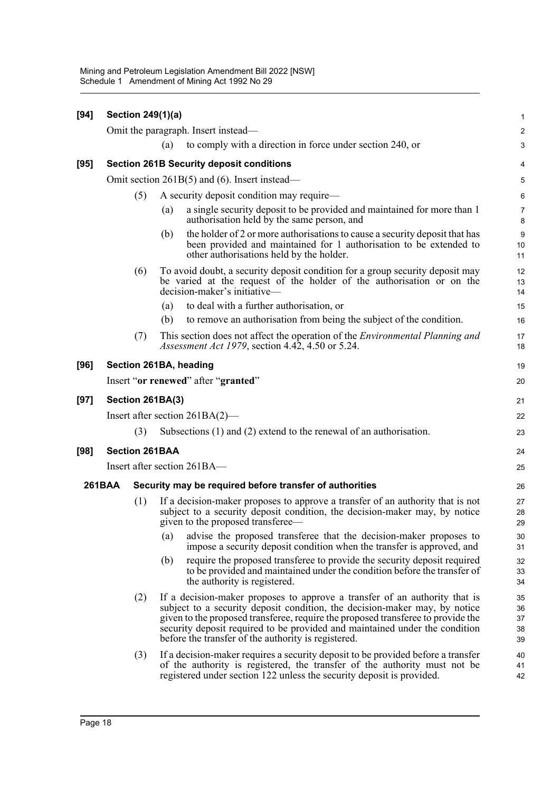| $[94]$ | Section 249(1)(a)                               |     |                                                                                                                                                 |                                                                                                                                                                                                                                                                                                                                                                                    |                            |  |  |  |
|--------|-------------------------------------------------|-----|-------------------------------------------------------------------------------------------------------------------------------------------------|------------------------------------------------------------------------------------------------------------------------------------------------------------------------------------------------------------------------------------------------------------------------------------------------------------------------------------------------------------------------------------|----------------------------|--|--|--|
|        |                                                 |     |                                                                                                                                                 | Omit the paragraph. Insert instead—                                                                                                                                                                                                                                                                                                                                                | $\overline{a}$             |  |  |  |
|        |                                                 |     | (a)                                                                                                                                             | to comply with a direction in force under section 240, or                                                                                                                                                                                                                                                                                                                          | 3                          |  |  |  |
| $[95]$ |                                                 |     |                                                                                                                                                 | <b>Section 261B Security deposit conditions</b>                                                                                                                                                                                                                                                                                                                                    | 4                          |  |  |  |
|        | Omit section $261B(5)$ and (6). Insert instead— |     |                                                                                                                                                 |                                                                                                                                                                                                                                                                                                                                                                                    |                            |  |  |  |
|        |                                                 | (5) | A security deposit condition may require—                                                                                                       |                                                                                                                                                                                                                                                                                                                                                                                    |                            |  |  |  |
|        |                                                 |     | (a)                                                                                                                                             | a single security deposit to be provided and maintained for more than 1<br>authorisation held by the same person, and                                                                                                                                                                                                                                                              | 7<br>8                     |  |  |  |
|        |                                                 |     | (b)                                                                                                                                             | the holder of 2 or more authorisations to cause a security deposit that has<br>been provided and maintained for 1 authorisation to be extended to<br>other authorisations held by the holder.                                                                                                                                                                                      | 9<br>10<br>11              |  |  |  |
|        |                                                 | (6) |                                                                                                                                                 | To avoid doubt, a security deposit condition for a group security deposit may<br>be varied at the request of the holder of the authorisation or on the<br>decision-maker's initiative—                                                                                                                                                                                             | 12<br>13<br>14             |  |  |  |
|        |                                                 |     | (a)                                                                                                                                             | to deal with a further authorisation, or                                                                                                                                                                                                                                                                                                                                           | 15                         |  |  |  |
|        |                                                 |     | (b)                                                                                                                                             | to remove an authorisation from being the subject of the condition.                                                                                                                                                                                                                                                                                                                | 16                         |  |  |  |
|        |                                                 | (7) | This section does not affect the operation of the <i>Environmental Planning and</i><br><i>Assessment Act 1979</i> , section 4.42, 4.50 or 5.24. |                                                                                                                                                                                                                                                                                                                                                                                    |                            |  |  |  |
| [96]   |                                                 |     |                                                                                                                                                 | Section 261BA, heading                                                                                                                                                                                                                                                                                                                                                             | 19                         |  |  |  |
|        |                                                 |     |                                                                                                                                                 | Insert "or renewed" after "granted"                                                                                                                                                                                                                                                                                                                                                | 20                         |  |  |  |
| $[97]$ | Section 261BA(3)                                |     |                                                                                                                                                 |                                                                                                                                                                                                                                                                                                                                                                                    |                            |  |  |  |
|        | Insert after section $261BA(2)$ —               |     |                                                                                                                                                 |                                                                                                                                                                                                                                                                                                                                                                                    |                            |  |  |  |
|        |                                                 | (3) |                                                                                                                                                 | Subsections $(1)$ and $(2)$ extend to the renewal of an authorisation.                                                                                                                                                                                                                                                                                                             | 23                         |  |  |  |
| $[98]$ |                                                 |     | <b>Section 261BAA</b>                                                                                                                           |                                                                                                                                                                                                                                                                                                                                                                                    | 24                         |  |  |  |
|        |                                                 |     |                                                                                                                                                 | Insert after section 261BA-                                                                                                                                                                                                                                                                                                                                                        | 25                         |  |  |  |
|        | <b>261BAA</b>                                   |     |                                                                                                                                                 | Security may be required before transfer of authorities                                                                                                                                                                                                                                                                                                                            | 26                         |  |  |  |
|        |                                                 | (1) |                                                                                                                                                 | If a decision-maker proposes to approve a transfer of an authority that is not<br>subject to a security deposit condition, the decision-maker may, by notice<br>given to the proposed transferee—                                                                                                                                                                                  | 27<br>28<br>29             |  |  |  |
|        |                                                 |     | (a)                                                                                                                                             | advise the proposed transferee that the decision-maker proposes to<br>impose a security deposit condition when the transfer is approved, and                                                                                                                                                                                                                                       | 30<br>31                   |  |  |  |
|        |                                                 |     | (b)                                                                                                                                             | require the proposed transferee to provide the security deposit required<br>to be provided and maintained under the condition before the transfer of<br>the authority is registered.                                                                                                                                                                                               | 32<br>33<br>34             |  |  |  |
|        |                                                 | (2) |                                                                                                                                                 | If a decision-maker proposes to approve a transfer of an authority that is<br>subject to a security deposit condition, the decision-maker may, by notice<br>given to the proposed transferee, require the proposed transferee to provide the<br>security deposit required to be provided and maintained under the condition<br>before the transfer of the authority is registered. | 35<br>36<br>37<br>38<br>39 |  |  |  |
|        |                                                 | (3) |                                                                                                                                                 | If a decision-maker requires a security deposit to be provided before a transfer<br>of the authority is registered, the transfer of the authority must not be<br>registered under section 122 unless the security deposit is provided.                                                                                                                                             | 40<br>41<br>42             |  |  |  |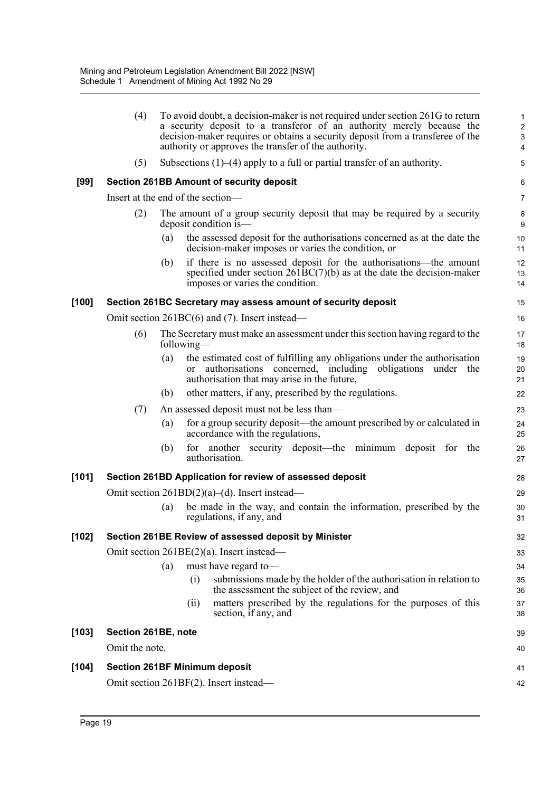|         | (4)                                              |                   |            | To avoid doubt, a decision-maker is not required under section 261G to return<br>a security deposit to a transferor of an authority merely because the<br>decision-maker requires or obtains a security deposit from a transferee of the<br>authority or approves the transfer of the authority. | 1<br>$\overline{c}$<br>$\mathbf{3}$<br>$\overline{\mathbf{4}}$ |  |  |  |
|---------|--------------------------------------------------|-------------------|------------|--------------------------------------------------------------------------------------------------------------------------------------------------------------------------------------------------------------------------------------------------------------------------------------------------|----------------------------------------------------------------|--|--|--|
|         | (5)                                              |                   |            | Subsections $(1)$ – $(4)$ apply to a full or partial transfer of an authority.                                                                                                                                                                                                                   | 5                                                              |  |  |  |
| $[99]$  |                                                  |                   |            | <b>Section 261BB Amount of security deposit</b>                                                                                                                                                                                                                                                  | 6                                                              |  |  |  |
|         | Insert at the end of the section-                |                   |            |                                                                                                                                                                                                                                                                                                  | $\overline{7}$                                                 |  |  |  |
|         | (2)                                              |                   |            | The amount of a group security deposit that may be required by a security<br>deposit condition is—                                                                                                                                                                                               | 8<br>9                                                         |  |  |  |
|         |                                                  | (a)               |            | the assessed deposit for the authorisations concerned as at the date the<br>decision-maker imposes or varies the condition, or                                                                                                                                                                   | 10<br>11                                                       |  |  |  |
|         |                                                  | (b)               |            | if there is no assessed deposit for the authorisations—the amount<br>specified under section $261BC(7)(b)$ as at the date the decision-maker<br>imposes or varies the condition.                                                                                                                 | 12<br>13<br>14                                                 |  |  |  |
| [100]   |                                                  |                   |            | Section 261BC Secretary may assess amount of security deposit                                                                                                                                                                                                                                    | 15                                                             |  |  |  |
|         |                                                  |                   |            | Omit section 261BC(6) and (7). Insert instead—                                                                                                                                                                                                                                                   | 16                                                             |  |  |  |
|         | (6)                                              |                   | following— | The Secretary must make an assessment under this section having regard to the                                                                                                                                                                                                                    | 17<br>18                                                       |  |  |  |
|         |                                                  | (a)               | or         | the estimated cost of fulfilling any obligations under the authorisation<br>authorisations concerned, including obligations under the<br>authorisation that may arise in the future,                                                                                                             | 19<br>20<br>21                                                 |  |  |  |
|         |                                                  | (b)               |            | other matters, if any, prescribed by the regulations.                                                                                                                                                                                                                                            | 22                                                             |  |  |  |
|         | (7)                                              |                   |            | An assessed deposit must not be less than—                                                                                                                                                                                                                                                       | 23                                                             |  |  |  |
|         |                                                  | (a)               |            | for a group security deposit—the amount prescribed by or calculated in<br>accordance with the regulations,                                                                                                                                                                                       | 24<br>25                                                       |  |  |  |
|         |                                                  | (b)               |            | for another security deposit—the minimum deposit for the<br>authorisation.                                                                                                                                                                                                                       | 26<br>27                                                       |  |  |  |
| [101]   |                                                  |                   |            | Section 261BD Application for review of assessed deposit                                                                                                                                                                                                                                         | 28                                                             |  |  |  |
|         | Omit section $261BD(2)(a)$ –(d). Insert instead— |                   |            |                                                                                                                                                                                                                                                                                                  |                                                                |  |  |  |
|         |                                                  | $\left( a\right)$ |            | be made in the way, and contain the information, prescribed by the<br>regulations, if any, and                                                                                                                                                                                                   | 30<br>31                                                       |  |  |  |
| $[102]$ |                                                  |                   |            | Section 261BE Review of assessed deposit by Minister                                                                                                                                                                                                                                             | 32                                                             |  |  |  |
|         | Omit section 261BE(2)(a). Insert instead-        |                   |            |                                                                                                                                                                                                                                                                                                  |                                                                |  |  |  |
|         |                                                  | (a)               |            | must have regard to-                                                                                                                                                                                                                                                                             | 34                                                             |  |  |  |
|         |                                                  |                   | (i)        | submissions made by the holder of the authorisation in relation to<br>the assessment the subject of the review, and                                                                                                                                                                              | 35<br>36                                                       |  |  |  |
|         |                                                  |                   | (ii)       | matters prescribed by the regulations for the purposes of this<br>section, if any, and                                                                                                                                                                                                           | 37<br>38                                                       |  |  |  |
| $[103]$ | Section 261BE, note                              |                   |            |                                                                                                                                                                                                                                                                                                  | 39                                                             |  |  |  |
|         | Omit the note.                                   |                   |            |                                                                                                                                                                                                                                                                                                  | 40                                                             |  |  |  |
| $[104]$ | <b>Section 261BF Minimum deposit</b>             |                   |            |                                                                                                                                                                                                                                                                                                  | 41                                                             |  |  |  |
|         |                                                  |                   |            | Omit section 261BF(2). Insert instead-                                                                                                                                                                                                                                                           | 42                                                             |  |  |  |
|         |                                                  |                   |            |                                                                                                                                                                                                                                                                                                  |                                                                |  |  |  |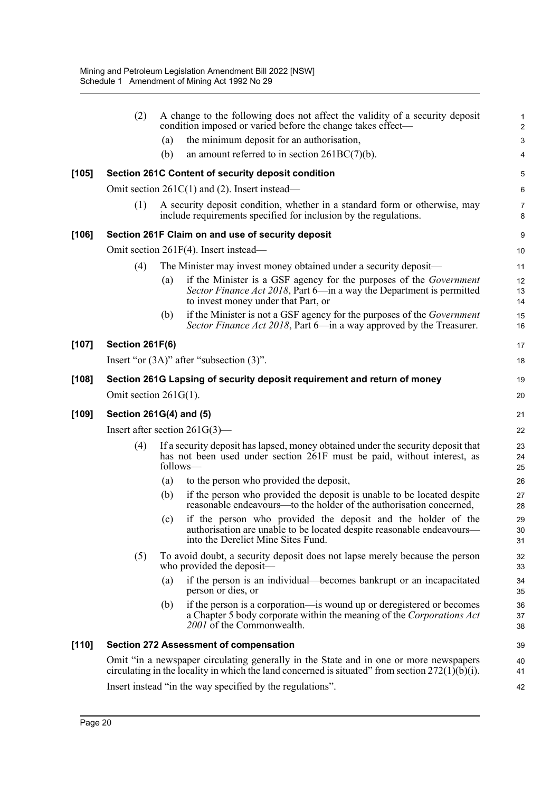|         | (2)                      |     | A change to the following does not affect the validity of a security deposit<br>condition imposed or varied before the change takes effect—                                                 | $\mathbf 1$<br>$\overline{c}$ |
|---------|--------------------------|-----|---------------------------------------------------------------------------------------------------------------------------------------------------------------------------------------------|-------------------------------|
|         |                          | (a) | the minimum deposit for an authorisation,                                                                                                                                                   | $\ensuremath{\mathsf{3}}$     |
|         |                          | (b) | an amount referred to in section $261BC(7)(b)$ .                                                                                                                                            | 4                             |
| $[105]$ |                          |     | Section 261C Content of security deposit condition                                                                                                                                          | 5                             |
|         |                          |     | Omit section $261C(1)$ and (2). Insert instead—                                                                                                                                             | 6                             |
|         | (1)                      |     | A security deposit condition, whether in a standard form or otherwise, may<br>include requirements specified for inclusion by the regulations.                                              | 7<br>8                        |
| [106]   |                          |     | Section 261F Claim on and use of security deposit                                                                                                                                           | 9                             |
|         |                          |     | Omit section 261F(4). Insert instead—                                                                                                                                                       | 10                            |
|         | (4)                      |     | The Minister may invest money obtained under a security deposit—                                                                                                                            | 11                            |
|         |                          | (a) | if the Minister is a GSF agency for the purposes of the <i>Government</i><br>Sector Finance Act 2018, Part 6—in a way the Department is permitted<br>to invest money under that Part, or    | 12<br>13<br>14                |
|         |                          | (b) | if the Minister is not a GSF agency for the purposes of the <i>Government</i><br>Sector Finance Act 2018, Part 6—in a way approved by the Treasurer.                                        | 15<br>16                      |
| [107]   | <b>Section 261F(6)</b>   |     |                                                                                                                                                                                             | 17                            |
|         |                          |     | Insert "or $(3A)$ " after "subsection $(3)$ ".                                                                                                                                              | 18                            |
| [108]   |                          |     | Section 261G Lapsing of security deposit requirement and return of money                                                                                                                    | 19                            |
|         | Omit section $261G(1)$ . |     |                                                                                                                                                                                             | 20                            |
| [109]   | Section 261G(4) and (5)  |     |                                                                                                                                                                                             | 21                            |
|         |                          |     | Insert after section $261G(3)$ —                                                                                                                                                            | 22                            |
|         | (4)                      |     | If a security deposit has lapsed, money obtained under the security deposit that<br>has not been used under section 261F must be paid, without interest, as<br>follows-                     | 23<br>24<br>25                |
|         |                          | (a) | to the person who provided the deposit,                                                                                                                                                     | 26                            |
|         |                          | (b) | if the person who provided the deposit is unable to be located despite<br>reasonable endeavours—to the holder of the authorisation concerned,                                               | 27<br>28                      |
|         |                          | (c) | if the person who provided the deposit and the holder of the<br>authorisation are unable to be located despite reasonable endeavours-<br>into the Derelict Mine Sites Fund.                 | 29<br>30<br>31                |
|         | (5)                      |     | To avoid doubt, a security deposit does not lapse merely because the person<br>who provided the deposit—                                                                                    | 32<br>33                      |
|         |                          | (a) | if the person is an individual—becomes bankrupt or an incapacitated<br>person or dies, or                                                                                                   | 34<br>35                      |
|         |                          | (b) | if the person is a corporation—is wound up or deregistered or becomes<br>a Chapter 5 body corporate within the meaning of the Corporations Act<br>2001 of the Commonwealth.                 | 36<br>37<br>38                |
| $[110]$ |                          |     | <b>Section 272 Assessment of compensation</b>                                                                                                                                               | 39                            |
|         |                          |     | Omit "in a newspaper circulating generally in the State and in one or more newspapers<br>circulating in the locality in which the land concerned is situated" from section $272(1)(b)(i)$ . | 40<br>41                      |
|         |                          |     | Insert instead "in the way specified by the regulations".                                                                                                                                   | 42                            |
|         |                          |     |                                                                                                                                                                                             |                               |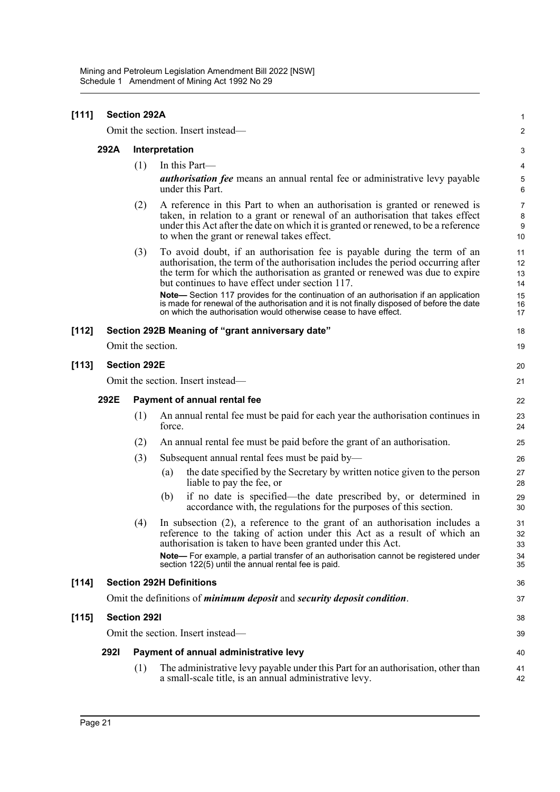| [111]   | <b>Section 292A</b>               |                              |                                                                                                                                                                                                                                                                                                                                                                                                                                                                                                                                                           |                                        |  |  |  |  |
|---------|-----------------------------------|------------------------------|-----------------------------------------------------------------------------------------------------------------------------------------------------------------------------------------------------------------------------------------------------------------------------------------------------------------------------------------------------------------------------------------------------------------------------------------------------------------------------------------------------------------------------------------------------------|----------------------------------------|--|--|--|--|
|         |                                   |                              | Omit the section. Insert instead-                                                                                                                                                                                                                                                                                                                                                                                                                                                                                                                         | $\boldsymbol{2}$                       |  |  |  |  |
|         | 292A                              |                              | Interpretation                                                                                                                                                                                                                                                                                                                                                                                                                                                                                                                                            | 3                                      |  |  |  |  |
|         |                                   | (1)                          | In this Part-                                                                                                                                                                                                                                                                                                                                                                                                                                                                                                                                             | 4                                      |  |  |  |  |
|         |                                   |                              | <i>authorisation fee</i> means an annual rental fee or administrative levy payable<br>under this Part.                                                                                                                                                                                                                                                                                                                                                                                                                                                    | 5<br>$6\phantom{1}6$                   |  |  |  |  |
|         |                                   | (2)                          | A reference in this Part to when an authorisation is granted or renewed is<br>taken, in relation to a grant or renewal of an authorisation that takes effect<br>under this Act after the date on which it is granted or renewed, to be a reference<br>to when the grant or renewal takes effect.                                                                                                                                                                                                                                                          | $\overline{7}$<br>8<br>9<br>10         |  |  |  |  |
|         |                                   | (3)                          | To avoid doubt, if an authorisation fee is payable during the term of an<br>authorisation, the term of the authorisation includes the period occurring after<br>the term for which the authorisation as granted or renewed was due to expire<br>but continues to have effect under section 117.<br>Note-Section 117 provides for the continuation of an authorisation if an application<br>is made for renewal of the authorisation and it is not finally disposed of before the date<br>on which the authorisation would otherwise cease to have effect. | 11<br>12<br>13<br>14<br>15<br>16<br>17 |  |  |  |  |
| $[112]$ |                                   |                              | Section 292B Meaning of "grant anniversary date"                                                                                                                                                                                                                                                                                                                                                                                                                                                                                                          | 18                                     |  |  |  |  |
|         |                                   | Omit the section.            |                                                                                                                                                                                                                                                                                                                                                                                                                                                                                                                                                           | 19                                     |  |  |  |  |
| [113]   | <b>Section 292E</b>               |                              |                                                                                                                                                                                                                                                                                                                                                                                                                                                                                                                                                           |                                        |  |  |  |  |
|         | Omit the section. Insert instead— |                              |                                                                                                                                                                                                                                                                                                                                                                                                                                                                                                                                                           |                                        |  |  |  |  |
|         | 292E                              | Payment of annual rental fee |                                                                                                                                                                                                                                                                                                                                                                                                                                                                                                                                                           |                                        |  |  |  |  |
|         |                                   | (1)                          | An annual rental fee must be paid for each year the authorisation continues in<br>force.                                                                                                                                                                                                                                                                                                                                                                                                                                                                  | 23<br>24                               |  |  |  |  |
|         |                                   | (2)                          | An annual rental fee must be paid before the grant of an authorisation.                                                                                                                                                                                                                                                                                                                                                                                                                                                                                   | 25                                     |  |  |  |  |
|         |                                   | (3)                          | Subsequent annual rental fees must be paid by—                                                                                                                                                                                                                                                                                                                                                                                                                                                                                                            | 26                                     |  |  |  |  |
|         |                                   |                              | the date specified by the Secretary by written notice given to the person<br>(a)<br>liable to pay the fee, or                                                                                                                                                                                                                                                                                                                                                                                                                                             | 27<br>28                               |  |  |  |  |
|         |                                   |                              | if no date is specified—the date prescribed by, or determined in<br>(b)<br>accordance with, the regulations for the purposes of this section.                                                                                                                                                                                                                                                                                                                                                                                                             | 29<br>30                               |  |  |  |  |
|         |                                   | (4)                          | In subsection $(2)$ , a reference to the grant of an authorisation includes a<br>reference to the taking of action under this Act as a result of which an<br>authorisation is taken to have been granted under this Act.                                                                                                                                                                                                                                                                                                                                  | 31<br>32<br>33                         |  |  |  |  |
|         |                                   |                              | Note- For example, a partial transfer of an authorisation cannot be registered under<br>section 122(5) until the annual rental fee is paid.                                                                                                                                                                                                                                                                                                                                                                                                               | 34<br>35                               |  |  |  |  |
| [114]   |                                   |                              | <b>Section 292H Definitions</b>                                                                                                                                                                                                                                                                                                                                                                                                                                                                                                                           | 36                                     |  |  |  |  |
|         |                                   |                              | Omit the definitions of <i>minimum deposit</i> and <i>security deposit condition</i> .                                                                                                                                                                                                                                                                                                                                                                                                                                                                    | 37                                     |  |  |  |  |
| $[115]$ | <b>Section 2921</b>               |                              |                                                                                                                                                                                                                                                                                                                                                                                                                                                                                                                                                           |                                        |  |  |  |  |
|         |                                   |                              | Omit the section. Insert instead—                                                                                                                                                                                                                                                                                                                                                                                                                                                                                                                         | 39                                     |  |  |  |  |
|         | <b>2921</b>                       |                              | Payment of annual administrative levy                                                                                                                                                                                                                                                                                                                                                                                                                                                                                                                     | 40                                     |  |  |  |  |
|         |                                   | (1)                          | The administrative levy payable under this Part for an authorisation, other than<br>a small-scale title, is an annual administrative levy.                                                                                                                                                                                                                                                                                                                                                                                                                | 41<br>42                               |  |  |  |  |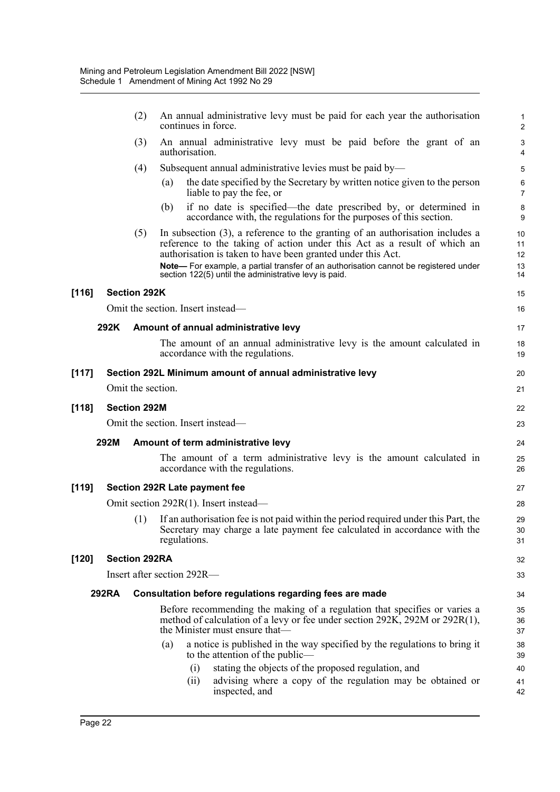|       |                                   | (2)                  | An annual administrative levy must be paid for each year the authorisation<br>continues in force.                                                                                                                           |                                                      |  |  |  |  |
|-------|-----------------------------------|----------------------|-----------------------------------------------------------------------------------------------------------------------------------------------------------------------------------------------------------------------------|------------------------------------------------------|--|--|--|--|
|       |                                   | (3)                  | An annual administrative levy must be paid before the grant of an<br>authorisation.                                                                                                                                         | $\ensuremath{\mathsf{3}}$<br>$\overline{\mathbf{4}}$ |  |  |  |  |
|       |                                   | (4)                  | Subsequent annual administrative levies must be paid by—                                                                                                                                                                    | 5                                                    |  |  |  |  |
|       |                                   |                      | the date specified by the Secretary by written notice given to the person<br>(a)<br>liable to pay the fee, or                                                                                                               | 6<br>$\overline{7}$                                  |  |  |  |  |
|       |                                   |                      | if no date is specified—the date prescribed by, or determined in<br>(b)<br>accordance with, the regulations for the purposes of this section.                                                                               | 8<br>9                                               |  |  |  |  |
|       |                                   | (5)                  | In subsection $(3)$ , a reference to the granting of an authorisation includes a<br>reference to the taking of action under this Act as a result of which an<br>authorisation is taken to have been granted under this Act. | 10<br>11<br>12                                       |  |  |  |  |
|       |                                   |                      | Note- For example, a partial transfer of an authorisation cannot be registered under<br>section 122(5) until the administrative levy is paid.                                                                               | 13<br>14                                             |  |  |  |  |
| [116] |                                   | <b>Section 292K</b>  |                                                                                                                                                                                                                             | 15                                                   |  |  |  |  |
|       |                                   |                      | Omit the section. Insert instead—                                                                                                                                                                                           | 16                                                   |  |  |  |  |
|       | 292K                              |                      | Amount of annual administrative levy                                                                                                                                                                                        | 17                                                   |  |  |  |  |
|       |                                   |                      | The amount of an annual administrative levy is the amount calculated in<br>accordance with the regulations.                                                                                                                 | 18<br>19                                             |  |  |  |  |
| [117] |                                   |                      | Section 292L Minimum amount of annual administrative levy                                                                                                                                                                   | 20                                                   |  |  |  |  |
|       |                                   | Omit the section.    |                                                                                                                                                                                                                             | 21                                                   |  |  |  |  |
| [118] |                                   | <b>Section 292M</b>  |                                                                                                                                                                                                                             | 22                                                   |  |  |  |  |
|       | Omit the section. Insert instead— |                      |                                                                                                                                                                                                                             |                                                      |  |  |  |  |
|       | 292M                              |                      | Amount of term administrative levy                                                                                                                                                                                          | 24                                                   |  |  |  |  |
|       |                                   |                      | The amount of a term administrative levy is the amount calculated in<br>accordance with the regulations.                                                                                                                    | 25<br>26                                             |  |  |  |  |
| [119] |                                   |                      | <b>Section 292R Late payment fee</b>                                                                                                                                                                                        | 27                                                   |  |  |  |  |
|       |                                   |                      | Omit section 292R(1). Insert instead—                                                                                                                                                                                       | 28                                                   |  |  |  |  |
|       |                                   | (1)                  | If an authorisation fee is not paid within the period required under this Part, the<br>Secretary may charge a late payment fee calculated in accordance with the<br>regulations.                                            | 29<br>30<br>31                                       |  |  |  |  |
| [120] |                                   | <b>Section 292RA</b> |                                                                                                                                                                                                                             | 32                                                   |  |  |  |  |
|       |                                   |                      | Insert after section 292R-                                                                                                                                                                                                  | 33                                                   |  |  |  |  |
|       | <b>292RA</b>                      |                      | Consultation before regulations regarding fees are made                                                                                                                                                                     | 34                                                   |  |  |  |  |
|       |                                   |                      | Before recommending the making of a regulation that specifies or varies a<br>method of calculation of a levy or fee under section 292K, 292M or 292R(1),<br>the Minister must ensure that—                                  | 35<br>36<br>37                                       |  |  |  |  |
|       |                                   |                      | a notice is published in the way specified by the regulations to bring it<br>(a)<br>to the attention of the public—<br>stating the objects of the proposed regulation, and                                                  | 38<br>39                                             |  |  |  |  |
|       |                                   |                      | (i)<br>advising where a copy of the regulation may be obtained or<br>(i)<br>inspected, and                                                                                                                                  | 40<br>41<br>42                                       |  |  |  |  |
|       |                                   |                      |                                                                                                                                                                                                                             |                                                      |  |  |  |  |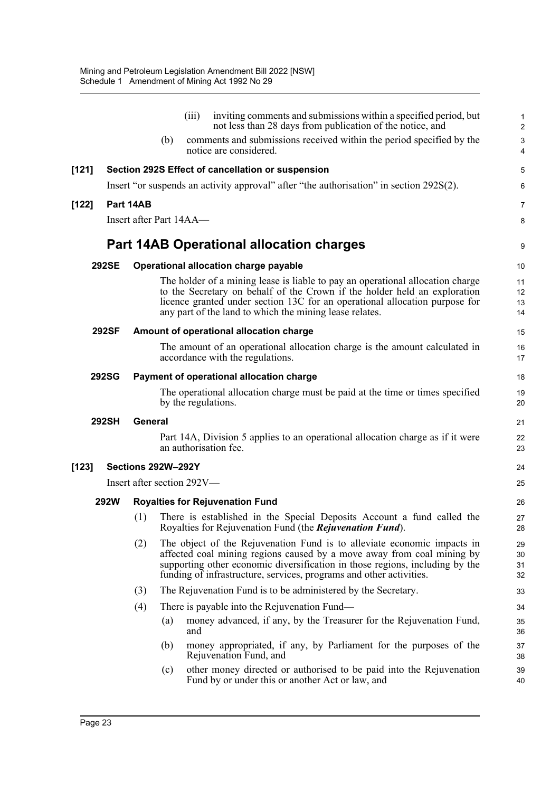|         |              |                                          |     | (iii)                      | inviting comments and submissions within a specified period, but<br>not less than 28 days from publication of the notice, and                                                                                                                                                                            | 1<br>$\overline{c}$  |  |  |
|---------|--------------|------------------------------------------|-----|----------------------------|----------------------------------------------------------------------------------------------------------------------------------------------------------------------------------------------------------------------------------------------------------------------------------------------------------|----------------------|--|--|
|         |              |                                          | (b) |                            | comments and submissions received within the period specified by the<br>notice are considered.                                                                                                                                                                                                           | 3<br>4               |  |  |
| [121]   |              |                                          |     |                            | Section 292S Effect of cancellation or suspension                                                                                                                                                                                                                                                        | 5                    |  |  |
|         |              |                                          |     |                            | Insert "or suspends an activity approval" after "the authorisation" in section 292S(2).                                                                                                                                                                                                                  | 6                    |  |  |
| $[122]$ |              | Part 14AB                                |     |                            |                                                                                                                                                                                                                                                                                                          | 7                    |  |  |
|         |              |                                          |     | Insert after Part 14AA—    |                                                                                                                                                                                                                                                                                                          | 8                    |  |  |
|         |              |                                          |     |                            | <b>Part 14AB Operational allocation charges</b>                                                                                                                                                                                                                                                          | 9                    |  |  |
|         | <b>292SE</b> |                                          |     |                            | Operational allocation charge payable                                                                                                                                                                                                                                                                    | 10                   |  |  |
|         |              |                                          |     |                            | The holder of a mining lease is liable to pay an operational allocation charge<br>to the Secretary on behalf of the Crown if the holder held an exploration<br>licence granted under section 13C for an operational allocation purpose for<br>any part of the land to which the mining lease relates.    | 11<br>12<br>13<br>14 |  |  |
|         | <b>292SF</b> |                                          |     |                            | Amount of operational allocation charge                                                                                                                                                                                                                                                                  |                      |  |  |
|         |              |                                          |     |                            | The amount of an operational allocation charge is the amount calculated in<br>accordance with the regulations.                                                                                                                                                                                           | 16<br>17             |  |  |
|         | <b>292SG</b> | Payment of operational allocation charge |     |                            |                                                                                                                                                                                                                                                                                                          |                      |  |  |
|         |              |                                          |     |                            | The operational allocation charge must be paid at the time or times specified<br>by the regulations.                                                                                                                                                                                                     | 19<br>20             |  |  |
|         | 292SH        | <b>General</b>                           |     |                            |                                                                                                                                                                                                                                                                                                          | 21                   |  |  |
|         |              |                                          |     |                            | Part 14A, Division 5 applies to an operational allocation charge as if it were<br>an authorisation fee.                                                                                                                                                                                                  | 22<br>23             |  |  |
| $[123]$ |              | Sections 292W-292Y                       |     |                            |                                                                                                                                                                                                                                                                                                          | 24                   |  |  |
|         |              |                                          |     | Insert after section 292V- |                                                                                                                                                                                                                                                                                                          | 25                   |  |  |
|         | <b>292W</b>  | <b>Royalties for Rejuvenation Fund</b>   |     |                            |                                                                                                                                                                                                                                                                                                          |                      |  |  |
|         |              | (1)                                      |     |                            | There is established in the Special Deposits Account a fund called the<br>Royalties for Rejuvenation Fund (the Rejuvenation Fund).                                                                                                                                                                       | 27<br>28             |  |  |
|         |              | (2)                                      |     |                            | The object of the Rejuvenation Fund is to alleviate economic impacts in<br>affected coal mining regions caused by a move away from coal mining by<br>supporting other economic diversification in those regions, including by the<br>funding of infrastructure, services, programs and other activities. | 29<br>30<br>31<br>32 |  |  |
|         |              | (3)                                      |     |                            | The Rejuvenation Fund is to be administered by the Secretary.                                                                                                                                                                                                                                            | 33                   |  |  |
|         |              | (4)                                      |     |                            | There is payable into the Rejuvenation Fund—                                                                                                                                                                                                                                                             | 34                   |  |  |
|         |              |                                          | (a) | and                        | money advanced, if any, by the Treasurer for the Rejuvenation Fund,                                                                                                                                                                                                                                      | 35<br>36             |  |  |
|         |              |                                          | (b) |                            | money appropriated, if any, by Parliament for the purposes of the<br>Rejuvenation Fund, and                                                                                                                                                                                                              | 37<br>38             |  |  |
|         |              |                                          | (c) |                            | other money directed or authorised to be paid into the Rejuvenation<br>Fund by or under this or another Act or law, and                                                                                                                                                                                  | 39<br>40             |  |  |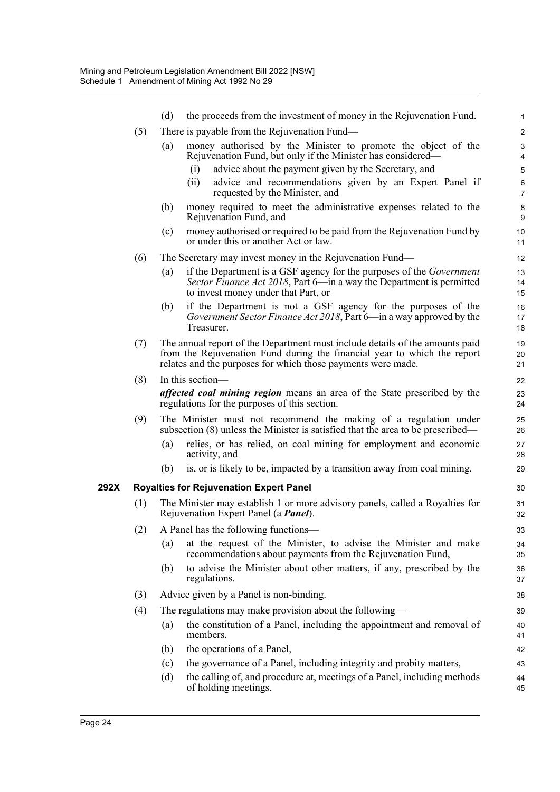|      |                                                                                                                                     | (d)                                                                                                                                                                                                                      | the proceeds from the investment of money in the Rejuvenation Fund.                                                                                                                        | $\mathbf{1}$              |  |  |  |  |  |  |
|------|-------------------------------------------------------------------------------------------------------------------------------------|--------------------------------------------------------------------------------------------------------------------------------------------------------------------------------------------------------------------------|--------------------------------------------------------------------------------------------------------------------------------------------------------------------------------------------|---------------------------|--|--|--|--|--|--|
|      | (5)                                                                                                                                 |                                                                                                                                                                                                                          | There is payable from the Rejuvenation Fund—                                                                                                                                               | $\overline{2}$            |  |  |  |  |  |  |
|      |                                                                                                                                     | (a)                                                                                                                                                                                                                      | money authorised by the Minister to promote the object of the<br>Rejuvenation Fund, but only if the Minister has considered—                                                               | 3<br>$\overline{4}$       |  |  |  |  |  |  |
|      |                                                                                                                                     |                                                                                                                                                                                                                          | advice about the payment given by the Secretary, and<br>(i)                                                                                                                                | $\mathbf 5$               |  |  |  |  |  |  |
|      |                                                                                                                                     |                                                                                                                                                                                                                          | advice and recommendations given by an Expert Panel if<br>(ii)<br>requested by the Minister, and                                                                                           | $\,6\,$<br>$\overline{7}$ |  |  |  |  |  |  |
|      |                                                                                                                                     | (b)                                                                                                                                                                                                                      | money required to meet the administrative expenses related to the<br>Rejuvenation Fund, and                                                                                                | 8<br>9                    |  |  |  |  |  |  |
|      |                                                                                                                                     | (c)                                                                                                                                                                                                                      | money authorised or required to be paid from the Rejuvenation Fund by<br>or under this or another Act or law.                                                                              | 10<br>11                  |  |  |  |  |  |  |
|      | (6)                                                                                                                                 |                                                                                                                                                                                                                          | The Secretary may invest money in the Rejuvenation Fund—                                                                                                                                   | 12                        |  |  |  |  |  |  |
|      |                                                                                                                                     | (a)                                                                                                                                                                                                                      | if the Department is a GSF agency for the purposes of the <i>Government</i><br>Sector Finance Act 2018, Part 6—in a way the Department is permitted<br>to invest money under that Part, or | 13<br>14<br>15            |  |  |  |  |  |  |
|      |                                                                                                                                     | (b)                                                                                                                                                                                                                      | if the Department is not a GSF agency for the purposes of the<br>Government Sector Finance Act 2018, Part 6—in a way approved by the<br>Treasurer.                                         | 16<br>17<br>18            |  |  |  |  |  |  |
|      | (7)                                                                                                                                 | The annual report of the Department must include details of the amounts paid<br>from the Rejuvenation Fund during the financial year to which the report<br>relates and the purposes for which those payments were made. |                                                                                                                                                                                            |                           |  |  |  |  |  |  |
|      | (8)                                                                                                                                 | In this section-                                                                                                                                                                                                         |                                                                                                                                                                                            |                           |  |  |  |  |  |  |
|      |                                                                                                                                     | affected coal mining region means an area of the State prescribed by the<br>regulations for the purposes of this section.                                                                                                |                                                                                                                                                                                            |                           |  |  |  |  |  |  |
|      | (9)                                                                                                                                 |                                                                                                                                                                                                                          | The Minister must not recommend the making of a regulation under<br>subsection $(8)$ unless the Minister is satisfied that the area to be prescribed—                                      | 25<br>26                  |  |  |  |  |  |  |
|      |                                                                                                                                     | (a)                                                                                                                                                                                                                      | relies, or has relied, on coal mining for employment and economic<br>activity, and                                                                                                         | 27<br>28                  |  |  |  |  |  |  |
|      |                                                                                                                                     | (b)                                                                                                                                                                                                                      | is, or is likely to be, impacted by a transition away from coal mining.                                                                                                                    | 29                        |  |  |  |  |  |  |
| 292X | <b>Royalties for Rejuvenation Expert Panel</b>                                                                                      |                                                                                                                                                                                                                          |                                                                                                                                                                                            |                           |  |  |  |  |  |  |
|      | (1)<br>The Minister may establish 1 or more advisory panels, called a Royalties for<br>Rejuvenation Expert Panel (a <i>Panel</i> ). |                                                                                                                                                                                                                          |                                                                                                                                                                                            |                           |  |  |  |  |  |  |
|      |                                                                                                                                     |                                                                                                                                                                                                                          | (2) A Panel has the following functions-                                                                                                                                                   | 33                        |  |  |  |  |  |  |
|      |                                                                                                                                     | (a)                                                                                                                                                                                                                      | at the request of the Minister, to advise the Minister and make<br>recommendations about payments from the Rejuvenation Fund,                                                              | 34<br>35                  |  |  |  |  |  |  |
|      |                                                                                                                                     | (b)                                                                                                                                                                                                                      | to advise the Minister about other matters, if any, prescribed by the<br>regulations.                                                                                                      | 36<br>37                  |  |  |  |  |  |  |
|      | (3)                                                                                                                                 |                                                                                                                                                                                                                          | Advice given by a Panel is non-binding.                                                                                                                                                    | 38                        |  |  |  |  |  |  |
|      | (4)                                                                                                                                 |                                                                                                                                                                                                                          | The regulations may make provision about the following—                                                                                                                                    | 39                        |  |  |  |  |  |  |
|      |                                                                                                                                     | (a)                                                                                                                                                                                                                      | the constitution of a Panel, including the appointment and removal of<br>members,                                                                                                          | 40<br>41                  |  |  |  |  |  |  |
|      |                                                                                                                                     | (b)                                                                                                                                                                                                                      | the operations of a Panel,                                                                                                                                                                 | 42                        |  |  |  |  |  |  |
|      |                                                                                                                                     | (c)                                                                                                                                                                                                                      | the governance of a Panel, including integrity and probity matters,                                                                                                                        | 43                        |  |  |  |  |  |  |
|      |                                                                                                                                     | (d)                                                                                                                                                                                                                      | the calling of, and procedure at, meetings of a Panel, including methods<br>of holding meetings.                                                                                           | 44<br>45                  |  |  |  |  |  |  |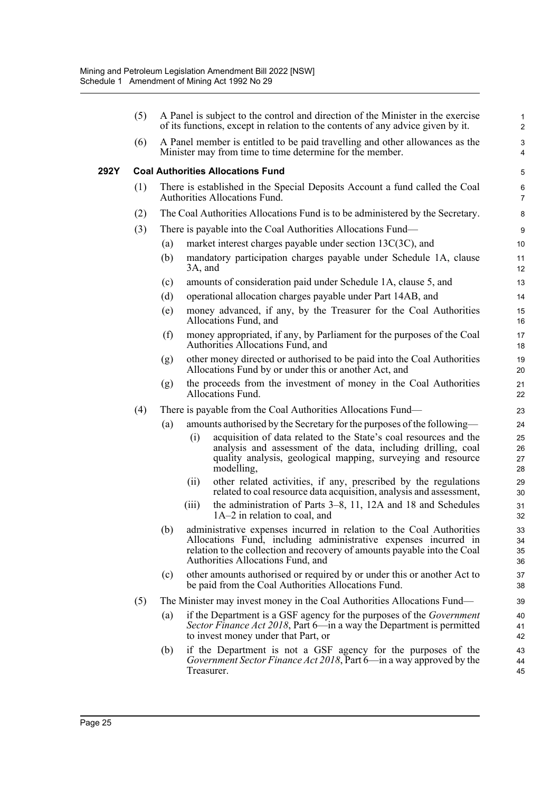|      | (5)                                      | A Panel is subject to the control and direction of the Minister in the exercise<br>of its functions, except in relation to the contents of any advice given by it. |                                                                                                                                                                                                                                                              |                      |  |  |  |  |
|------|------------------------------------------|--------------------------------------------------------------------------------------------------------------------------------------------------------------------|--------------------------------------------------------------------------------------------------------------------------------------------------------------------------------------------------------------------------------------------------------------|----------------------|--|--|--|--|
|      | (6)                                      | A Panel member is entitled to be paid travelling and other allowances as the<br>Minister may from time to time determine for the member.                           |                                                                                                                                                                                                                                                              |                      |  |  |  |  |
| 292Y | <b>Coal Authorities Allocations Fund</b> |                                                                                                                                                                    |                                                                                                                                                                                                                                                              |                      |  |  |  |  |
|      | (1)                                      | There is established in the Special Deposits Account a fund called the Coal<br>Authorities Allocations Fund.                                                       |                                                                                                                                                                                                                                                              |                      |  |  |  |  |
|      | (2)                                      | The Coal Authorities Allocations Fund is to be administered by the Secretary.                                                                                      |                                                                                                                                                                                                                                                              |                      |  |  |  |  |
|      | (3)                                      | There is payable into the Coal Authorities Allocations Fund—                                                                                                       |                                                                                                                                                                                                                                                              |                      |  |  |  |  |
|      |                                          | (a)                                                                                                                                                                | market interest charges payable under section 13C(3C), and                                                                                                                                                                                                   |                      |  |  |  |  |
|      |                                          | (b)                                                                                                                                                                | mandatory participation charges payable under Schedule 1A, clause<br>3A, and                                                                                                                                                                                 |                      |  |  |  |  |
|      |                                          | (c)                                                                                                                                                                | amounts of consideration paid under Schedule 1A, clause 5, and                                                                                                                                                                                               | 13                   |  |  |  |  |
|      |                                          | (d)                                                                                                                                                                | operational allocation charges payable under Part 14AB, and                                                                                                                                                                                                  | 14                   |  |  |  |  |
|      |                                          | (e)                                                                                                                                                                | money advanced, if any, by the Treasurer for the Coal Authorities<br>Allocations Fund, and                                                                                                                                                                   | 15<br>16             |  |  |  |  |
|      |                                          | (f)                                                                                                                                                                | money appropriated, if any, by Parliament for the purposes of the Coal<br>Authorities Allocations Fund, and                                                                                                                                                  | 17<br>18             |  |  |  |  |
|      |                                          | (g)                                                                                                                                                                | other money directed or authorised to be paid into the Coal Authorities<br>Allocations Fund by or under this or another Act, and                                                                                                                             | 19<br>20             |  |  |  |  |
|      |                                          | (g)                                                                                                                                                                | the proceeds from the investment of money in the Coal Authorities<br>Allocations Fund.                                                                                                                                                                       | 21<br>22             |  |  |  |  |
|      | (4)                                      | There is payable from the Coal Authorities Allocations Fund—                                                                                                       |                                                                                                                                                                                                                                                              |                      |  |  |  |  |
|      |                                          | (a)                                                                                                                                                                | amounts authorised by the Secretary for the purposes of the following—                                                                                                                                                                                       | 24                   |  |  |  |  |
|      |                                          |                                                                                                                                                                    | acquisition of data related to the State's coal resources and the<br>(i)<br>analysis and assessment of the data, including drilling, coal<br>quality analysis, geological mapping, surveying and resource<br>modelling,                                      | 25<br>26<br>27<br>28 |  |  |  |  |
|      |                                          |                                                                                                                                                                    | other related activities, if any, prescribed by the regulations<br>(ii)<br>related to coal resource data acquisition, analysis and assessment,                                                                                                               | 29<br>30             |  |  |  |  |
|      |                                          |                                                                                                                                                                    | the administration of Parts 3–8, 11, 12A and 18 and Schedules<br>(iii)<br>1A-2 in relation to coal, and                                                                                                                                                      | 31<br>32             |  |  |  |  |
|      |                                          |                                                                                                                                                                    | (b) administrative expenses incurred in relation to the Coal Authorities<br>Allocations Fund, including administrative expenses incurred in<br>relation to the collection and recovery of amounts payable into the Coal<br>Authorities Allocations Fund, and | 33<br>34<br>35<br>36 |  |  |  |  |
|      |                                          | (c)                                                                                                                                                                | other amounts authorised or required by or under this or another Act to<br>be paid from the Coal Authorities Allocations Fund.                                                                                                                               | 37<br>38             |  |  |  |  |
|      | (5)                                      | The Minister may invest money in the Coal Authorities Allocations Fund—                                                                                            |                                                                                                                                                                                                                                                              |                      |  |  |  |  |
|      |                                          | (a)                                                                                                                                                                | if the Department is a GSF agency for the purposes of the <i>Government</i><br><i>Sector Finance Act 2018</i> , Part 6—in a way the Department is permitted<br>to invest money under that Part, or                                                           | 40<br>41<br>42       |  |  |  |  |
|      |                                          | (b)                                                                                                                                                                | if the Department is not a GSF agency for the purposes of the<br>Government Sector Finance Act 2018, Part 6—in a way approved by the<br>Treasurer.                                                                                                           | 43<br>44<br>45       |  |  |  |  |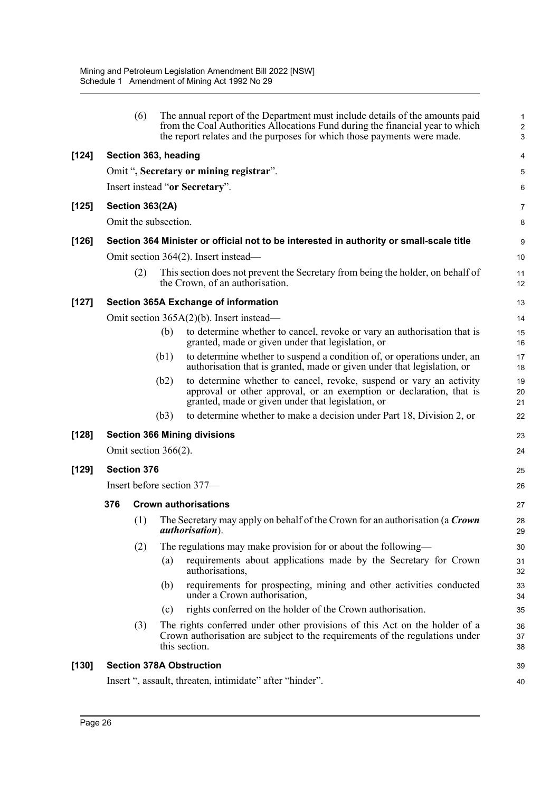|         |                                                                                         | (6)                  |      | The annual report of the Department must include details of the amounts paid<br>from the Coal Authorities Allocations Fund during the financial year to which<br>the report relates and the purposes for which those payments were made. | 1<br>$\overline{\mathbf{c}}$<br>3 |  |  |
|---------|-----------------------------------------------------------------------------------------|----------------------|------|------------------------------------------------------------------------------------------------------------------------------------------------------------------------------------------------------------------------------------------|-----------------------------------|--|--|
| $[124]$ |                                                                                         | Section 363, heading |      |                                                                                                                                                                                                                                          | 4                                 |  |  |
|         |                                                                                         |                      |      | Omit ", Secretary or mining registrar".                                                                                                                                                                                                  | 5                                 |  |  |
|         |                                                                                         |                      |      | Insert instead "or Secretary".                                                                                                                                                                                                           | 6                                 |  |  |
| [125]   | Section 363(2A)                                                                         |                      |      |                                                                                                                                                                                                                                          |                                   |  |  |
|         | Omit the subsection.                                                                    |                      |      |                                                                                                                                                                                                                                          |                                   |  |  |
| $[126]$ | Section 364 Minister or official not to be interested in authority or small-scale title |                      |      |                                                                                                                                                                                                                                          |                                   |  |  |
|         | Omit section 364(2). Insert instead—                                                    |                      |      |                                                                                                                                                                                                                                          |                                   |  |  |
|         |                                                                                         | (2)                  |      | This section does not prevent the Secretary from being the holder, on behalf of<br>the Crown, of an authorisation.                                                                                                                       | 11<br>12                          |  |  |
| $[127]$ | <b>Section 365A Exchange of information</b>                                             |                      |      |                                                                                                                                                                                                                                          |                                   |  |  |
|         |                                                                                         |                      |      | Omit section 365A(2)(b). Insert instead—                                                                                                                                                                                                 | 14                                |  |  |
|         |                                                                                         |                      | (b)  | to determine whether to cancel, revoke or vary an authorisation that is<br>granted, made or given under that legislation, or                                                                                                             | 15<br>16                          |  |  |
|         |                                                                                         |                      | (b1) | to determine whether to suspend a condition of, or operations under, an<br>authorisation that is granted, made or given under that legislation, or                                                                                       | 17<br>18                          |  |  |
|         |                                                                                         |                      | (b2) | to determine whether to cancel, revoke, suspend or vary an activity<br>approval or other approval, or an exemption or declaration, that is<br>granted, made or given under that legislation, or                                          | 19<br>20<br>21                    |  |  |
|         |                                                                                         |                      | (b3) | to determine whether to make a decision under Part 18, Division 2, or                                                                                                                                                                    | 22                                |  |  |
| $[128]$ | <b>Section 366 Mining divisions</b>                                                     |                      |      |                                                                                                                                                                                                                                          |                                   |  |  |
|         | Omit section $366(2)$ .                                                                 |                      |      |                                                                                                                                                                                                                                          |                                   |  |  |
| $[129]$ | <b>Section 376</b>                                                                      |                      |      |                                                                                                                                                                                                                                          |                                   |  |  |
|         | Insert before section 377-                                                              |                      |      |                                                                                                                                                                                                                                          |                                   |  |  |
|         | 376<br><b>Crown authorisations</b>                                                      |                      |      |                                                                                                                                                                                                                                          |                                   |  |  |
|         |                                                                                         | (1)                  |      | The Secretary may apply on behalf of the Crown for an authorisation (a Crown<br><i>authorisation</i> ).                                                                                                                                  | 28<br>29                          |  |  |
|         |                                                                                         | (2)                  |      | The regulations may make provision for or about the following—                                                                                                                                                                           | 30                                |  |  |
|         |                                                                                         |                      | (a)  | requirements about applications made by the Secretary for Crown<br>authorisations,                                                                                                                                                       | 31<br>32                          |  |  |
|         |                                                                                         |                      | (b)  | requirements for prospecting, mining and other activities conducted<br>under a Crown authorisation,                                                                                                                                      | 33<br>34                          |  |  |
|         |                                                                                         |                      | (c)  | rights conferred on the holder of the Crown authorisation.                                                                                                                                                                               | 35                                |  |  |
|         |                                                                                         | (3)                  |      | The rights conferred under other provisions of this Act on the holder of a<br>Crown authorisation are subject to the requirements of the regulations under<br>this section.                                                              | 36<br>37<br>38                    |  |  |
| [130]   | <b>Section 378A Obstruction</b>                                                         |                      |      |                                                                                                                                                                                                                                          |                                   |  |  |
|         | Insert ", assault, threaten, intimidate" after "hinder".                                |                      |      |                                                                                                                                                                                                                                          |                                   |  |  |
|         |                                                                                         |                      |      |                                                                                                                                                                                                                                          |                                   |  |  |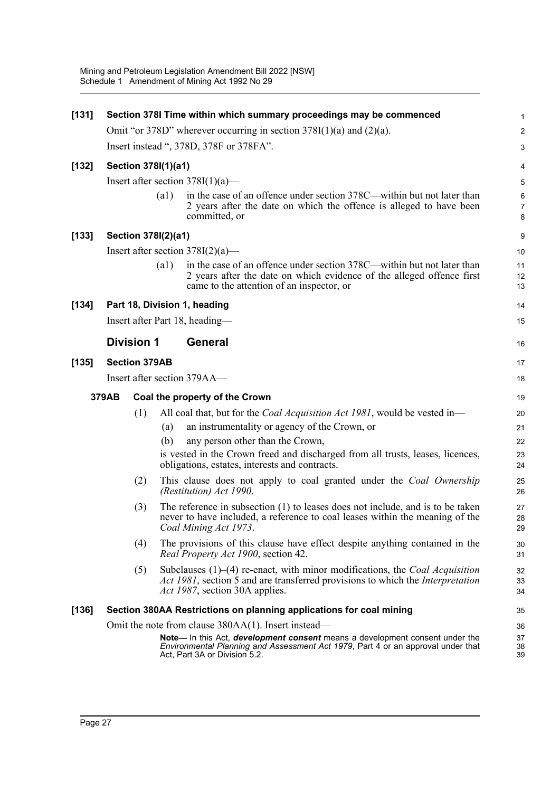| [131]   | Section 378I Time within which summary proceedings may be commenced      |                                     |      |                                                                                                                                                                                                                      |                              |  |  |  |
|---------|--------------------------------------------------------------------------|-------------------------------------|------|----------------------------------------------------------------------------------------------------------------------------------------------------------------------------------------------------------------------|------------------------------|--|--|--|
|         | Omit "or 378D" wherever occurring in section $378I(1)(a)$ and $(2)(a)$ . |                                     |      |                                                                                                                                                                                                                      |                              |  |  |  |
|         | Insert instead ", 378D, 378F or 378FA".                                  |                                     |      |                                                                                                                                                                                                                      |                              |  |  |  |
| $[132]$ | Section 378I(1)(a1)                                                      |                                     |      |                                                                                                                                                                                                                      |                              |  |  |  |
|         | Insert after section $378I(1)(a)$ —                                      |                                     |      |                                                                                                                                                                                                                      |                              |  |  |  |
|         |                                                                          |                                     | (a1) | in the case of an offence under section 378C—within but not later than<br>2 years after the date on which the offence is alleged to have been<br>committed, or                                                       | $\,6$<br>$\overline{7}$<br>8 |  |  |  |
| [133]   |                                                                          | Section 378I(2)(a1)                 |      |                                                                                                                                                                                                                      |                              |  |  |  |
|         |                                                                          | Insert after section $378I(2)(a)$ — |      |                                                                                                                                                                                                                      |                              |  |  |  |
|         | (a1)                                                                     |                                     |      | in the case of an offence under section 378C—within but not later than<br>2 years after the date on which evidence of the alleged offence first<br>came to the attention of an inspector, or                         | 11<br>12<br>13               |  |  |  |
| [134]   |                                                                          |                                     |      | Part 18, Division 1, heading                                                                                                                                                                                         | 14                           |  |  |  |
|         |                                                                          |                                     |      | Insert after Part 18, heading—                                                                                                                                                                                       | 15                           |  |  |  |
|         | <b>Division 1</b>                                                        |                                     |      | <b>General</b>                                                                                                                                                                                                       | 16                           |  |  |  |
| $[135]$ | <b>Section 379AB</b>                                                     |                                     |      |                                                                                                                                                                                                                      |                              |  |  |  |
|         | Insert after section 379AA—                                              |                                     |      |                                                                                                                                                                                                                      |                              |  |  |  |
|         | 379AB                                                                    |                                     |      | Coal the property of the Crown                                                                                                                                                                                       | 19                           |  |  |  |
|         |                                                                          | (1)                                 |      | All coal that, but for the <i>Coal Acquisition Act 1981</i> , would be vested in—                                                                                                                                    | 20                           |  |  |  |
|         |                                                                          |                                     | (a)  | an instrumentality or agency of the Crown, or                                                                                                                                                                        | 21                           |  |  |  |
|         |                                                                          |                                     | (b)  | any person other than the Crown,                                                                                                                                                                                     | 22                           |  |  |  |
|         |                                                                          |                                     |      | is vested in the Crown freed and discharged from all trusts, leases, licences,<br>obligations, estates, interests and contracts.                                                                                     | 23<br>24                     |  |  |  |
|         |                                                                          | (2)                                 |      | This clause does not apply to coal granted under the Coal Ownership<br>(Restitution) Act 1990.                                                                                                                       | 25<br>26                     |  |  |  |
|         | (3)                                                                      |                                     |      | The reference in subsection (1) to leases does not include, and is to be taken<br>never to have included, a reference to coal leases within the meaning of the<br>Coal Mining Act 1973.                              | 27<br>28<br>29               |  |  |  |
|         |                                                                          | (4)                                 |      | The provisions of this clause have effect despite anything contained in the<br>Real Property Act 1900, section 42.                                                                                                   | 30<br>31                     |  |  |  |
|         |                                                                          | (5)                                 |      | Subclauses $(1)$ – $(4)$ re-enact, with minor modifications, the <i>Coal Acquisition</i><br>Act 1981, section 5 and are transferred provisions to which the Interpretation<br><i>Act 1987</i> , section 30A applies. | 32<br>33<br>34               |  |  |  |
| [136]   | Section 380AA Restrictions on planning applications for coal mining      |                                     |      |                                                                                                                                                                                                                      |                              |  |  |  |
|         |                                                                          |                                     |      | Omit the note from clause 380AA(1). Insert instead—                                                                                                                                                                  | 36                           |  |  |  |
|         |                                                                          |                                     |      | Note— In this Act, development consent means a development consent under the<br>Environmental Planning and Assessment Act 1979, Part 4 or an approval under that<br>Act, Part 3A or Division 5.2.                    | 37<br>38<br>39               |  |  |  |
|         |                                                                          |                                     |      |                                                                                                                                                                                                                      |                              |  |  |  |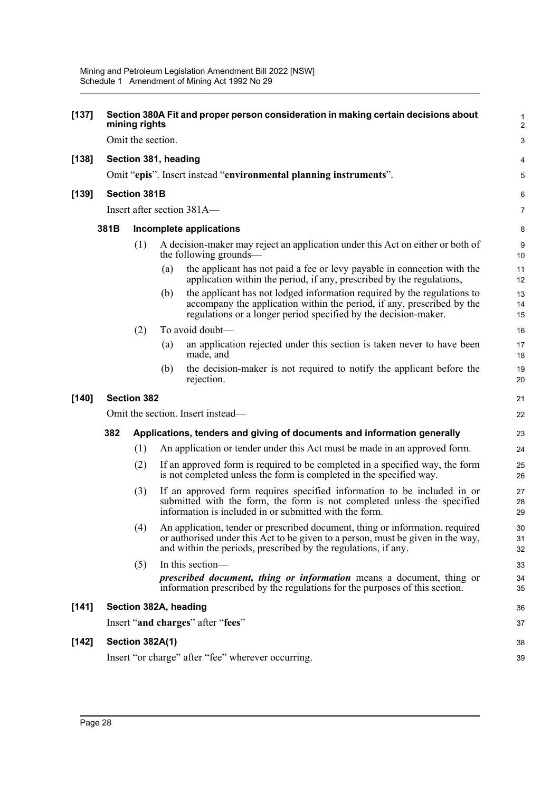| $[137]$ | Section 380A Fit and proper person consideration in making certain decisions about<br>mining rights |                                                                   |                                                                                                          |                                                                                                                                                                                                                                    |                |  |  |  |
|---------|-----------------------------------------------------------------------------------------------------|-------------------------------------------------------------------|----------------------------------------------------------------------------------------------------------|------------------------------------------------------------------------------------------------------------------------------------------------------------------------------------------------------------------------------------|----------------|--|--|--|
|         |                                                                                                     | Omit the section.                                                 |                                                                                                          |                                                                                                                                                                                                                                    |                |  |  |  |
| [138]   | Section 381, heading                                                                                |                                                                   |                                                                                                          |                                                                                                                                                                                                                                    |                |  |  |  |
|         |                                                                                                     | Omit "epis". Insert instead "environmental planning instruments". |                                                                                                          |                                                                                                                                                                                                                                    |                |  |  |  |
| [139]   |                                                                                                     | <b>Section 381B</b><br>Insert after section 381A-                 |                                                                                                          |                                                                                                                                                                                                                                    |                |  |  |  |
|         |                                                                                                     |                                                                   |                                                                                                          |                                                                                                                                                                                                                                    |                |  |  |  |
|         | 381B<br>Incomplete applications                                                                     |                                                                   |                                                                                                          |                                                                                                                                                                                                                                    |                |  |  |  |
|         |                                                                                                     | (1)                                                               | A decision-maker may reject an application under this Act on either or both of<br>the following grounds- |                                                                                                                                                                                                                                    |                |  |  |  |
|         |                                                                                                     |                                                                   | (a)                                                                                                      | the applicant has not paid a fee or levy payable in connection with the<br>application within the period, if any, prescribed by the regulations,                                                                                   | 11<br>12       |  |  |  |
|         |                                                                                                     |                                                                   | (b)                                                                                                      | the applicant has not lodged information required by the regulations to<br>accompany the application within the period, if any, prescribed by the<br>regulations or a longer period specified by the decision-maker.               | 13<br>14<br>15 |  |  |  |
|         |                                                                                                     | (2)                                                               |                                                                                                          | To avoid doubt-                                                                                                                                                                                                                    | 16             |  |  |  |
|         |                                                                                                     |                                                                   | (a)                                                                                                      | an application rejected under this section is taken never to have been<br>made, and                                                                                                                                                | 17<br>18       |  |  |  |
|         |                                                                                                     |                                                                   | (b)                                                                                                      | the decision-maker is not required to notify the applicant before the<br>rejection.                                                                                                                                                | 19<br>20       |  |  |  |
| $[140]$ |                                                                                                     | <b>Section 382</b>                                                |                                                                                                          |                                                                                                                                                                                                                                    |                |  |  |  |
|         |                                                                                                     | Omit the section. Insert instead—                                 |                                                                                                          |                                                                                                                                                                                                                                    |                |  |  |  |
|         | 382                                                                                                 |                                                                   | Applications, tenders and giving of documents and information generally                                  |                                                                                                                                                                                                                                    |                |  |  |  |
|         |                                                                                                     | (1)                                                               |                                                                                                          | An application or tender under this Act must be made in an approved form.                                                                                                                                                          | 24             |  |  |  |
|         |                                                                                                     | (2)                                                               |                                                                                                          | If an approved form is required to be completed in a specified way, the form<br>is not completed unless the form is completed in the specified way.                                                                                | 25<br>26       |  |  |  |
|         |                                                                                                     | (3)                                                               |                                                                                                          | If an approved form requires specified information to be included in or<br>submitted with the form, the form is not completed unless the specified<br>information is included in or submitted with the form.                       | 27<br>28<br>29 |  |  |  |
|         |                                                                                                     | (4)                                                               |                                                                                                          | An application, tender or prescribed document, thing or information, required<br>or authorised under this Act to be given to a person, must be given in the way,<br>and within the periods, prescribed by the regulations, if any. | 30<br>31<br>32 |  |  |  |
|         |                                                                                                     | (5)                                                               |                                                                                                          | In this section-<br><i>prescribed document, thing or information</i> means a document, thing or<br>information prescribed by the regulations for the purposes of this section.                                                     | 33<br>34<br>35 |  |  |  |
| [141]   |                                                                                                     |                                                                   |                                                                                                          | Section 382A, heading                                                                                                                                                                                                              | 36             |  |  |  |
|         |                                                                                                     |                                                                   |                                                                                                          | Insert "and charges" after "fees"                                                                                                                                                                                                  | 37             |  |  |  |
| $[142]$ |                                                                                                     | Section 382A(1)                                                   |                                                                                                          |                                                                                                                                                                                                                                    |                |  |  |  |
|         |                                                                                                     | Insert "or charge" after "fee" wherever occurring.                |                                                                                                          |                                                                                                                                                                                                                                    |                |  |  |  |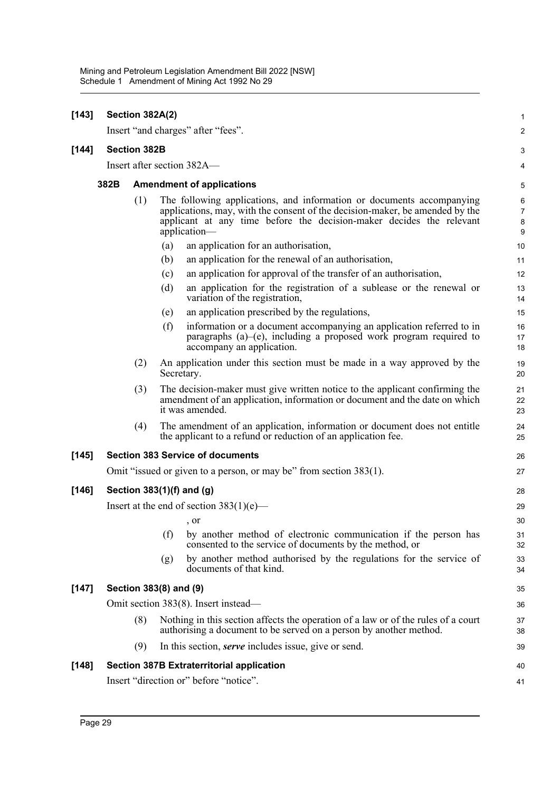| $[143]$ | Section 382A(2)                            |                           |     |                                                                                                                                                                                                                                               |                               |  |  |
|---------|--------------------------------------------|---------------------------|-----|-----------------------------------------------------------------------------------------------------------------------------------------------------------------------------------------------------------------------------------------------|-------------------------------|--|--|
|         |                                            |                           |     | Insert "and charges" after "fees".                                                                                                                                                                                                            | 2                             |  |  |
| $[144]$ |                                            | <b>Section 382B</b>       |     |                                                                                                                                                                                                                                               | 3                             |  |  |
|         |                                            |                           |     | Insert after section 382A—                                                                                                                                                                                                                    | 4                             |  |  |
|         | 382B                                       |                           |     | <b>Amendment of applications</b>                                                                                                                                                                                                              | 5                             |  |  |
|         |                                            | (1)                       |     | The following applications, and information or documents accompanying<br>applications, may, with the consent of the decision-maker, be amended by the<br>applicant at any time before the decision-maker decides the relevant<br>application- | 6<br>$\overline{7}$<br>8<br>9 |  |  |
|         |                                            |                           | (a) | an application for an authorisation,                                                                                                                                                                                                          | 10                            |  |  |
|         |                                            |                           | (b) | an application for the renewal of an authorisation,                                                                                                                                                                                           | 11                            |  |  |
|         |                                            |                           | (c) | an application for approval of the transfer of an authorisation,                                                                                                                                                                              | 12                            |  |  |
|         |                                            |                           | (d) | an application for the registration of a sublease or the renewal or<br>variation of the registration,                                                                                                                                         | 13<br>14                      |  |  |
|         |                                            |                           | (e) | an application prescribed by the regulations,                                                                                                                                                                                                 | 15                            |  |  |
|         |                                            |                           | (f) | information or a document accompanying an application referred to in<br>paragraphs $(a)$ - $(e)$ , including a proposed work program required to<br>accompany an application.                                                                 | 16<br>17<br>18                |  |  |
|         |                                            | (2)                       |     | An application under this section must be made in a way approved by the<br>Secretary.                                                                                                                                                         | 19<br>20                      |  |  |
|         |                                            | (3)                       |     | The decision-maker must give written notice to the applicant confirming the<br>amendment of an application, information or document and the date on which<br>it was amended.                                                                  | 21<br>22<br>23                |  |  |
|         |                                            | (4)                       |     | The amendment of an application, information or document does not entitle<br>the applicant to a refund or reduction of an application fee.                                                                                                    | 24<br>25                      |  |  |
| $[145]$ |                                            |                           |     | <b>Section 383 Service of documents</b>                                                                                                                                                                                                       | 26                            |  |  |
|         |                                            |                           |     | Omit "issued or given to a person, or may be" from section 383(1).                                                                                                                                                                            | 27                            |  |  |
| [146]   |                                            | Section 383(1)(f) and (g) |     |                                                                                                                                                                                                                                               |                               |  |  |
|         | Insert at the end of section $383(1)(e)$ — |                           |     |                                                                                                                                                                                                                                               |                               |  |  |
|         |                                            |                           |     | , or                                                                                                                                                                                                                                          | 30                            |  |  |
|         |                                            |                           | (f) | by another method of electronic communication if the person has<br>consented to the service of documents by the method, or                                                                                                                    | 31<br>32                      |  |  |
|         |                                            |                           | (g) | by another method authorised by the regulations for the service of<br>documents of that kind.                                                                                                                                                 | 33<br>34                      |  |  |
| [147]   |                                            | Section 383(8) and (9)    |     |                                                                                                                                                                                                                                               | 35                            |  |  |
|         |                                            |                           |     | Omit section 383(8). Insert instead—                                                                                                                                                                                                          | 36                            |  |  |
|         |                                            | (8)                       |     | Nothing in this section affects the operation of a law or of the rules of a court<br>authorising a document to be served on a person by another method.                                                                                       | 37<br>38                      |  |  |
|         |                                            | (9)                       |     | In this section, <i>serve</i> includes issue, give or send.                                                                                                                                                                                   | 39                            |  |  |
| $[148]$ |                                            |                           |     | <b>Section 387B Extraterritorial application</b>                                                                                                                                                                                              | 40                            |  |  |
|         | Insert "direction or" before "notice".     |                           |     |                                                                                                                                                                                                                                               |                               |  |  |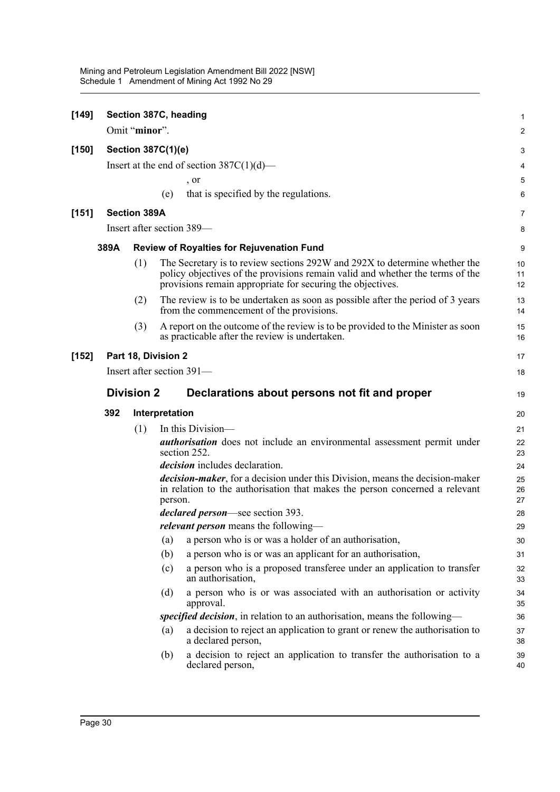| $[149]$ |                           |                     |                     | Section 387C, heading                                                                                                                                                                                                     | 1              |  |  |
|---------|---------------------------|---------------------|---------------------|---------------------------------------------------------------------------------------------------------------------------------------------------------------------------------------------------------------------------|----------------|--|--|
|         |                           | Omit "minor".       |                     |                                                                                                                                                                                                                           | 2              |  |  |
| $[150]$ |                           |                     | Section 387C(1)(e)  |                                                                                                                                                                                                                           | 3              |  |  |
|         |                           |                     |                     | Insert at the end of section $387C(1)(d)$ —                                                                                                                                                                               | 4              |  |  |
|         |                           |                     |                     | , or                                                                                                                                                                                                                      | 5              |  |  |
|         |                           |                     | (e)                 | that is specified by the regulations.                                                                                                                                                                                     | 6              |  |  |
| [151]   |                           | <b>Section 389A</b> |                     |                                                                                                                                                                                                                           | 7              |  |  |
|         |                           |                     |                     | Insert after section 389-                                                                                                                                                                                                 | 8              |  |  |
|         | 389A                      |                     |                     | <b>Review of Royalties for Rejuvenation Fund</b>                                                                                                                                                                          | 9              |  |  |
|         |                           | (1)                 |                     | The Secretary is to review sections 292W and 292X to determine whether the<br>policy objectives of the provisions remain valid and whether the terms of the<br>provisions remain appropriate for securing the objectives. | 10<br>11<br>12 |  |  |
|         |                           | (2)                 |                     | The review is to be undertaken as soon as possible after the period of 3 years<br>from the commencement of the provisions.                                                                                                | 13<br>14       |  |  |
|         |                           | (3)                 |                     | A report on the outcome of the review is to be provided to the Minister as soon<br>as practicable after the review is undertaken.                                                                                         | 15<br>16       |  |  |
| $[152]$ |                           |                     | Part 18, Division 2 |                                                                                                                                                                                                                           | 17             |  |  |
|         | Insert after section 391- |                     |                     |                                                                                                                                                                                                                           |                |  |  |
|         |                           | <b>Division 2</b>   |                     | Declarations about persons not fit and proper                                                                                                                                                                             | 19             |  |  |
|         |                           |                     |                     |                                                                                                                                                                                                                           |                |  |  |
|         | 392                       |                     | Interpretation      |                                                                                                                                                                                                                           | 20             |  |  |
|         |                           | (1)                 |                     | In this Division—                                                                                                                                                                                                         | 21             |  |  |
|         |                           |                     |                     | <i>authorisation</i> does not include an environmental assessment permit under<br>section 252.                                                                                                                            | 22<br>23       |  |  |
|         |                           |                     |                     | decision includes declaration.                                                                                                                                                                                            | 24             |  |  |
|         |                           |                     | person.             | <i>decision-maker</i> , for a decision under this Division, means the decision-maker<br>in relation to the authorisation that makes the person concerned a relevant                                                       | 25<br>26<br>27 |  |  |
|         |                           |                     |                     | declared person-see section 393.                                                                                                                                                                                          | 28             |  |  |
|         |                           |                     |                     | <i>relevant person</i> means the following—                                                                                                                                                                               | 29             |  |  |
|         |                           |                     | (a)                 | a person who is or was a holder of an authorisation,                                                                                                                                                                      | 30             |  |  |
|         |                           |                     | (b)                 | a person who is or was an applicant for an authorisation,                                                                                                                                                                 | 31             |  |  |
|         |                           |                     | (c)                 | a person who is a proposed transferee under an application to transfer<br>an authorisation,                                                                                                                               | 32<br>33       |  |  |
|         |                           |                     | (d)                 | a person who is or was associated with an authorisation or activity<br>approval.                                                                                                                                          | 34<br>35       |  |  |
|         |                           |                     |                     | specified decision, in relation to an authorisation, means the following-                                                                                                                                                 | 36             |  |  |
|         |                           |                     | (a)                 | a decision to reject an application to grant or renew the authorisation to<br>a declared person,                                                                                                                          | 37<br>38       |  |  |
|         |                           |                     | (b)                 | a decision to reject an application to transfer the authorisation to a<br>declared person,                                                                                                                                | 39<br>40       |  |  |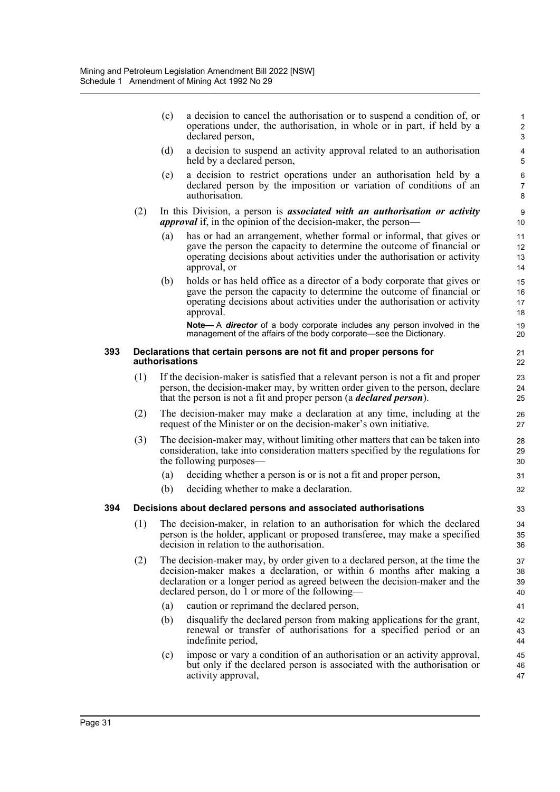|     |     | (c)                                                                                                                                                                                                                                                                                     | a decision to cancel the authorisation or to suspend a condition of, or<br>operations under, the authorisation, in whole or in part, if held by a<br>declared person,                                                                      | $\mathbf{1}$<br>$\overline{2}$<br>3 |  |  |  |  |
|-----|-----|-----------------------------------------------------------------------------------------------------------------------------------------------------------------------------------------------------------------------------------------------------------------------------------------|--------------------------------------------------------------------------------------------------------------------------------------------------------------------------------------------------------------------------------------------|-------------------------------------|--|--|--|--|
|     |     | (d)                                                                                                                                                                                                                                                                                     | a decision to suspend an activity approval related to an authorisation<br>held by a declared person,                                                                                                                                       | 4<br>5                              |  |  |  |  |
|     |     | (e)                                                                                                                                                                                                                                                                                     | a decision to restrict operations under an authorisation held by a<br>declared person by the imposition or variation of conditions of an<br>authorisation.                                                                                 | 6<br>7<br>8                         |  |  |  |  |
|     | (2) |                                                                                                                                                                                                                                                                                         | In this Division, a person is <i>associated with an authorisation or activity</i><br><i>approval</i> if, in the opinion of the decision-maker, the person—                                                                                 | 9<br>10                             |  |  |  |  |
|     |     | (a)                                                                                                                                                                                                                                                                                     | has or had an arrangement, whether formal or informal, that gives or<br>gave the person the capacity to determine the outcome of financial or<br>operating decisions about activities under the authorisation or activity<br>approval, or  | 11<br>12<br>13<br>14                |  |  |  |  |
|     |     | (b)                                                                                                                                                                                                                                                                                     | holds or has held office as a director of a body corporate that gives or<br>gave the person the capacity to determine the outcome of financial or<br>operating decisions about activities under the authorisation or activity<br>approval. | 15<br>16<br>17<br>18                |  |  |  |  |
|     |     |                                                                                                                                                                                                                                                                                         | Note-A director of a body corporate includes any person involved in the<br>management of the affairs of the body corporate—see the Dictionary.                                                                                             | 19<br>20                            |  |  |  |  |
| 393 |     | Declarations that certain persons are not fit and proper persons for<br>authorisations                                                                                                                                                                                                  |                                                                                                                                                                                                                                            |                                     |  |  |  |  |
|     | (1) | If the decision-maker is satisfied that a relevant person is not a fit and proper<br>person, the decision-maker may, by written order given to the person, declare<br>that the person is not a fit and proper person (a <i>declared person</i> ).                                       |                                                                                                                                                                                                                                            |                                     |  |  |  |  |
|     | (2) | The decision-maker may make a declaration at any time, including at the<br>request of the Minister or on the decision-maker's own initiative.                                                                                                                                           |                                                                                                                                                                                                                                            |                                     |  |  |  |  |
|     | (3) |                                                                                                                                                                                                                                                                                         | The decision-maker may, without limiting other matters that can be taken into<br>consideration, take into consideration matters specified by the regulations for<br>the following purposes—                                                | 28<br>29<br>30                      |  |  |  |  |
|     |     | (a)                                                                                                                                                                                                                                                                                     | deciding whether a person is or is not a fit and proper person,                                                                                                                                                                            | 31                                  |  |  |  |  |
|     |     | (b)                                                                                                                                                                                                                                                                                     | deciding whether to make a declaration.                                                                                                                                                                                                    | 32                                  |  |  |  |  |
| 394 |     |                                                                                                                                                                                                                                                                                         | Decisions about declared persons and associated authorisations                                                                                                                                                                             | 33                                  |  |  |  |  |
|     |     | (1) The decision-maker, in relation to an authorisation for which the declared<br>person is the holder, applicant or proposed transferee, may make a specified<br>decision in relation to the authorisation.                                                                            |                                                                                                                                                                                                                                            |                                     |  |  |  |  |
|     | (2) | The decision-maker may, by order given to a declared person, at the time the<br>decision-maker makes a declaration, or within 6 months after making a<br>declaration or a longer period as agreed between the decision-maker and the<br>declared person, do 1 or more of the following— |                                                                                                                                                                                                                                            |                                     |  |  |  |  |
|     |     | (a)                                                                                                                                                                                                                                                                                     | caution or reprimand the declared person,                                                                                                                                                                                                  | 41                                  |  |  |  |  |
|     |     | (b)                                                                                                                                                                                                                                                                                     | disqualify the declared person from making applications for the grant,<br>renewal or transfer of authorisations for a specified period or an<br>indefinite period,                                                                         | 42<br>43<br>44                      |  |  |  |  |
|     |     | (c)                                                                                                                                                                                                                                                                                     | impose or vary a condition of an authorisation or an activity approval,<br>but only if the declared person is associated with the authorisation or<br>activity approval,                                                                   | 45<br>46<br>47                      |  |  |  |  |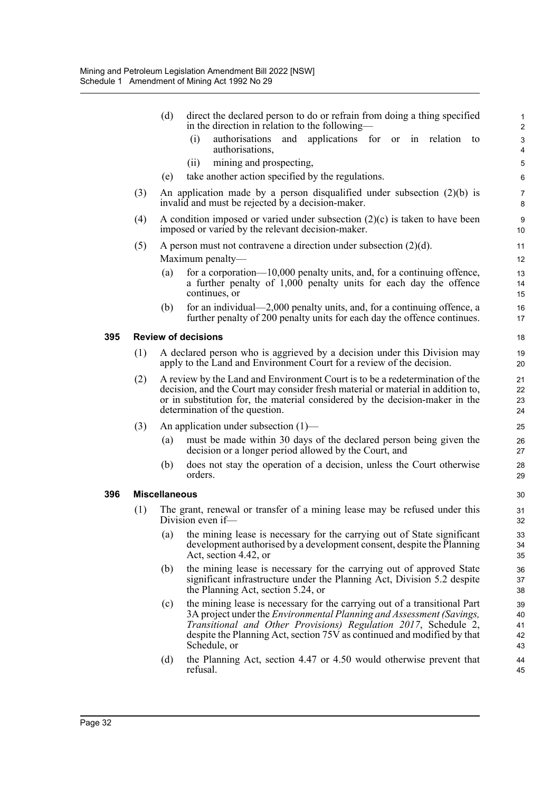|     |     | direct the declared person to do or refrain from doing a thing specified<br>(d)<br>in the direction in relation to the following—                                                                                                                                                                                             | $\mathbf{1}$<br>$\overline{2}$      |  |  |  |  |  |
|-----|-----|-------------------------------------------------------------------------------------------------------------------------------------------------------------------------------------------------------------------------------------------------------------------------------------------------------------------------------|-------------------------------------|--|--|--|--|--|
|     |     | authorisations and applications for or in relation to<br>(i)<br>authorisations,                                                                                                                                                                                                                                               | 3<br>4                              |  |  |  |  |  |
|     |     | mining and prospecting,<br>(ii)                                                                                                                                                                                                                                                                                               | 5                                   |  |  |  |  |  |
|     |     | take another action specified by the regulations.<br>(e)                                                                                                                                                                                                                                                                      | 6                                   |  |  |  |  |  |
|     | (3) | An application made by a person disqualified under subsection $(2)(b)$ is<br>invalid and must be rejected by a decision-maker.                                                                                                                                                                                                | $\overline{7}$<br>8                 |  |  |  |  |  |
|     | (4) | A condition imposed or varied under subsection $(2)(c)$ is taken to have been<br>imposed or varied by the relevant decision-maker.                                                                                                                                                                                            | $\boldsymbol{9}$<br>10 <sup>°</sup> |  |  |  |  |  |
|     | (5) | A person must not contravene a direction under subsection $(2)(d)$ .<br>Maximum penalty—                                                                                                                                                                                                                                      | 11<br>12                            |  |  |  |  |  |
|     |     | for a corporation— $10,000$ penalty units, and, for a continuing offence,<br>(a)<br>a further penalty of 1,000 penalty units for each day the offence<br>continues, or                                                                                                                                                        | 13<br>14<br>15                      |  |  |  |  |  |
|     |     | for an individual—2,000 penalty units, and, for a continuing offence, a<br>(b)<br>further penalty of 200 penalty units for each day the offence continues.                                                                                                                                                                    | 16<br>17                            |  |  |  |  |  |
| 395 |     | <b>Review of decisions</b>                                                                                                                                                                                                                                                                                                    | 18                                  |  |  |  |  |  |
|     | (1) | A declared person who is aggrieved by a decision under this Division may<br>apply to the Land and Environment Court for a review of the decision.                                                                                                                                                                             | 19<br>20                            |  |  |  |  |  |
|     | (2) | A review by the Land and Environment Court is to be a redetermination of the<br>decision, and the Court may consider fresh material or material in addition to,<br>or in substitution for, the material considered by the decision-maker in the<br>determination of the question.                                             |                                     |  |  |  |  |  |
|     | (3) | An application under subsection $(1)$ —                                                                                                                                                                                                                                                                                       | 25                                  |  |  |  |  |  |
|     |     | must be made within 30 days of the declared person being given the<br>(a)<br>decision or a longer period allowed by the Court, and                                                                                                                                                                                            | 26<br>27                            |  |  |  |  |  |
|     |     | does not stay the operation of a decision, unless the Court otherwise<br>(b)<br>orders.                                                                                                                                                                                                                                       | 28<br>29                            |  |  |  |  |  |
| 396 |     | <b>Miscellaneous</b>                                                                                                                                                                                                                                                                                                          | 30                                  |  |  |  |  |  |
|     | (1) | The grant, renewal or transfer of a mining lease may be refused under this<br>Division even if-                                                                                                                                                                                                                               |                                     |  |  |  |  |  |
|     |     | the mining lease is necessary for the carrying out of State significant<br>(a)<br>development authorised by a development consent, despite the Planning<br>Act, section 4.42, or                                                                                                                                              | 33<br>34<br>35                      |  |  |  |  |  |
|     |     | the mining lease is necessary for the carrying out of approved State<br>(b)<br>significant infrastructure under the Planning Act, Division 5.2 despite<br>the Planning Act, section 5.24, or                                                                                                                                  | 36<br>37<br>38                      |  |  |  |  |  |
|     |     | the mining lease is necessary for the carrying out of a transitional Part<br>(c)<br>3A project under the <i>Environmental Planning and Assessment (Savings,</i><br>Transitional and Other Provisions) Regulation 2017, Schedule 2,<br>despite the Planning Act, section 75V as continued and modified by that<br>Schedule, or | 39<br>40<br>41<br>42<br>43          |  |  |  |  |  |
|     |     | (d)<br>the Planning Act, section 4.47 or 4.50 would otherwise prevent that<br>refusal.                                                                                                                                                                                                                                        | 44<br>45                            |  |  |  |  |  |
|     |     |                                                                                                                                                                                                                                                                                                                               |                                     |  |  |  |  |  |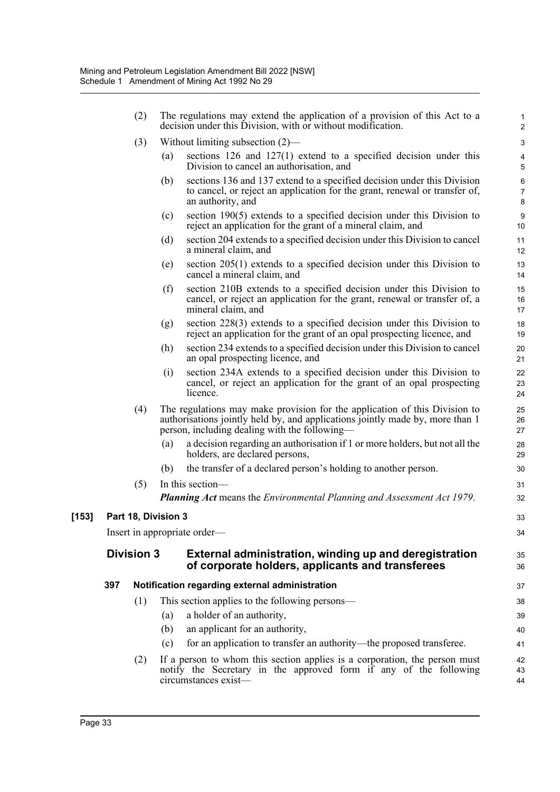|         |     | (2)                                                                                                                             |     | The regulations may extend the application of a provision of this Act to a<br>decision under this Division, with or without modification.                                                                    | $\mathbf{1}$<br>$\overline{2}$         |
|---------|-----|---------------------------------------------------------------------------------------------------------------------------------|-----|--------------------------------------------------------------------------------------------------------------------------------------------------------------------------------------------------------------|----------------------------------------|
|         |     | (3)                                                                                                                             |     | Without limiting subsection $(2)$ —                                                                                                                                                                          | 3                                      |
|         |     |                                                                                                                                 | (a) | sections $126$ and $127(1)$ extend to a specified decision under this<br>Division to cancel an authorisation, and                                                                                            | $\overline{\mathbf{4}}$<br>$\mathbf 5$ |
|         |     |                                                                                                                                 | (b) | sections 136 and 137 extend to a specified decision under this Division<br>to cancel, or reject an application for the grant, renewal or transfer of,<br>an authority, and                                   | $\,6\,$<br>$\boldsymbol{7}$<br>8       |
|         |     |                                                                                                                                 | (c) | section $190(5)$ extends to a specified decision under this Division to<br>reject an application for the grant of a mineral claim, and                                                                       | $\boldsymbol{9}$<br>10                 |
|         |     |                                                                                                                                 | (d) | section 204 extends to a specified decision under this Division to cancel<br>a mineral claim, and                                                                                                            | 11<br>12                               |
|         |     |                                                                                                                                 | (e) | section $205(1)$ extends to a specified decision under this Division to<br>cancel a mineral claim, and                                                                                                       | 13<br>14                               |
|         |     |                                                                                                                                 | (f) | section 210B extends to a specified decision under this Division to<br>cancel, or reject an application for the grant, renewal or transfer of, a<br>mineral claim, and                                       | 15<br>16<br>17                         |
|         |     |                                                                                                                                 | (g) | section $228(3)$ extends to a specified decision under this Division to<br>reject an application for the grant of an opal prospecting licence, and                                                           | 18<br>19                               |
|         |     |                                                                                                                                 | (h) | section 234 extends to a specified decision under this Division to cancel<br>an opal prospecting licence, and                                                                                                | 20<br>21                               |
|         |     |                                                                                                                                 | (i) | section 234A extends to a specified decision under this Division to<br>cancel, or reject an application for the grant of an opal prospecting<br>licence.                                                     | 22<br>23<br>24                         |
|         |     | (4)                                                                                                                             |     | The regulations may make provision for the application of this Division to<br>authorisations jointly held by, and applications jointly made by, more than 1<br>person, including dealing with the following— | 25<br>26<br>27                         |
|         |     |                                                                                                                                 | (a) | a decision regarding an authorisation if 1 or more holders, but not all the<br>holders, are declared persons,                                                                                                | 28<br>29                               |
|         |     |                                                                                                                                 | (b) | the transfer of a declared person's holding to another person.                                                                                                                                               | 30                                     |
|         |     | (5)                                                                                                                             |     | In this section—                                                                                                                                                                                             | 31                                     |
|         |     |                                                                                                                                 |     | <b>Planning Act</b> means the <i>Environmental Planning and Assessment Act 1979</i> .                                                                                                                        | 32                                     |
| $[153]$ |     | Part 18, Division 3                                                                                                             |     |                                                                                                                                                                                                              | 33                                     |
|         |     |                                                                                                                                 |     | Insert in appropriate order—                                                                                                                                                                                 | 34                                     |
|         |     | <b>Division 3</b><br>External administration, winding up and deregistration<br>of corporate holders, applicants and transferees |     |                                                                                                                                                                                                              |                                        |
|         | 397 |                                                                                                                                 |     | Notification regarding external administration                                                                                                                                                               | 37                                     |
|         |     | (1)                                                                                                                             |     | This section applies to the following persons—                                                                                                                                                               | 38                                     |
|         |     |                                                                                                                                 | (a) | a holder of an authority,                                                                                                                                                                                    | 39                                     |
|         |     |                                                                                                                                 | (b) | an applicant for an authority,                                                                                                                                                                               | 40                                     |
|         |     |                                                                                                                                 | (c) | for an application to transfer an authority—the proposed transferee.                                                                                                                                         | 41                                     |
|         |     | (2)                                                                                                                             |     | If a person to whom this section applies is a corporation, the person must<br>notify the Secretary in the approved form if any of the following<br>circumstances exist-                                      | 42<br>43<br>44                         |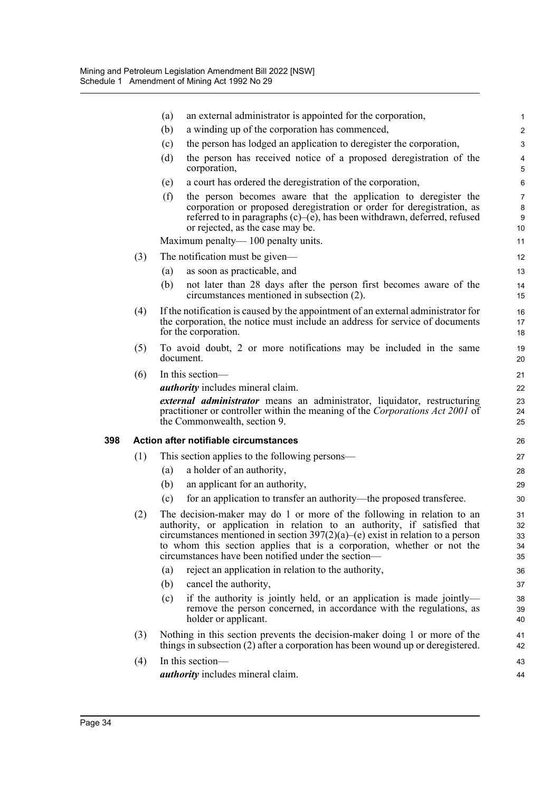|     |     | (a)                                                                                                                                                                                                                                                                                                                                                                     | an external administrator is appointed for the corporation,                                                                                                                                                                                                  | $\mathbf{1}$                                |  |  |
|-----|-----|-------------------------------------------------------------------------------------------------------------------------------------------------------------------------------------------------------------------------------------------------------------------------------------------------------------------------------------------------------------------------|--------------------------------------------------------------------------------------------------------------------------------------------------------------------------------------------------------------------------------------------------------------|---------------------------------------------|--|--|
|     |     | (b)                                                                                                                                                                                                                                                                                                                                                                     | a winding up of the corporation has commenced,                                                                                                                                                                                                               | $\overline{c}$                              |  |  |
|     |     | (c)                                                                                                                                                                                                                                                                                                                                                                     | the person has lodged an application to deregister the corporation,                                                                                                                                                                                          | 3                                           |  |  |
|     |     | (d)                                                                                                                                                                                                                                                                                                                                                                     | the person has received notice of a proposed deregistration of the<br>corporation,                                                                                                                                                                           | $\overline{4}$<br>5                         |  |  |
|     |     | (e)                                                                                                                                                                                                                                                                                                                                                                     | a court has ordered the deregistration of the corporation,                                                                                                                                                                                                   | 6                                           |  |  |
|     |     | (f)                                                                                                                                                                                                                                                                                                                                                                     | the person becomes aware that the application to deregister the<br>corporation or proposed deregistration or order for deregistration, as<br>referred to in paragraphs $(c)$ –(e), has been withdrawn, deferred, refused<br>or rejected, as the case may be. | $\overline{7}$<br>8<br>9<br>10 <sup>°</sup> |  |  |
|     |     |                                                                                                                                                                                                                                                                                                                                                                         | Maximum penalty—100 penalty units.                                                                                                                                                                                                                           | 11                                          |  |  |
|     | (3) |                                                                                                                                                                                                                                                                                                                                                                         | The notification must be given—                                                                                                                                                                                                                              | $12 \overline{ }$                           |  |  |
|     |     | (a)                                                                                                                                                                                                                                                                                                                                                                     | as soon as practicable, and                                                                                                                                                                                                                                  | 13                                          |  |  |
|     |     | (b)                                                                                                                                                                                                                                                                                                                                                                     | not later than 28 days after the person first becomes aware of the<br>circumstances mentioned in subsection (2).                                                                                                                                             | 14<br>15                                    |  |  |
|     | (4) | If the notification is caused by the appointment of an external administrator for<br>the corporation, the notice must include an address for service of documents<br>for the corporation.                                                                                                                                                                               |                                                                                                                                                                                                                                                              |                                             |  |  |
|     | (5) | To avoid doubt, 2 or more notifications may be included in the same<br>document.                                                                                                                                                                                                                                                                                        |                                                                                                                                                                                                                                                              |                                             |  |  |
|     | (6) |                                                                                                                                                                                                                                                                                                                                                                         | In this section-                                                                                                                                                                                                                                             | 21                                          |  |  |
|     |     |                                                                                                                                                                                                                                                                                                                                                                         | <i>authority</i> includes mineral claim.                                                                                                                                                                                                                     | 22                                          |  |  |
|     |     |                                                                                                                                                                                                                                                                                                                                                                         | external administrator means an administrator, liquidator, restructuring<br>practitioner or controller within the meaning of the Corporations Act 2001 of<br>the Commonwealth, section 9.                                                                    | 23<br>24<br>25                              |  |  |
| 398 |     |                                                                                                                                                                                                                                                                                                                                                                         | Action after notifiable circumstances                                                                                                                                                                                                                        | 26                                          |  |  |
|     | (1) |                                                                                                                                                                                                                                                                                                                                                                         | This section applies to the following persons—                                                                                                                                                                                                               | 27                                          |  |  |
|     |     | (a)                                                                                                                                                                                                                                                                                                                                                                     | a holder of an authority,                                                                                                                                                                                                                                    | 28                                          |  |  |
|     |     | (b)                                                                                                                                                                                                                                                                                                                                                                     | an applicant for an authority,                                                                                                                                                                                                                               | 29                                          |  |  |
|     |     | (c)                                                                                                                                                                                                                                                                                                                                                                     | for an application to transfer an authority—the proposed transferee.                                                                                                                                                                                         | 30                                          |  |  |
|     | (2) | The decision-maker may do 1 or more of the following in relation to an<br>authority, or application in relation to an authority, if satisfied that<br>circumstances mentioned in section $397(2)(a)$ (e) exist in relation to a person<br>to whom this section applies that is a corporation, whether or not the<br>circumstances have been notified under the section- |                                                                                                                                                                                                                                                              |                                             |  |  |
|     |     | (a)                                                                                                                                                                                                                                                                                                                                                                     | reject an application in relation to the authority,                                                                                                                                                                                                          | 36                                          |  |  |
|     |     | (b)                                                                                                                                                                                                                                                                                                                                                                     | cancel the authority,                                                                                                                                                                                                                                        | 37                                          |  |  |
|     |     | (c)                                                                                                                                                                                                                                                                                                                                                                     | if the authority is jointly held, or an application is made jointly—<br>remove the person concerned, in accordance with the regulations, as<br>holder or applicant.                                                                                          | 38<br>39<br>40                              |  |  |
|     | (3) | Nothing in this section prevents the decision-maker doing 1 or more of the<br>things in subsection $(2)$ after a corporation has been wound up or deregistered.                                                                                                                                                                                                         |                                                                                                                                                                                                                                                              |                                             |  |  |
|     | (4) |                                                                                                                                                                                                                                                                                                                                                                         | In this section-<br><i>authority</i> includes mineral claim.                                                                                                                                                                                                 | 43<br>44                                    |  |  |
|     |     |                                                                                                                                                                                                                                                                                                                                                                         |                                                                                                                                                                                                                                                              |                                             |  |  |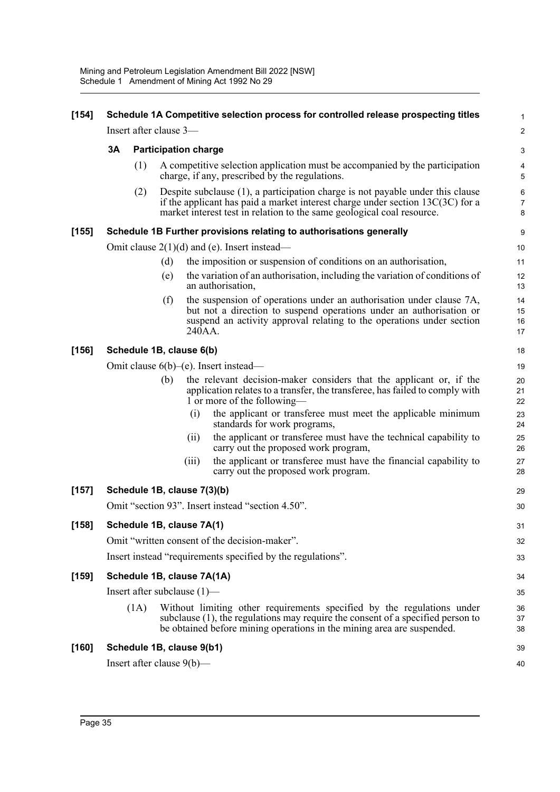| $[154]$ | Schedule 1A Competitive selection process for controlled release prospecting titles |                        |     |                                |                                                                                                                                                                                                                                                 |                          |  |
|---------|-------------------------------------------------------------------------------------|------------------------|-----|--------------------------------|-------------------------------------------------------------------------------------------------------------------------------------------------------------------------------------------------------------------------------------------------|--------------------------|--|
|         |                                                                                     | Insert after clause 3- |     |                                |                                                                                                                                                                                                                                                 | $\boldsymbol{2}$         |  |
|         | 3A                                                                                  |                        |     | <b>Participation charge</b>    |                                                                                                                                                                                                                                                 | 3                        |  |
|         |                                                                                     | (1)                    |     |                                | A competitive selection application must be accompanied by the participation<br>charge, if any, prescribed by the regulations.                                                                                                                  | 4<br>5                   |  |
|         |                                                                                     | (2)                    |     |                                | Despite subclause $(1)$ , a participation charge is not payable under this clause<br>if the applicant has paid a market interest charge under section $13C(3C)$ for a<br>market interest test in relation to the same geological coal resource. | 6<br>$\overline{7}$<br>8 |  |
| $[155]$ |                                                                                     |                        |     |                                | Schedule 1B Further provisions relating to authorisations generally                                                                                                                                                                             | 9                        |  |
|         |                                                                                     |                        |     |                                | Omit clause $2(1)(d)$ and (e). Insert instead—                                                                                                                                                                                                  | 10                       |  |
|         |                                                                                     |                        | (d) |                                | the imposition or suspension of conditions on an authorisation,                                                                                                                                                                                 | 11                       |  |
|         |                                                                                     |                        | (e) |                                | the variation of an authorisation, including the variation of conditions of<br>an authorisation,                                                                                                                                                | 12<br>13                 |  |
|         |                                                                                     |                        | (f) | 240AA.                         | the suspension of operations under an authorisation under clause 7A,<br>but not a direction to suspend operations under an authorisation or<br>suspend an activity approval relating to the operations under section                            | 14<br>15<br>16<br>17     |  |
| $[156]$ |                                                                                     |                        |     | Schedule 1B, clause 6(b)       |                                                                                                                                                                                                                                                 | 18                       |  |
|         | Omit clause $6(b)$ –(e). Insert instead–                                            |                        |     |                                |                                                                                                                                                                                                                                                 |                          |  |
|         |                                                                                     |                        | (b) |                                | the relevant decision-maker considers that the applicant or, if the<br>application relates to a transfer, the transferee, has failed to comply with<br>1 or more of the following—                                                              | 20<br>21<br>22           |  |
|         |                                                                                     |                        |     | (i)                            | the applicant or transferee must meet the applicable minimum<br>standards for work programs,                                                                                                                                                    | 23<br>24                 |  |
|         |                                                                                     |                        |     | (i)                            | the applicant or transferee must have the technical capability to<br>carry out the proposed work program,                                                                                                                                       | 25<br>26                 |  |
|         |                                                                                     |                        |     | (iii)                          | the applicant or transferee must have the financial capability to<br>carry out the proposed work program.                                                                                                                                       | 27<br>28                 |  |
| $[157]$ | Schedule 1B, clause 7(3)(b)                                                         |                        |     |                                |                                                                                                                                                                                                                                                 |                          |  |
|         | Omit "section 93". Insert instead "section 4.50".                                   |                        |     |                                |                                                                                                                                                                                                                                                 |                          |  |
| [158]   | Schedule 1B, clause 7A(1)                                                           |                        |     |                                |                                                                                                                                                                                                                                                 |                          |  |
|         |                                                                                     |                        |     |                                | Omit "written consent of the decision-maker".                                                                                                                                                                                                   | 32                       |  |
|         | Insert instead "requirements specified by the regulations".                         |                        |     |                                |                                                                                                                                                                                                                                                 |                          |  |
| $[159]$ |                                                                                     |                        |     | Schedule 1B, clause 7A(1A)     |                                                                                                                                                                                                                                                 | 34                       |  |
|         |                                                                                     |                        |     | Insert after subclause $(1)$ — |                                                                                                                                                                                                                                                 | 35                       |  |
|         |                                                                                     | (1A)                   |     |                                | Without limiting other requirements specified by the regulations under<br>subclause $(1)$ , the regulations may require the consent of a specified person to<br>be obtained before mining operations in the mining area are suspended.          | 36<br>37<br>38           |  |
| [160]   |                                                                                     |                        |     | Schedule 1B, clause 9(b1)      |                                                                                                                                                                                                                                                 | 39                       |  |
|         |                                                                                     |                        |     | Insert after clause $9(b)$ —   |                                                                                                                                                                                                                                                 | 40                       |  |
|         |                                                                                     |                        |     |                                |                                                                                                                                                                                                                                                 |                          |  |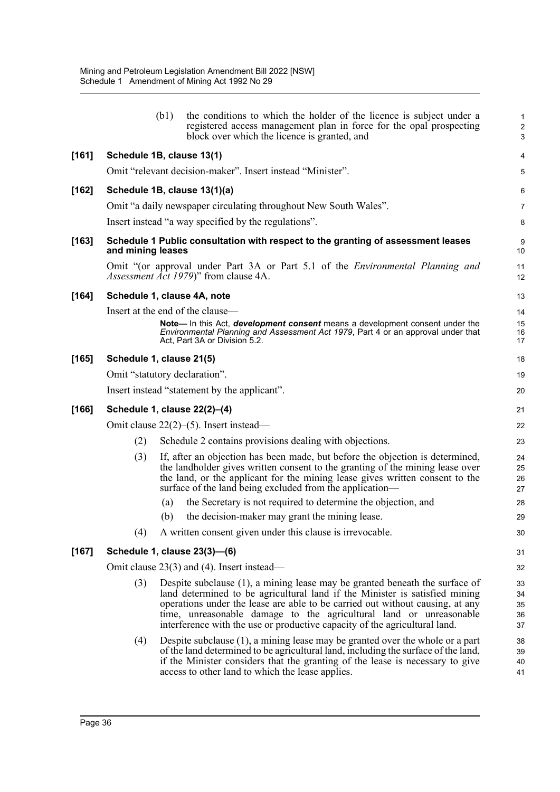|         |                                                                                                                                                                                                                                                                                                                                                                                                           | (b1) | the conditions to which the holder of the licence is subject under a<br>registered access management plan in force for the opal prospecting<br>block over which the licence is granted, and                                                                                                                 | 1<br>$\overline{c}$<br>3 |  |  |
|---------|-----------------------------------------------------------------------------------------------------------------------------------------------------------------------------------------------------------------------------------------------------------------------------------------------------------------------------------------------------------------------------------------------------------|------|-------------------------------------------------------------------------------------------------------------------------------------------------------------------------------------------------------------------------------------------------------------------------------------------------------------|--------------------------|--|--|
| $[161]$ | Schedule 1B, clause 13(1)                                                                                                                                                                                                                                                                                                                                                                                 |      |                                                                                                                                                                                                                                                                                                             | 4                        |  |  |
|         |                                                                                                                                                                                                                                                                                                                                                                                                           |      | Omit "relevant decision-maker". Insert instead "Minister".                                                                                                                                                                                                                                                  | 5                        |  |  |
| $[162]$ |                                                                                                                                                                                                                                                                                                                                                                                                           |      | Schedule 1B, clause 13(1)(a)                                                                                                                                                                                                                                                                                | 6                        |  |  |
|         |                                                                                                                                                                                                                                                                                                                                                                                                           |      | Omit "a daily newspaper circulating throughout New South Wales".                                                                                                                                                                                                                                            | $\overline{7}$           |  |  |
|         |                                                                                                                                                                                                                                                                                                                                                                                                           |      | Insert instead "a way specified by the regulations".                                                                                                                                                                                                                                                        | 8                        |  |  |
| $[163]$ | and mining leases                                                                                                                                                                                                                                                                                                                                                                                         |      | Schedule 1 Public consultation with respect to the granting of assessment leases                                                                                                                                                                                                                            | 9<br>10                  |  |  |
|         |                                                                                                                                                                                                                                                                                                                                                                                                           |      | Omit "(or approval under Part 3A or Part 5.1 of the <i>Environmental Planning and</i><br><i>Assessment Act 1979</i> )" from clause 4A.                                                                                                                                                                      | 11<br>12                 |  |  |
| [164]   |                                                                                                                                                                                                                                                                                                                                                                                                           |      | Schedule 1, clause 4A, note                                                                                                                                                                                                                                                                                 | 13                       |  |  |
|         |                                                                                                                                                                                                                                                                                                                                                                                                           |      | Insert at the end of the clause—                                                                                                                                                                                                                                                                            | 14                       |  |  |
|         |                                                                                                                                                                                                                                                                                                                                                                                                           |      | Note— In this Act, development consent means a development consent under the<br>Environmental Planning and Assessment Act 1979, Part 4 or an approval under that<br>Act, Part 3A or Division 5.2.                                                                                                           | 15<br>16<br>17           |  |  |
| $[165]$ | Schedule 1, clause 21(5)                                                                                                                                                                                                                                                                                                                                                                                  |      |                                                                                                                                                                                                                                                                                                             | 18                       |  |  |
|         |                                                                                                                                                                                                                                                                                                                                                                                                           |      | Omit "statutory declaration".                                                                                                                                                                                                                                                                               | 19                       |  |  |
|         |                                                                                                                                                                                                                                                                                                                                                                                                           |      | Insert instead "statement by the applicant".                                                                                                                                                                                                                                                                | 20                       |  |  |
| $[166]$ | Schedule 1, clause 22(2)-(4)                                                                                                                                                                                                                                                                                                                                                                              |      |                                                                                                                                                                                                                                                                                                             |                          |  |  |
|         | Omit clause $22(2)$ –(5). Insert instead—                                                                                                                                                                                                                                                                                                                                                                 |      |                                                                                                                                                                                                                                                                                                             |                          |  |  |
|         | (2)                                                                                                                                                                                                                                                                                                                                                                                                       |      | Schedule 2 contains provisions dealing with objections.                                                                                                                                                                                                                                                     | 23                       |  |  |
|         | (3)                                                                                                                                                                                                                                                                                                                                                                                                       |      | If, after an objection has been made, but before the objection is determined,<br>the landholder gives written consent to the granting of the mining lease over<br>the land, or the applicant for the mining lease gives written consent to the<br>surface of the land being excluded from the application—  | 24<br>25<br>26<br>27     |  |  |
|         |                                                                                                                                                                                                                                                                                                                                                                                                           | (a)  | the Secretary is not required to determine the objection, and                                                                                                                                                                                                                                               | 28                       |  |  |
|         |                                                                                                                                                                                                                                                                                                                                                                                                           | (b)  | the decision-maker may grant the mining lease.                                                                                                                                                                                                                                                              | 29                       |  |  |
|         |                                                                                                                                                                                                                                                                                                                                                                                                           |      | (4) A written consent given under this clause is irrevocable.                                                                                                                                                                                                                                               | 30                       |  |  |
| [167]   |                                                                                                                                                                                                                                                                                                                                                                                                           |      | Schedule 1, clause 23(3)-(6)                                                                                                                                                                                                                                                                                | 31                       |  |  |
|         |                                                                                                                                                                                                                                                                                                                                                                                                           |      | Omit clause $23(3)$ and (4). Insert instead—                                                                                                                                                                                                                                                                | 32                       |  |  |
|         | (3)<br>Despite subclause $(1)$ , a mining lease may be granted beneath the surface of<br>land determined to be agricultural land if the Minister is satisfied mining<br>operations under the lease are able to be carried out without causing, at any<br>time, unreasonable damage to the agricultural land or unreasonable<br>interference with the use or productive capacity of the agricultural land. |      |                                                                                                                                                                                                                                                                                                             |                          |  |  |
|         | (4)                                                                                                                                                                                                                                                                                                                                                                                                       |      | Despite subclause $(1)$ , a mining lease may be granted over the whole or a part<br>of the land determined to be agricultural land, including the surface of the land,<br>if the Minister considers that the granting of the lease is necessary to give<br>access to other land to which the lease applies. | 38<br>39<br>40<br>41     |  |  |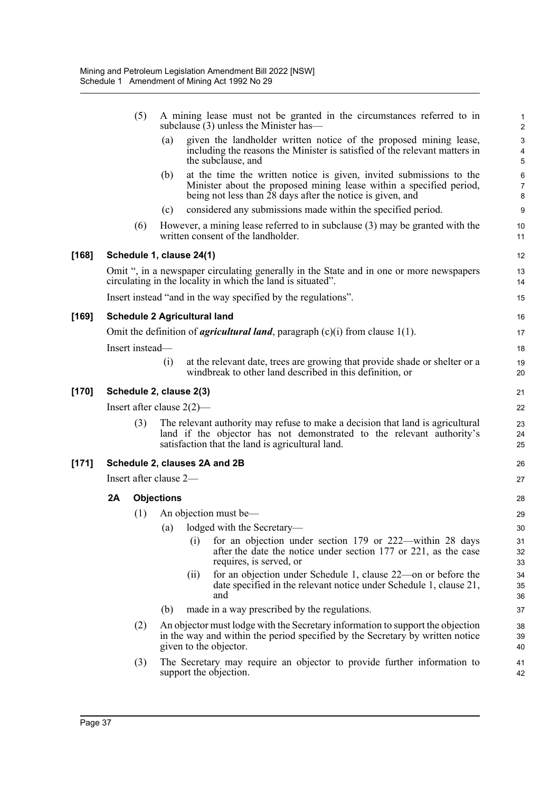|         |                               | (5)             |     | A mining lease must not be granted in the circumstances referred to in<br>subclause (3) unless the Minister has—                                                                                            | $\mathbf{1}$<br>$\overline{2}$ |  |  |  |
|---------|-------------------------------|-----------------|-----|-------------------------------------------------------------------------------------------------------------------------------------------------------------------------------------------------------------|--------------------------------|--|--|--|
|         |                               |                 | (a) | given the landholder written notice of the proposed mining lease,<br>including the reasons the Minister is satisfied of the relevant matters in<br>the subclause, and                                       | 3<br>4<br>5                    |  |  |  |
|         |                               |                 | (b) | at the time the written notice is given, invited submissions to the<br>Minister about the proposed mining lease within a specified period,<br>being not less than 28 days after the notice is given, and    | 6<br>$\overline{7}$<br>8       |  |  |  |
|         |                               |                 | (c) | considered any submissions made within the specified period.                                                                                                                                                | $\boldsymbol{9}$               |  |  |  |
|         |                               | (6)             |     | However, a mining lease referred to in subclause (3) may be granted with the<br>written consent of the landholder.                                                                                          | 10<br>11                       |  |  |  |
| [168]   |                               |                 |     | Schedule 1, clause 24(1)                                                                                                                                                                                    | 12                             |  |  |  |
|         |                               |                 |     | Omit ", in a newspaper circulating generally in the State and in one or more newspapers<br>circulating in the locality in which the land is situated".                                                      | 13<br>14                       |  |  |  |
|         |                               |                 |     | Insert instead "and in the way specified by the regulations".                                                                                                                                               | 15                             |  |  |  |
| $[169]$ |                               |                 |     | <b>Schedule 2 Agricultural land</b>                                                                                                                                                                         | 16                             |  |  |  |
|         |                               |                 |     | Omit the definition of <i>agricultural land</i> , paragraph $(c)(i)$ from clause 1(1).                                                                                                                      | 17                             |  |  |  |
|         |                               | Insert instead- |     |                                                                                                                                                                                                             | 18                             |  |  |  |
|         |                               |                 | (i) | at the relevant date, trees are growing that provide shade or shelter or a<br>windbreak to other land described in this definition, or                                                                      | 19<br>20                       |  |  |  |
| [170]   |                               |                 |     | Schedule 2, clause 2(3)                                                                                                                                                                                     | 21                             |  |  |  |
|         |                               |                 |     | Insert after clause $2(2)$ —                                                                                                                                                                                | 22                             |  |  |  |
|         |                               | (3)             |     | The relevant authority may refuse to make a decision that land is agricultural<br>land if the objector has not demonstrated to the relevant authority's<br>satisfaction that the land is agricultural land. | 23<br>24<br>25                 |  |  |  |
| $[171]$ | Schedule 2, clauses 2A and 2B |                 |     |                                                                                                                                                                                                             |                                |  |  |  |
|         | Insert after clause 2-        |                 |     |                                                                                                                                                                                                             |                                |  |  |  |
|         | 2A<br><b>Objections</b>       |                 |     |                                                                                                                                                                                                             |                                |  |  |  |
|         |                               | (1)             |     | An objection must be-                                                                                                                                                                                       | 29                             |  |  |  |
|         |                               |                 | (a) | lodged with the Secretary-                                                                                                                                                                                  | 30                             |  |  |  |
|         |                               |                 |     | (i)<br>for an objection under section 179 or 222—within 28 days<br>after the date the notice under section 177 or 221, as the case<br>requires, is served, or                                               | 31<br>32<br>33                 |  |  |  |
|         |                               |                 |     | for an objection under Schedule 1, clause 22—on or before the<br>(11)<br>date specified in the relevant notice under Schedule 1, clause 21,<br>and                                                          | 34<br>35<br>36                 |  |  |  |
|         |                               |                 | (b) | made in a way prescribed by the regulations.                                                                                                                                                                | 37                             |  |  |  |
|         |                               | (2)             |     | An objector must lodge with the Secretary information to support the objection<br>in the way and within the period specified by the Secretary by written notice<br>given to the objector.                   | 38<br>39<br>40                 |  |  |  |
|         |                               | (3)             |     | The Secretary may require an objector to provide further information to<br>support the objection.                                                                                                           | 41<br>42                       |  |  |  |
|         |                               |                 |     |                                                                                                                                                                                                             |                                |  |  |  |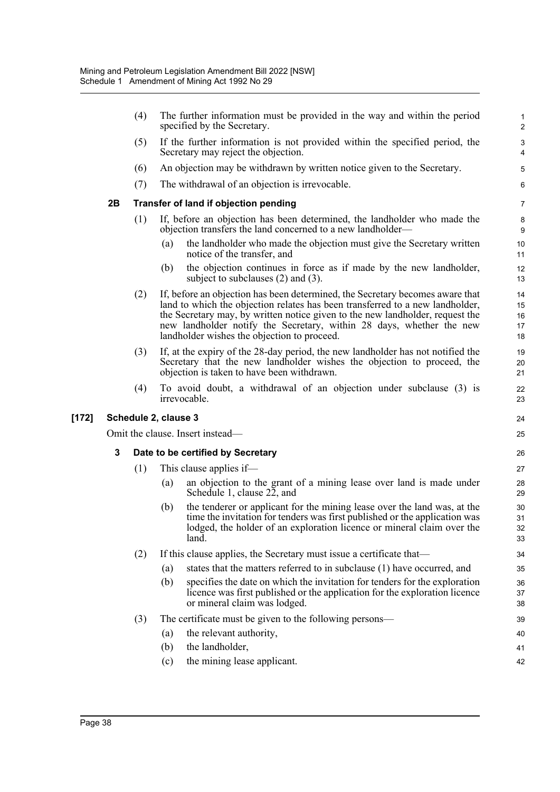|         |                      | (4)                              | The further information must be provided in the way and within the period<br>specified by the Secretary.                                                                                                                                                                                                                                                               | $\mathbf{1}$<br>$\overline{2}$ |  |  |  |
|---------|----------------------|----------------------------------|------------------------------------------------------------------------------------------------------------------------------------------------------------------------------------------------------------------------------------------------------------------------------------------------------------------------------------------------------------------------|--------------------------------|--|--|--|
|         |                      | (5)                              | If the further information is not provided within the specified period, the<br>Secretary may reject the objection.                                                                                                                                                                                                                                                     | $\sqrt{3}$<br>4                |  |  |  |
|         |                      | (6)                              | An objection may be withdrawn by written notice given to the Secretary.                                                                                                                                                                                                                                                                                                | 5                              |  |  |  |
|         |                      | (7)                              | The withdrawal of an objection is irrevocable.                                                                                                                                                                                                                                                                                                                         | 6                              |  |  |  |
|         | 2B                   |                                  | Transfer of land if objection pending                                                                                                                                                                                                                                                                                                                                  | $\overline{7}$                 |  |  |  |
|         |                      | (1)                              | If, before an objection has been determined, the landholder who made the<br>objection transfers the land concerned to a new landholder—                                                                                                                                                                                                                                |                                |  |  |  |
|         |                      |                                  | the landholder who made the objection must give the Secretary written<br>(a)<br>notice of the transfer, and                                                                                                                                                                                                                                                            | 10<br>11                       |  |  |  |
|         |                      |                                  | the objection continues in force as if made by the new landholder,<br>(b)<br>subject to subclauses $(2)$ and $(3)$ .                                                                                                                                                                                                                                                   | 12<br>13                       |  |  |  |
|         |                      | (2)                              | If, before an objection has been determined, the Secretary becomes aware that<br>land to which the objection relates has been transferred to a new landholder,<br>the Secretary may, by written notice given to the new landholder, request the<br>new landholder notify the Secretary, within 28 days, whether the new<br>landholder wishes the objection to proceed. | 14<br>15<br>16<br>17<br>18     |  |  |  |
|         |                      | (3)                              | If, at the expiry of the 28-day period, the new landholder has not notified the<br>Secretary that the new landholder wishes the objection to proceed, the<br>objection is taken to have been withdrawn.                                                                                                                                                                | 19<br>20<br>21                 |  |  |  |
|         |                      | (4)                              | To avoid doubt, a withdrawal of an objection under subclause (3) is<br>irrevocable.                                                                                                                                                                                                                                                                                    | 22<br>23                       |  |  |  |
| $[172]$ | Schedule 2, clause 3 |                                  |                                                                                                                                                                                                                                                                                                                                                                        |                                |  |  |  |
|         |                      | Omit the clause. Insert instead— |                                                                                                                                                                                                                                                                                                                                                                        |                                |  |  |  |
|         | 3                    |                                  | Date to be certified by Secretary                                                                                                                                                                                                                                                                                                                                      |                                |  |  |  |
|         |                      | (1)                              | This clause applies if—                                                                                                                                                                                                                                                                                                                                                | 27                             |  |  |  |
|         |                      |                                  | an objection to the grant of a mining lease over land is made under<br>(a)<br>Schedule 1, clause 22, and                                                                                                                                                                                                                                                               | 28<br>29                       |  |  |  |
|         |                      |                                  | the tenderer or applicant for the mining lease over the land was, at the<br>(b)<br>time the invitation for tenders was first published or the application was<br>lodged, the holder of an exploration licence or mineral claim over the<br>land.                                                                                                                       | 30<br>31<br>32<br>33           |  |  |  |
|         |                      | (2)                              | If this clause applies, the Secretary must issue a certificate that—                                                                                                                                                                                                                                                                                                   | 34                             |  |  |  |
|         |                      |                                  | states that the matters referred to in subclause (1) have occurred, and<br>(a)                                                                                                                                                                                                                                                                                         | 35                             |  |  |  |
|         |                      |                                  | specifies the date on which the invitation for tenders for the exploration<br>(b)<br>licence was first published or the application for the exploration licence<br>or mineral claim was lodged.                                                                                                                                                                        | 36<br>37<br>38                 |  |  |  |
|         |                      | (3)                              | The certificate must be given to the following persons—                                                                                                                                                                                                                                                                                                                | 39                             |  |  |  |
|         |                      |                                  | the relevant authority,<br>(a)                                                                                                                                                                                                                                                                                                                                         | 40                             |  |  |  |
|         |                      |                                  | the landholder,<br>(b)                                                                                                                                                                                                                                                                                                                                                 | 41                             |  |  |  |
|         |                      |                                  | the mining lease applicant.<br>(c)                                                                                                                                                                                                                                                                                                                                     | 42                             |  |  |  |
|         |                      |                                  |                                                                                                                                                                                                                                                                                                                                                                        |                                |  |  |  |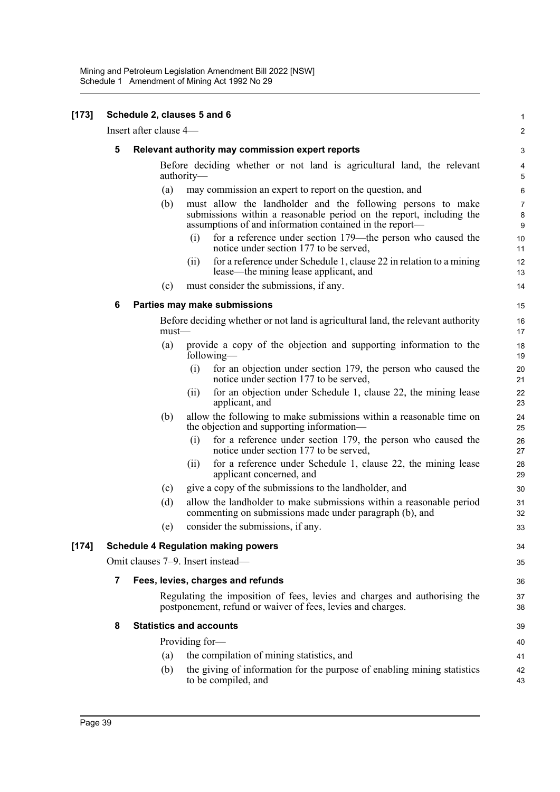| $[173]$ |                                            | Schedule 2, clauses 5 and 6 |                                                                                                                                                                                               | $\mathbf 1$                      |  |  |  |
|---------|--------------------------------------------|-----------------------------|-----------------------------------------------------------------------------------------------------------------------------------------------------------------------------------------------|----------------------------------|--|--|--|
|         |                                            | Insert after clause 4-      |                                                                                                                                                                                               | $\boldsymbol{2}$                 |  |  |  |
|         | 5                                          |                             | Relevant authority may commission expert reports                                                                                                                                              | 3                                |  |  |  |
|         |                                            |                             | Before deciding whether or not land is agricultural land, the relevant<br>authority—                                                                                                          | 4<br>5                           |  |  |  |
|         |                                            | (a)                         | may commission an expert to report on the question, and                                                                                                                                       | $\,6\,$                          |  |  |  |
|         |                                            | (b)                         | must allow the landholder and the following persons to make<br>submissions within a reasonable period on the report, including the<br>assumptions of and information contained in the report— | $\boldsymbol{7}$<br>$\bf 8$<br>9 |  |  |  |
|         |                                            |                             | for a reference under section 179—the person who caused the<br>(i)<br>notice under section 177 to be served,                                                                                  | 10<br>11                         |  |  |  |
|         |                                            |                             | for a reference under Schedule 1, clause 22 in relation to a mining<br>(11)<br>lease—the mining lease applicant, and                                                                          | 12<br>13                         |  |  |  |
|         |                                            | (c)                         | must consider the submissions, if any.                                                                                                                                                        | 14                               |  |  |  |
|         | 6                                          |                             | Parties may make submissions                                                                                                                                                                  | 15                               |  |  |  |
|         |                                            | $must$ —                    | Before deciding whether or not land is agricultural land, the relevant authority                                                                                                              | 16<br>17                         |  |  |  |
|         |                                            | (a)                         | provide a copy of the objection and supporting information to the<br>following—                                                                                                               | 18<br>19                         |  |  |  |
|         |                                            |                             | (i)<br>for an objection under section 179, the person who caused the<br>notice under section 177 to be served,                                                                                | 20<br>21                         |  |  |  |
|         |                                            |                             | for an objection under Schedule 1, clause 22, the mining lease<br>(i)<br>applicant, and                                                                                                       | 22<br>23                         |  |  |  |
|         |                                            | (b)                         | allow the following to make submissions within a reasonable time on<br>the objection and supporting information—                                                                              | 24<br>25                         |  |  |  |
|         |                                            |                             | for a reference under section 179, the person who caused the<br>(i)<br>notice under section 177 to be served,                                                                                 | 26<br>27                         |  |  |  |
|         |                                            |                             | for a reference under Schedule 1, clause 22, the mining lease<br>(11)<br>applicant concerned, and                                                                                             | 28<br>29                         |  |  |  |
|         |                                            | (c)                         | give a copy of the submissions to the landholder, and                                                                                                                                         | 30                               |  |  |  |
|         |                                            | (d)                         | allow the landholder to make submissions within a reasonable period<br>commenting on submissions made under paragraph (b), and                                                                | 31<br>32                         |  |  |  |
|         |                                            | (e)                         | consider the submissions, if any.                                                                                                                                                             | 33                               |  |  |  |
| $[174]$ | <b>Schedule 4 Regulation making powers</b> |                             |                                                                                                                                                                                               |                                  |  |  |  |
|         |                                            |                             | Omit clauses 7-9. Insert instead-                                                                                                                                                             | 35                               |  |  |  |
|         | 7                                          |                             | Fees, levies, charges and refunds                                                                                                                                                             | 36                               |  |  |  |
|         |                                            |                             | Regulating the imposition of fees, levies and charges and authorising the<br>postponement, refund or waiver of fees, levies and charges.                                                      | 37<br>38                         |  |  |  |
|         | 8                                          |                             | <b>Statistics and accounts</b>                                                                                                                                                                | 39                               |  |  |  |
|         |                                            |                             | Providing for-                                                                                                                                                                                | 40                               |  |  |  |
|         |                                            | (a)                         | the compilation of mining statistics, and                                                                                                                                                     | 41                               |  |  |  |
|         |                                            | (b)                         | the giving of information for the purpose of enabling mining statistics<br>to be compiled, and                                                                                                | 42<br>43                         |  |  |  |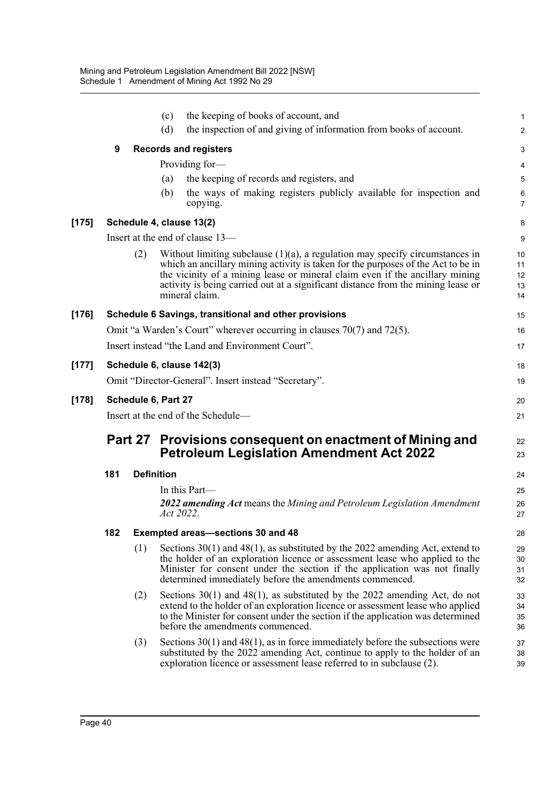|         |                                    |     | (c)<br>(d)        | the keeping of books of account, and<br>the inspection of and giving of information from books of account.                                                                                                                                                                                                                                                | $\mathbf 1$<br>$\boldsymbol{2}$ |  |  |  |
|---------|------------------------------------|-----|-------------------|-----------------------------------------------------------------------------------------------------------------------------------------------------------------------------------------------------------------------------------------------------------------------------------------------------------------------------------------------------------|---------------------------------|--|--|--|
|         | 9                                  |     |                   | <b>Records and registers</b>                                                                                                                                                                                                                                                                                                                              | 3                               |  |  |  |
|         |                                    |     |                   | Providing for-                                                                                                                                                                                                                                                                                                                                            | 4                               |  |  |  |
|         |                                    |     | (a)               | the keeping of records and registers, and                                                                                                                                                                                                                                                                                                                 | 5                               |  |  |  |
|         |                                    |     | (b)               | the ways of making registers publicly available for inspection and<br>copying.                                                                                                                                                                                                                                                                            | $\,6\,$<br>$\overline{7}$       |  |  |  |
| $[175]$ |                                    |     |                   | Schedule 4, clause 13(2)                                                                                                                                                                                                                                                                                                                                  | 8                               |  |  |  |
|         |                                    |     |                   | Insert at the end of clause 13-                                                                                                                                                                                                                                                                                                                           | 9                               |  |  |  |
|         |                                    | (2) |                   | Without limiting subclause $(1)(a)$ , a regulation may specify circumstances in<br>which an ancillary mining activity is taken for the purposes of the Act to be in<br>the vicinity of a mining lease or mineral claim even if the ancillary mining<br>activity is being carried out at a significant distance from the mining lease or<br>mineral claim. | 10<br>11<br>12<br>13<br>14      |  |  |  |
| [176]   |                                    |     |                   | Schedule 6 Savings, transitional and other provisions                                                                                                                                                                                                                                                                                                     | 15                              |  |  |  |
|         |                                    |     |                   | Omit "a Warden's Court" wherever occurring in clauses $70(7)$ and $72(5)$ .                                                                                                                                                                                                                                                                               | 16                              |  |  |  |
|         |                                    |     |                   | Insert instead "the Land and Environment Court".                                                                                                                                                                                                                                                                                                          | 17                              |  |  |  |
| $[177]$ |                                    |     |                   | Schedule 6, clause 142(3)                                                                                                                                                                                                                                                                                                                                 | 18                              |  |  |  |
|         |                                    |     |                   | Omit "Director-General". Insert instead "Secretary".                                                                                                                                                                                                                                                                                                      | 19                              |  |  |  |
| $[178]$ | Schedule 6, Part 27                |     |                   |                                                                                                                                                                                                                                                                                                                                                           |                                 |  |  |  |
|         | Insert at the end of the Schedule- |     |                   |                                                                                                                                                                                                                                                                                                                                                           |                                 |  |  |  |
|         |                                    |     |                   | Part 27 Provisions consequent on enactment of Mining and<br><b>Petroleum Legislation Amendment Act 2022</b>                                                                                                                                                                                                                                               |                                 |  |  |  |
|         | 181                                |     | <b>Definition</b> |                                                                                                                                                                                                                                                                                                                                                           |                                 |  |  |  |
|         |                                    |     |                   | In this Part—                                                                                                                                                                                                                                                                                                                                             | 25                              |  |  |  |
|         |                                    |     | Act 2022.         | 2022 amending Act means the Mining and Petroleum Legislation Amendment                                                                                                                                                                                                                                                                                    | 26<br>27                        |  |  |  |
|         | 182                                |     |                   | <b>Exempted areas-sections 30 and 48</b>                                                                                                                                                                                                                                                                                                                  | 28                              |  |  |  |
|         |                                    | (1) |                   | Sections $30(1)$ and $48(1)$ , as substituted by the 2022 amending Act, extend to<br>the holder of an exploration licence or assessment lease who applied to the<br>Minister for consent under the section if the application was not finally<br>determined immediately before the amendments commenced.                                                  | 29<br>30<br>31<br>32            |  |  |  |
|         |                                    | (2) |                   | Sections $30(1)$ and $48(1)$ , as substituted by the 2022 amending Act, do not<br>extend to the holder of an exploration licence or assessment lease who applied<br>to the Minister for consent under the section if the application was determined<br>before the amendments commenced.                                                                   | 33<br>34<br>35<br>36            |  |  |  |
|         |                                    | (3) |                   | Sections $30(1)$ and $48(1)$ , as in force immediately before the subsections were<br>substituted by the 2022 amending Act, continue to apply to the holder of an<br>exploration licence or assessment lease referred to in subclause (2).                                                                                                                | 37<br>38<br>39                  |  |  |  |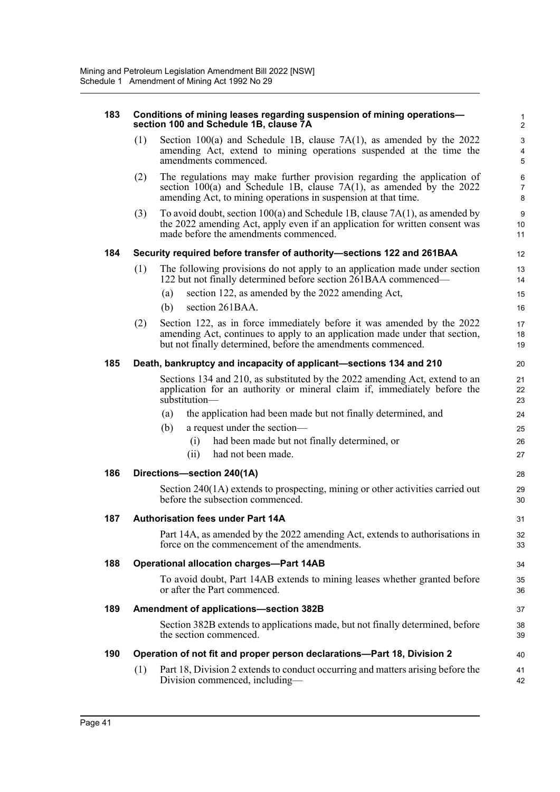| 183 |     | Conditions of mining leases regarding suspension of mining operations-<br>section 100 and Schedule 1B, clause 7A                                                                                                       | 1<br>$\overline{2}$                          |
|-----|-----|------------------------------------------------------------------------------------------------------------------------------------------------------------------------------------------------------------------------|----------------------------------------------|
|     | (1) | Section 100(a) and Schedule 1B, clause $7A(1)$ , as amended by the 2022<br>amending Act, extend to mining operations suspended at the time the<br>amendments commenced.                                                | $\mathbf{3}$<br>$\overline{\mathbf{4}}$<br>5 |
|     | (2) | The regulations may make further provision regarding the application of<br>section $100(a)$ and Schedule 1B, clause $7A(1)$ , as amended by the 2022<br>amending Act, to mining operations in suspension at that time. | 6<br>$\overline{7}$<br>8                     |
|     | (3) | To avoid doubt, section $100(a)$ and Schedule 1B, clause $7A(1)$ , as amended by<br>the 2022 amending Act, apply even if an application for written consent was<br>made before the amendments commenced.               | 9<br>10<br>11                                |
| 184 |     | Security required before transfer of authority-sections 122 and 261BAA                                                                                                                                                 | 12                                           |
|     | (1) | The following provisions do not apply to an application made under section<br>122 but not finally determined before section 261BAA commenced—                                                                          | 13<br>14                                     |
|     |     | section 122, as amended by the 2022 amending Act,<br>(a)<br>section 261BAA.<br>(b)                                                                                                                                     | 15<br>16                                     |
|     | (2) | Section 122, as in force immediately before it was amended by the 2022<br>amending Act, continues to apply to an application made under that section,<br>but not finally determined, before the amendments commenced.  | 17<br>18<br>19                               |
| 185 |     | Death, bankruptcy and incapacity of applicant-sections 134 and 210                                                                                                                                                     | 20                                           |
|     |     | Sections 134 and 210, as substituted by the 2022 amending Act, extend to an<br>application for an authority or mineral claim if, immediately before the<br>substitution-                                               | 21<br>22<br>23                               |
|     |     | the application had been made but not finally determined, and<br>(a)                                                                                                                                                   | 24                                           |
|     |     | a request under the section-<br>(b)                                                                                                                                                                                    | 25                                           |
|     |     | had been made but not finally determined, or<br>(i)<br>had not been made.<br>(ii)                                                                                                                                      | 26<br>27                                     |
|     |     |                                                                                                                                                                                                                        |                                              |
| 186 |     | Directions-section 240(1A)                                                                                                                                                                                             | 28                                           |
|     |     | Section 240(1A) extends to prospecting, mining or other activities carried out<br>before the subsection commenced.                                                                                                     | 29<br>30                                     |
| 187 |     | <b>Authorisation fees under Part 14A</b>                                                                                                                                                                               | 31                                           |
|     |     | Part 14A, as amended by the 2022 amending Act, extends to authorisations in<br>force on the commencement of the amendments.                                                                                            | 32<br>33                                     |
| 188 |     | <b>Operational allocation charges-Part 14AB</b>                                                                                                                                                                        | 34                                           |
|     |     | To avoid doubt, Part 14AB extends to mining leases whether granted before<br>or after the Part commenced.                                                                                                              | 35<br>36                                     |
| 189 |     | Amendment of applications-section 382B                                                                                                                                                                                 | 37                                           |
|     |     | Section 382B extends to applications made, but not finally determined, before<br>the section commenced.                                                                                                                | 38<br>39                                     |
| 190 |     | Operation of not fit and proper person declarations-Part 18, Division 2                                                                                                                                                | 40                                           |
|     | (1) | Part 18, Division 2 extends to conduct occurring and matters arising before the<br>Division commenced, including—                                                                                                      | 41<br>42                                     |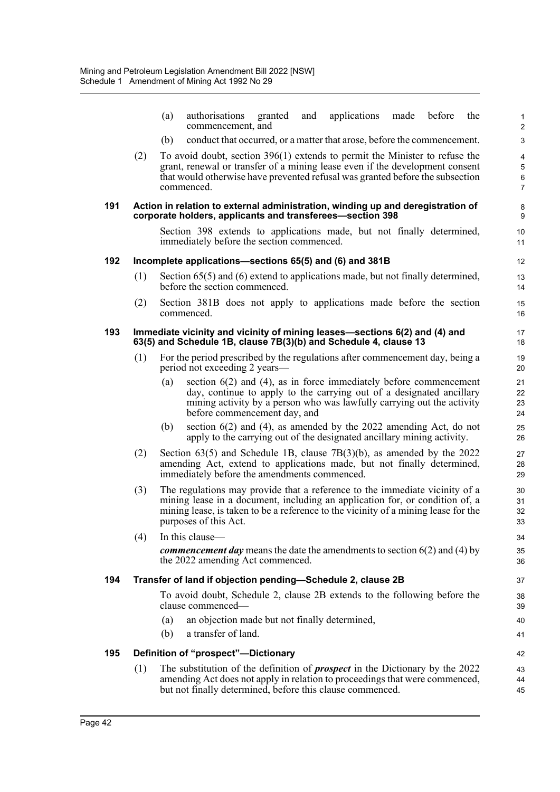|     |     | applications<br>authorisations<br>before<br>(a)<br>granted<br>and<br>made<br>the<br>commencement, and                                                                                                                                                                      | $\mathbf{1}$<br>$\overline{2}$ |
|-----|-----|----------------------------------------------------------------------------------------------------------------------------------------------------------------------------------------------------------------------------------------------------------------------------|--------------------------------|
|     |     | conduct that occurred, or a matter that arose, before the commencement.<br>(b)                                                                                                                                                                                             | 3                              |
|     | (2) | To avoid doubt, section $396(1)$ extends to permit the Minister to refuse the                                                                                                                                                                                              | $\overline{\mathbf{4}}$        |
|     |     | grant, renewal or transfer of a mining lease even if the development consent<br>that would otherwise have prevented refusal was granted before the subsection                                                                                                              | 5                              |
|     |     | commenced.                                                                                                                                                                                                                                                                 | 6<br>$\overline{7}$            |
| 191 |     | Action in relation to external administration, winding up and deregistration of<br>corporate holders, applicants and transferees-section 398                                                                                                                               | 8<br>9                         |
|     |     | Section 398 extends to applications made, but not finally determined,<br>immediately before the section commenced.                                                                                                                                                         | 10<br>11                       |
| 192 |     | Incomplete applications—sections 65(5) and (6) and 381B                                                                                                                                                                                                                    | 12                             |
|     | (1) | Section $65(5)$ and $(6)$ extend to applications made, but not finally determined,<br>before the section commenced.                                                                                                                                                        | 13<br>14                       |
|     | (2) | Section 381B does not apply to applications made before the section<br>commenced.                                                                                                                                                                                          | 15<br>16                       |
| 193 |     | Immediate vicinity and vicinity of mining leases-sections 6(2) and (4) and<br>63(5) and Schedule 1B, clause 7B(3)(b) and Schedule 4, clause 13                                                                                                                             | 17<br>18                       |
|     | (1) | For the period prescribed by the regulations after commencement day, being a<br>period not exceeding 2 years—                                                                                                                                                              | 19<br>20                       |
|     |     | section $6(2)$ and $(4)$ , as in force immediately before commencement<br>(a)<br>day, continue to apply to the carrying out of a designated ancillary<br>mining activity by a person who was lawfully carrying out the activity<br>before commencement day, and            | 21<br>22<br>23<br>24           |
|     |     | section $6(2)$ and $(4)$ , as amended by the 2022 amending Act, do not<br>(b)<br>apply to the carrying out of the designated ancillary mining activity.                                                                                                                    | 25<br>26                       |
|     | (2) | Section $63(5)$ and Schedule 1B, clause $7B(3)(b)$ , as amended by the 2022<br>amending Act, extend to applications made, but not finally determined,<br>immediately before the amendments commenced.                                                                      | 27<br>28<br>29                 |
|     | (3) | The regulations may provide that a reference to the immediate vicinity of a<br>mining lease in a document, including an application for, or condition of, a<br>mining lease, is taken to be a reference to the vicinity of a mining lease for the<br>purposes of this Act. | 30<br>31<br>32<br>33           |
|     | (4) | In this clause-                                                                                                                                                                                                                                                            | 34                             |
|     |     | <i>commencement day</i> means the date the amendments to section $6(2)$ and $(4)$ by<br>the 2022 amending Act commenced.                                                                                                                                                   | 35<br>36                       |
| 194 |     | Transfer of land if objection pending-Schedule 2, clause 2B                                                                                                                                                                                                                | 37                             |
|     |     | To avoid doubt, Schedule 2, clause 2B extends to the following before the<br>clause commenced—                                                                                                                                                                             | 38<br>39                       |
|     |     | an objection made but not finally determined,<br>(a)                                                                                                                                                                                                                       | 40                             |
|     |     | a transfer of land.<br>(b)                                                                                                                                                                                                                                                 | 41                             |
| 195 |     | Definition of "prospect"-Dictionary                                                                                                                                                                                                                                        | 42                             |
|     | (1) | The substitution of the definition of <i>prospect</i> in the Dictionary by the 2022<br>amending Act does not apply in relation to proceedings that were commenced,<br>but not finally determined, before this clause commenced.                                            | 43<br>44<br>45                 |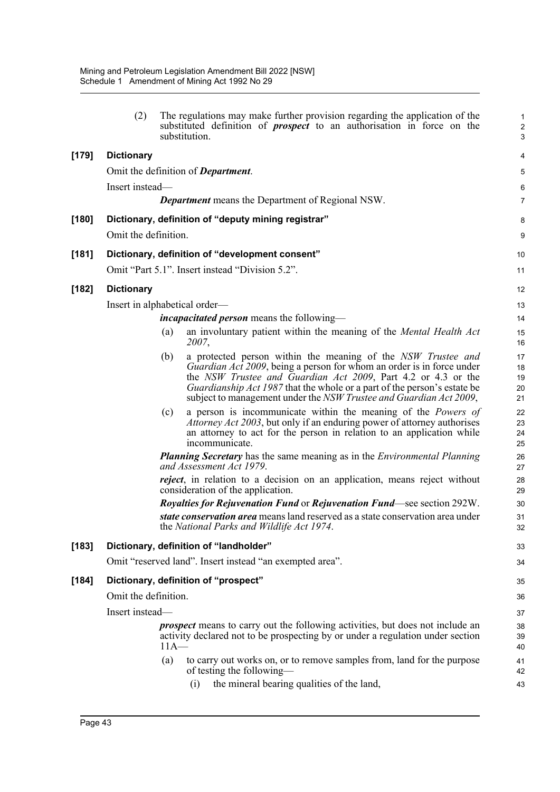|         | (2)                  |        | The regulations may make further provision regarding the application of the<br>substituted definition of <i>prospect</i> to an authorisation in force on the<br>substitution.                                                                                                                                                                                           | 1<br>$\sqrt{2}$<br>$\mathbf{3}$ |
|---------|----------------------|--------|-------------------------------------------------------------------------------------------------------------------------------------------------------------------------------------------------------------------------------------------------------------------------------------------------------------------------------------------------------------------------|---------------------------------|
| $[179]$ | <b>Dictionary</b>    |        |                                                                                                                                                                                                                                                                                                                                                                         | 4                               |
|         |                      |        | Omit the definition of <b>Department</b> .                                                                                                                                                                                                                                                                                                                              | 5                               |
|         | Insert instead-      |        |                                                                                                                                                                                                                                                                                                                                                                         | 6                               |
|         |                      |        | <b>Department</b> means the Department of Regional NSW.                                                                                                                                                                                                                                                                                                                 | $\overline{7}$                  |
| $[180]$ |                      |        | Dictionary, definition of "deputy mining registrar"                                                                                                                                                                                                                                                                                                                     | 8                               |
|         | Omit the definition. |        |                                                                                                                                                                                                                                                                                                                                                                         | 9                               |
| [181]   |                      |        | Dictionary, definition of "development consent"                                                                                                                                                                                                                                                                                                                         | 10                              |
|         |                      |        | Omit "Part 5.1". Insert instead "Division 5.2".                                                                                                                                                                                                                                                                                                                         | 11                              |
| $[182]$ | <b>Dictionary</b>    |        |                                                                                                                                                                                                                                                                                                                                                                         | 12                              |
|         |                      |        | Insert in alphabetical order—                                                                                                                                                                                                                                                                                                                                           | 13                              |
|         |                      |        | <i>incapacitated person</i> means the following—                                                                                                                                                                                                                                                                                                                        | 14                              |
|         |                      | (a)    | an involuntary patient within the meaning of the <i>Mental Health Act</i><br>2007,                                                                                                                                                                                                                                                                                      | 15<br>16                        |
|         |                      | (b)    | a protected person within the meaning of the NSW Trustee and<br><i>Guardian Act 2009</i> , being a person for whom an order is in force under<br>the NSW Trustee and Guardian Act 2009, Part 4.2 or 4.3 or the<br><i>Guardianship Act 1987</i> that the whole or a part of the person's estate be<br>subject to management under the NSW Trustee and Guardian Act 2009, | 17<br>18<br>19<br>20<br>21      |
|         |                      | (c)    | a person is incommunicate within the meaning of the <i>Powers of</i><br>Attorney Act 2003, but only if an enduring power of attorney authorises<br>an attorney to act for the person in relation to an application while<br>incommunicate.                                                                                                                              | 22<br>23<br>24<br>25            |
|         |                      |        | <b>Planning Secretary</b> has the same meaning as in the <i>Environmental Planning</i><br>and Assessment Act 1979.                                                                                                                                                                                                                                                      | 26<br>27                        |
|         |                      |        | <i>reject</i> , in relation to a decision on an application, means reject without<br>consideration of the application.                                                                                                                                                                                                                                                  | 28<br>29                        |
|         |                      |        | <b>Royalties for Rejuvenation Fund or Rejuvenation Fund—see section 292W.</b>                                                                                                                                                                                                                                                                                           | 30                              |
|         |                      |        | state conservation area means land reserved as a state conservation area under<br>the National Parks and Wildlife Act 1974.                                                                                                                                                                                                                                             | 31<br>32                        |
| $[183]$ |                      |        | Dictionary, definition of "landholder"                                                                                                                                                                                                                                                                                                                                  | 33                              |
|         |                      |        | Omit "reserved land". Insert instead "an exempted area".                                                                                                                                                                                                                                                                                                                | 34                              |
| $[184]$ |                      |        | Dictionary, definition of "prospect"                                                                                                                                                                                                                                                                                                                                    | 35                              |
|         | Omit the definition. |        |                                                                                                                                                                                                                                                                                                                                                                         | 36                              |
|         | Insert instead-      |        |                                                                                                                                                                                                                                                                                                                                                                         | 37                              |
|         |                      | $11A-$ | <i>prospect</i> means to carry out the following activities, but does not include an<br>activity declared not to be prospecting by or under a regulation under section                                                                                                                                                                                                  | 38<br>39<br>40                  |
|         |                      | (a)    | to carry out works on, or to remove samples from, land for the purpose<br>of testing the following—                                                                                                                                                                                                                                                                     | 41<br>42                        |
|         |                      |        | the mineral bearing qualities of the land,<br>(i)                                                                                                                                                                                                                                                                                                                       | 43                              |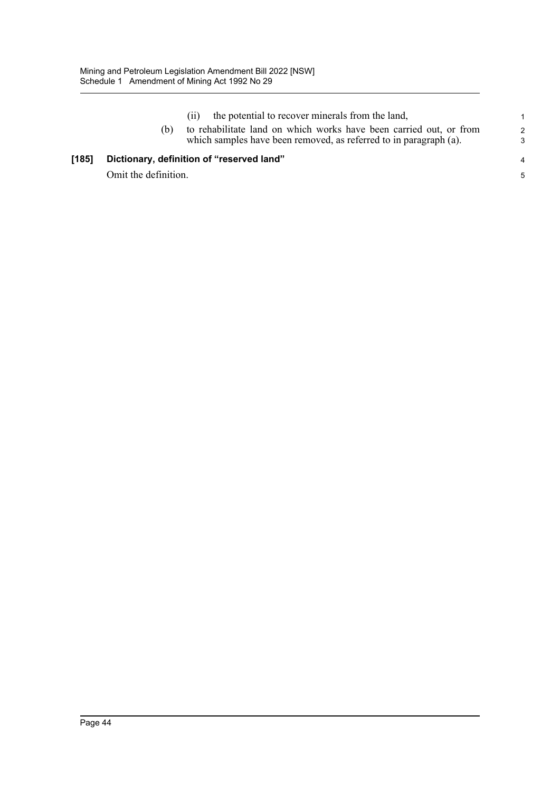[185] Dictionary,

|                      | the potential to recover minerals from the land,                   | 1.            |
|----------------------|--------------------------------------------------------------------|---------------|
| (b)                  | to rehabilitate land on which works have been carried out, or from | $\mathcal{P}$ |
|                      | which samples have been removed, as referred to in paragraph (a).  | 3             |
|                      | Dictionary, definition of "reserved land"                          | 4             |
| Omit the definition. |                                                                    | 5             |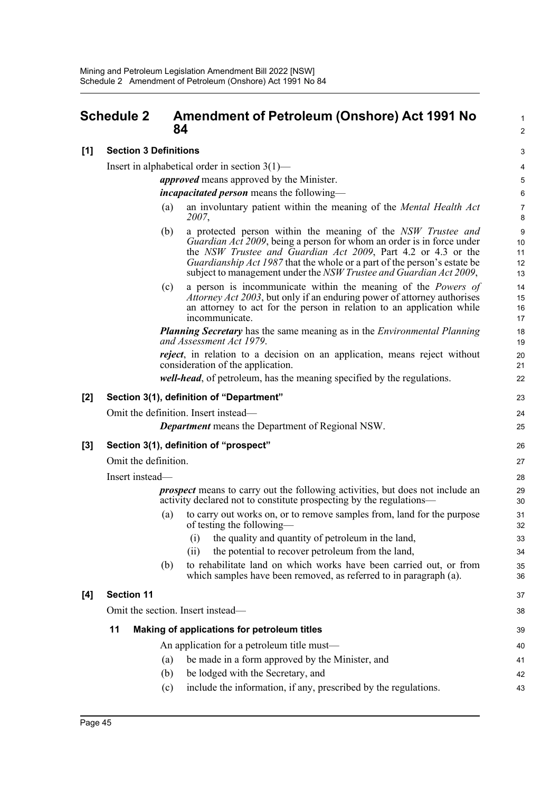# **Schedule 2 Amendment of Petroleum (Onshore) Act 1991 No 84**

## **[1] Section 3 Definitions**

Insert in alphabetical order in section 3(1)—

*approved* means approved by the Minister.

*incapacitated person* means the following—

(a) an involuntary patient within the meaning of the *Mental Health Act 2007*,

1  $\mathcal{L}$ 

23  $24$ 25

- (b) a protected person within the meaning of the *NSW Trustee and Guardian Act 2009*, being a person for whom an order is in force under the *NSW Trustee and Guardian Act 2009*, Part 4.2 or 4.3 or the *Guardianship Act 1987* that the whole or a part of the person's estate be subject to management under the *NSW Trustee and Guardian Act 2009*,
- (c) a person is incommunicate within the meaning of the *Powers of Attorney Act 2003*, but only if an enduring power of attorney authorises an attorney to act for the person in relation to an application while incommunicate.

*Planning Secretary* has the same meaning as in the *Environmental Planning and Assessment Act 1979*.

*reject*, in relation to a decision on an application, means reject without consideration of the application.

*well-head*, of petroleum, has the meaning specified by the regulations.

#### **[2] Section 3(1), definition of "Department"**

Omit the definition. Insert instead—

*Department* means the Department of Regional NSW.

#### **[3] Section 3(1), definition of "prospect"**

Omit the definition.

Insert instead—

*prospect* means to carry out the following activities, but does not include an activity declared not to constitute prospecting by the regulations—

- (a) to carry out works on, or to remove samples from, land for the purpose of testing the following—
	- (i) the quality and quantity of petroleum in the land,
	- (ii) the potential to recover petroleum from the land,
- (b) to rehabilitate land on which works have been carried out, or from which samples have been removed, as referred to in paragraph (a).

#### **[4] Section 11**

Omit the section. Insert instead— **11 Making of applications for petroleum titles** An application for a petroleum title must— (a) be made in a form approved by the Minister, and (b) be lodged with the Secretary, and 38 39 40 41 42 43

(c) include the information, if any, prescribed by the regulations.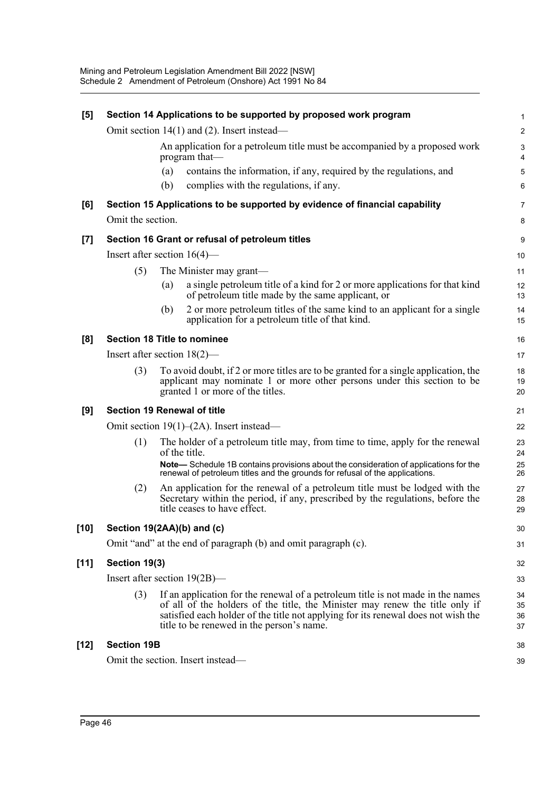| [5]    |                                    |     | Section 14 Applications to be supported by proposed work program                                                                                                                                                                                                                                  | 1                    |
|--------|------------------------------------|-----|---------------------------------------------------------------------------------------------------------------------------------------------------------------------------------------------------------------------------------------------------------------------------------------------------|----------------------|
|        |                                    |     | Omit section $14(1)$ and (2). Insert instead—                                                                                                                                                                                                                                                     | $\overline{c}$       |
|        |                                    |     | An application for a petroleum title must be accompanied by a proposed work<br>program that-                                                                                                                                                                                                      | 3<br>4               |
|        |                                    | (a) | contains the information, if any, required by the regulations, and                                                                                                                                                                                                                                | 5                    |
|        |                                    | (b) | complies with the regulations, if any.                                                                                                                                                                                                                                                            | 6                    |
| [6]    |                                    |     | Section 15 Applications to be supported by evidence of financial capability                                                                                                                                                                                                                       | 7                    |
|        | Omit the section.                  |     |                                                                                                                                                                                                                                                                                                   | 8                    |
| $[7]$  |                                    |     | Section 16 Grant or refusal of petroleum titles                                                                                                                                                                                                                                                   | 9                    |
|        | Insert after section $16(4)$ —     |     |                                                                                                                                                                                                                                                                                                   | 10                   |
|        | (5)                                |     | The Minister may grant—                                                                                                                                                                                                                                                                           | 11                   |
|        |                                    | (a) | a single petroleum title of a kind for 2 or more applications for that kind<br>of petroleum title made by the same applicant, or                                                                                                                                                                  | 12<br>13             |
|        |                                    | (b) | 2 or more petroleum titles of the same kind to an applicant for a single<br>application for a petroleum title of that kind.                                                                                                                                                                       | 14<br>15             |
| [8]    |                                    |     | <b>Section 18 Title to nominee</b>                                                                                                                                                                                                                                                                | 16                   |
|        | Insert after section $18(2)$ —     |     |                                                                                                                                                                                                                                                                                                   | 17                   |
|        | (3)                                |     | To avoid doubt, if 2 or more titles are to be granted for a single application, the<br>applicant may nominate 1 or more other persons under this section to be<br>granted 1 or more of the titles.                                                                                                | 18<br>19<br>20       |
| [9]    | <b>Section 19 Renewal of title</b> |     |                                                                                                                                                                                                                                                                                                   | 21                   |
|        |                                    |     | Omit section $19(1)$ – $(2A)$ . Insert instead–                                                                                                                                                                                                                                                   | 22                   |
|        | (1)                                |     | The holder of a petroleum title may, from time to time, apply for the renewal<br>of the title.                                                                                                                                                                                                    | 23<br>24             |
|        |                                    |     | Note-Schedule 1B contains provisions about the consideration of applications for the<br>renewal of petroleum titles and the grounds for refusal of the applications.                                                                                                                              | 25<br>26             |
|        | (2)                                |     | An application for the renewal of a petroleum title must be lodged with the<br>Secretary within the period, if any, prescribed by the regulations, before the<br>title ceases to have effect.                                                                                                     | 27<br>28<br>29       |
| $[10]$ | Section 19(2AA)(b) and (c)         |     |                                                                                                                                                                                                                                                                                                   | 30                   |
|        |                                    |     | Omit "and" at the end of paragraph (b) and omit paragraph (c).                                                                                                                                                                                                                                    | 31                   |
| $[11]$ | Section 19(3)                      |     |                                                                                                                                                                                                                                                                                                   | 32                   |
|        | Insert after section $19(2B)$ —    |     |                                                                                                                                                                                                                                                                                                   | 33                   |
|        | (3)                                |     | If an application for the renewal of a petroleum title is not made in the names<br>of all of the holders of the title, the Minister may renew the title only if<br>satisfied each holder of the title not applying for its renewal does not wish the<br>title to be renewed in the person's name. | 34<br>35<br>36<br>37 |
| $[12]$ | <b>Section 19B</b>                 |     |                                                                                                                                                                                                                                                                                                   | 38                   |
|        |                                    |     | Omit the section. Insert instead-                                                                                                                                                                                                                                                                 | 39                   |
|        |                                    |     |                                                                                                                                                                                                                                                                                                   |                      |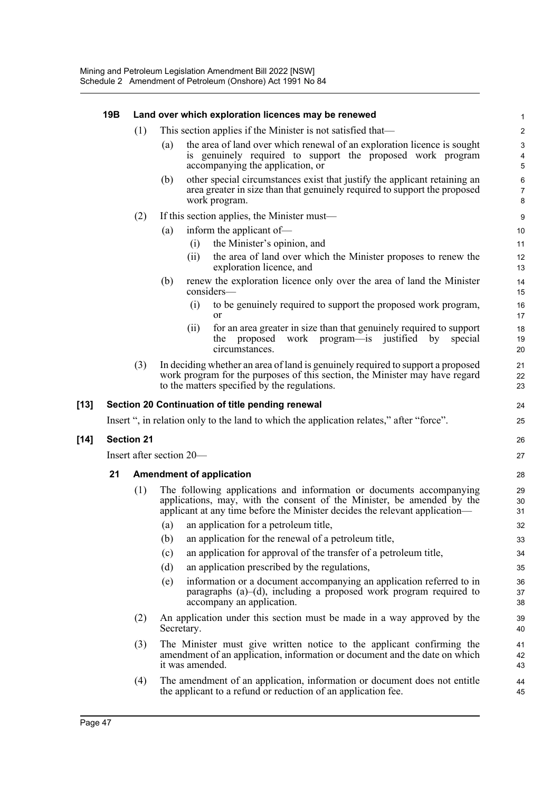|        | 19B | Land over which exploration licences may be renewed |                                                             |                 |                                                                                                                                                                                                                               |                                                           |  |  |  |
|--------|-----|-----------------------------------------------------|-------------------------------------------------------------|-----------------|-------------------------------------------------------------------------------------------------------------------------------------------------------------------------------------------------------------------------------|-----------------------------------------------------------|--|--|--|
|        |     | (1)                                                 | This section applies if the Minister is not satisfied that— |                 |                                                                                                                                                                                                                               |                                                           |  |  |  |
|        |     |                                                     | (a)                                                         |                 | the area of land over which renewal of an exploration licence is sought<br>is genuinely required to support the proposed work program<br>accompanying the application, or                                                     | $\ensuremath{\mathsf{3}}$<br>$\overline{\mathbf{4}}$<br>5 |  |  |  |
|        |     |                                                     | (b)                                                         |                 | other special circumstances exist that justify the applicant retaining an<br>area greater in size than that genuinely required to support the proposed<br>work program.                                                       | 6<br>$\overline{7}$<br>8                                  |  |  |  |
|        |     | (2)                                                 |                                                             |                 | If this section applies, the Minister must—                                                                                                                                                                                   | 9                                                         |  |  |  |
|        |     |                                                     | (a)                                                         |                 | inform the applicant of-                                                                                                                                                                                                      | 10                                                        |  |  |  |
|        |     |                                                     |                                                             | (i)<br>(ii)     | the Minister's opinion, and<br>the area of land over which the Minister proposes to renew the<br>exploration licence, and                                                                                                     | 11<br>12<br>13                                            |  |  |  |
|        |     |                                                     | (b)                                                         |                 | renew the exploration licence only over the area of land the Minister<br>considers-                                                                                                                                           | 14<br>15                                                  |  |  |  |
|        |     |                                                     |                                                             | (i)             | to be genuinely required to support the proposed work program,<br><b>or</b>                                                                                                                                                   | 16<br>17                                                  |  |  |  |
|        |     |                                                     |                                                             | (ii)            | for an area greater in size than that genuinely required to support<br>proposed<br>work program—is justified<br>special<br>the<br>by<br>circumstances.                                                                        | 18<br>19<br>20                                            |  |  |  |
|        |     | (3)                                                 |                                                             |                 | In deciding whether an area of land is genuinely required to support a proposed<br>work program for the purposes of this section, the Minister may have regard<br>to the matters specified by the regulations.                | 21<br>22<br>23                                            |  |  |  |
| $[13]$ |     |                                                     |                                                             |                 | Section 20 Continuation of title pending renewal                                                                                                                                                                              | 24                                                        |  |  |  |
|        |     |                                                     |                                                             |                 | Insert ", in relation only to the land to which the application relates," after "force".                                                                                                                                      | 25                                                        |  |  |  |
| $[14]$ |     | <b>Section 21</b>                                   |                                                             |                 |                                                                                                                                                                                                                               | 26                                                        |  |  |  |
|        |     | Insert after section 20—                            |                                                             |                 |                                                                                                                                                                                                                               |                                                           |  |  |  |
|        | 21  |                                                     |                                                             |                 | <b>Amendment of application</b>                                                                                                                                                                                               | 28                                                        |  |  |  |
|        |     | (1)                                                 |                                                             |                 | The following applications and information or documents accompanying<br>applications, may, with the consent of the Minister, be amended by the<br>applicant at any time before the Minister decides the relevant application— | 29<br>30<br>31                                            |  |  |  |
|        |     |                                                     | (a)                                                         |                 | an application for a petroleum title,                                                                                                                                                                                         | 32                                                        |  |  |  |
|        |     |                                                     | (b)                                                         |                 | an application for the renewal of a petroleum title,                                                                                                                                                                          | 33                                                        |  |  |  |
|        |     |                                                     | (c)                                                         |                 | an application for approval of the transfer of a petroleum title,                                                                                                                                                             | 34                                                        |  |  |  |
|        |     |                                                     | (d)                                                         |                 | an application prescribed by the regulations,                                                                                                                                                                                 | 35                                                        |  |  |  |
|        |     |                                                     | (e)                                                         |                 | information or a document accompanying an application referred to in<br>paragraphs $(a)$ – $(d)$ , including a proposed work program required to<br>accompany an application.                                                 | 36<br>37<br>38                                            |  |  |  |
|        |     | (2)                                                 |                                                             | Secretary.      | An application under this section must be made in a way approved by the                                                                                                                                                       | 39<br>40                                                  |  |  |  |
|        |     | (3)                                                 |                                                             | it was amended. | The Minister must give written notice to the applicant confirming the<br>amendment of an application, information or document and the date on which                                                                           | 41<br>42<br>43                                            |  |  |  |
|        |     | (4)                                                 |                                                             |                 | The amendment of an application, information or document does not entitle<br>the applicant to a refund or reduction of an application fee.                                                                                    | 44<br>45                                                  |  |  |  |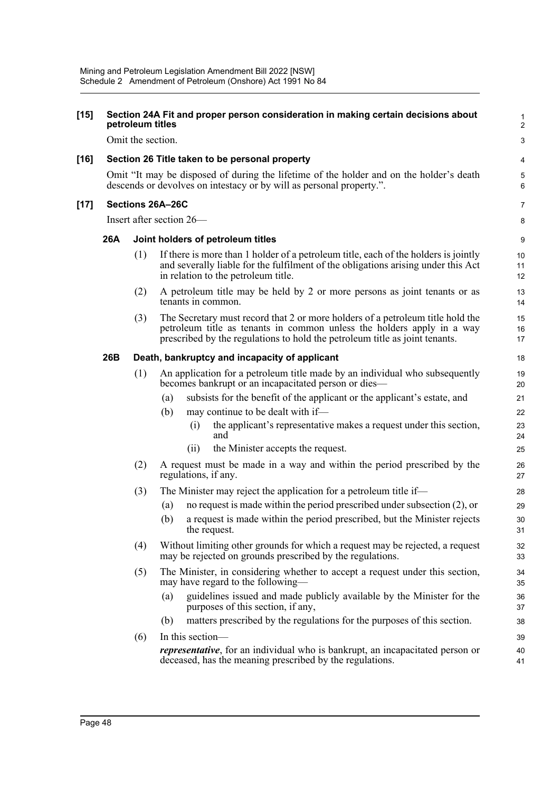| $[15]$ |                  | petroleum titles  | Section 24A Fit and proper person consideration in making certain decisions about                                                                                                                                                       | 1<br>$\overline{\mathbf{c}}$ |  |  |  |  |  |
|--------|------------------|-------------------|-----------------------------------------------------------------------------------------------------------------------------------------------------------------------------------------------------------------------------------------|------------------------------|--|--|--|--|--|
|        |                  | Omit the section. |                                                                                                                                                                                                                                         | 3                            |  |  |  |  |  |
| $[16]$ |                  |                   | Section 26 Title taken to be personal property                                                                                                                                                                                          | 4                            |  |  |  |  |  |
|        |                  |                   | Omit "It may be disposed of during the lifetime of the holder and on the holder's death<br>descends or devolves on intestacy or by will as personal property.".                                                                         | 5<br>6                       |  |  |  |  |  |
| $[17]$ | Sections 26A-26C |                   |                                                                                                                                                                                                                                         |                              |  |  |  |  |  |
|        |                  |                   | Insert after section 26—                                                                                                                                                                                                                | 8                            |  |  |  |  |  |
|        | 26A              |                   | Joint holders of petroleum titles                                                                                                                                                                                                       | 9                            |  |  |  |  |  |
|        |                  | (1)               | If there is more than 1 holder of a petroleum title, each of the holders is jointly<br>and severally liable for the fulfilment of the obligations arising under this Act<br>in relation to the petroleum title.                         | 10<br>11<br>12               |  |  |  |  |  |
|        |                  | (2)               | A petroleum title may be held by 2 or more persons as joint tenants or as<br>tenants in common.                                                                                                                                         | 13<br>14                     |  |  |  |  |  |
|        |                  | (3)               | The Secretary must record that 2 or more holders of a petroleum title hold the<br>petroleum title as tenants in common unless the holders apply in a way<br>prescribed by the regulations to hold the petroleum title as joint tenants. | 15<br>16<br>17               |  |  |  |  |  |
|        | 26B              |                   | Death, bankruptcy and incapacity of applicant                                                                                                                                                                                           | 18                           |  |  |  |  |  |
|        |                  | (1)               | An application for a petroleum title made by an individual who subsequently<br>becomes bankrupt or an incapacitated person or dies—                                                                                                     |                              |  |  |  |  |  |
|        |                  |                   | subsists for the benefit of the applicant or the applicant's estate, and<br>(a)                                                                                                                                                         | 21                           |  |  |  |  |  |
|        |                  |                   | (b)<br>may continue to be dealt with if-                                                                                                                                                                                                | 22                           |  |  |  |  |  |
|        |                  |                   | the applicant's representative makes a request under this section,<br>$\left(1\right)$<br>and                                                                                                                                           | 23<br>24                     |  |  |  |  |  |
|        |                  |                   | the Minister accepts the request.<br>(i)                                                                                                                                                                                                | 25                           |  |  |  |  |  |
|        |                  | (2)               | A request must be made in a way and within the period prescribed by the<br>regulations, if any.                                                                                                                                         | 26<br>27                     |  |  |  |  |  |
|        |                  | (3)               | The Minister may reject the application for a petroleum title if—                                                                                                                                                                       | 28                           |  |  |  |  |  |
|        |                  |                   | no request is made within the period prescribed under subsection $(2)$ , or<br>(a)                                                                                                                                                      | 29                           |  |  |  |  |  |
|        |                  |                   | a request is made within the period prescribed, but the Minister rejects<br>(b)<br>the request.                                                                                                                                         | 30<br>31                     |  |  |  |  |  |
|        |                  | (4)               | Without limiting other grounds for which a request may be rejected, a request<br>may be rejected on grounds prescribed by the regulations.                                                                                              | 32<br>33                     |  |  |  |  |  |
|        |                  | (5)               | The Minister, in considering whether to accept a request under this section,<br>may have regard to the following—                                                                                                                       | 34<br>35                     |  |  |  |  |  |
|        |                  |                   | guidelines issued and made publicly available by the Minister for the<br>(a)<br>purposes of this section, if any,                                                                                                                       | 36<br>37                     |  |  |  |  |  |
|        |                  |                   | matters prescribed by the regulations for the purposes of this section.<br>(b)                                                                                                                                                          | 38                           |  |  |  |  |  |
|        |                  | (6)               | In this section-<br><i>representative</i> , for an individual who is bankrupt, an incapacitated person or<br>deceased, has the meaning prescribed by the regulations.                                                                   | 39<br>40<br>41               |  |  |  |  |  |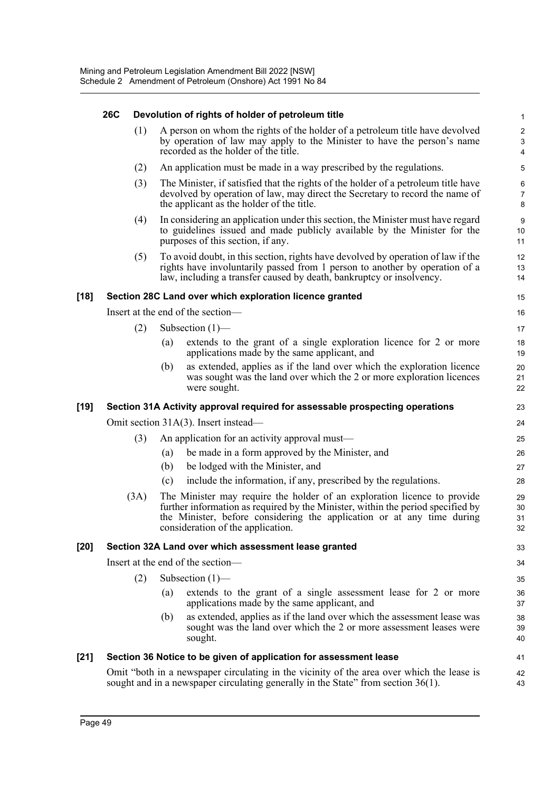|      | <b>26C</b> |      |     | Devolution of rights of holder of petroleum title                                                                                                                                                                                                                          | $\mathbf 1$                         |
|------|------------|------|-----|----------------------------------------------------------------------------------------------------------------------------------------------------------------------------------------------------------------------------------------------------------------------------|-------------------------------------|
|      |            | (1)  |     | A person on whom the rights of the holder of a petroleum title have devolved<br>by operation of law may apply to the Minister to have the person's name<br>recorded as the holder of the title.                                                                            | $\overline{c}$<br>$\mathbf{3}$<br>4 |
|      |            | (2)  |     | An application must be made in a way prescribed by the regulations.                                                                                                                                                                                                        | 5                                   |
|      |            | (3)  |     | The Minister, if satisfied that the rights of the holder of a petroleum title have<br>devolved by operation of law, may direct the Secretary to record the name of<br>the applicant as the holder of the title.                                                            | 6<br>$\overline{7}$<br>$\bf 8$      |
|      |            | (4)  |     | In considering an application under this section, the Minister must have regard<br>to guidelines issued and made publicly available by the Minister for the<br>purposes of this section, if any.                                                                           | $9\,$<br>10<br>11                   |
|      |            | (5)  |     | To avoid doubt, in this section, rights have devolved by operation of law if the<br>rights have involuntarily passed from 1 person to another by operation of a<br>law, including a transfer caused by death, bankruptcy or insolvency.                                    | 12<br>13<br>14                      |
| [18] |            |      |     | Section 28C Land over which exploration licence granted                                                                                                                                                                                                                    | 15                                  |
|      |            |      |     | Insert at the end of the section-                                                                                                                                                                                                                                          | 16                                  |
|      |            | (2)  |     | Subsection $(1)$ —                                                                                                                                                                                                                                                         | 17                                  |
|      |            |      | (a) | extends to the grant of a single exploration licence for 2 or more<br>applications made by the same applicant, and                                                                                                                                                         | 18<br>19                            |
|      |            |      | (b) | as extended, applies as if the land over which the exploration licence<br>was sought was the land over which the 2 or more exploration licences<br>were sought.                                                                                                            | 20<br>21<br>22                      |
| [19] |            |      |     | Section 31A Activity approval required for assessable prospecting operations                                                                                                                                                                                               | 23                                  |
|      |            |      |     | Omit section 31A(3). Insert instead—                                                                                                                                                                                                                                       | 24                                  |
|      |            | (3)  |     | An application for an activity approval must-                                                                                                                                                                                                                              | 25                                  |
|      |            |      | (a) | be made in a form approved by the Minister, and                                                                                                                                                                                                                            | 26                                  |
|      |            |      | (b) | be lodged with the Minister, and                                                                                                                                                                                                                                           | 27                                  |
|      |            |      | (c) | include the information, if any, prescribed by the regulations.                                                                                                                                                                                                            | 28                                  |
|      |            | (3A) |     | The Minister may require the holder of an exploration licence to provide<br>further information as required by the Minister, within the period specified by<br>the Minister, before considering the application or at any time during<br>consideration of the application. | 29<br>30<br>31<br>32                |
| [20] |            |      |     | Section 32A Land over which assessment lease granted                                                                                                                                                                                                                       | 33                                  |
|      |            |      |     | Insert at the end of the section-                                                                                                                                                                                                                                          | 34                                  |
|      |            | (2)  |     | Subsection $(1)$ —                                                                                                                                                                                                                                                         | 35                                  |
|      |            |      | (a) | extends to the grant of a single assessment lease for 2 or more<br>applications made by the same applicant, and                                                                                                                                                            | 36<br>37                            |
|      |            |      | (b) | as extended, applies as if the land over which the assessment lease was<br>sought was the land over which the 2 or more assessment leases were<br>sought.                                                                                                                  | 38<br>39<br>40                      |
| [21] |            |      |     | Section 36 Notice to be given of application for assessment lease                                                                                                                                                                                                          | 41                                  |
|      |            |      |     | Omit "both in a newspaper circulating in the vicinity of the area over which the lease is<br>sought and in a newspaper circulating generally in the State" from section $36(1)$ .                                                                                          | 42<br>43                            |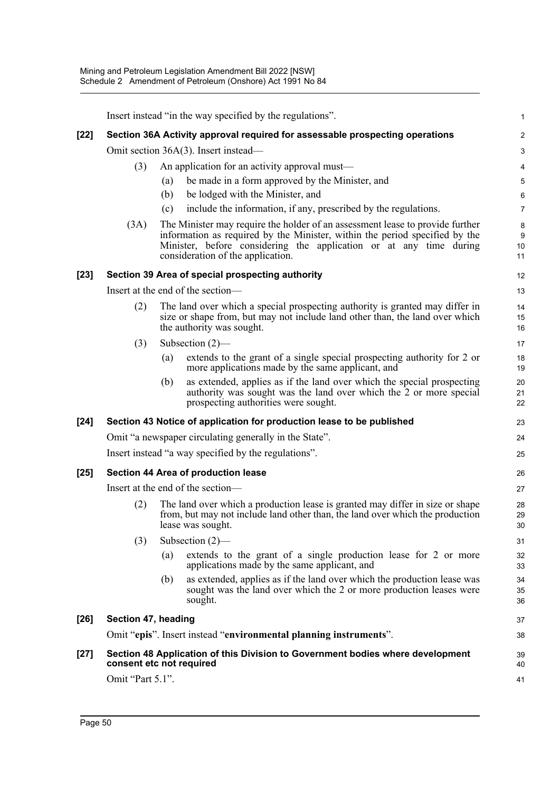|        |                                   |                                                                                                                                                                                                                                                                         | Insert instead "in the way specified by the regulations".                                                                                                                                 | 1              |  |  |  |
|--------|-----------------------------------|-------------------------------------------------------------------------------------------------------------------------------------------------------------------------------------------------------------------------------------------------------------------------|-------------------------------------------------------------------------------------------------------------------------------------------------------------------------------------------|----------------|--|--|--|
| $[22]$ |                                   |                                                                                                                                                                                                                                                                         | Section 36A Activity approval required for assessable prospecting operations                                                                                                              | 2              |  |  |  |
|        |                                   |                                                                                                                                                                                                                                                                         | Omit section 36A(3). Insert instead—                                                                                                                                                      | 3              |  |  |  |
|        | (3)                               |                                                                                                                                                                                                                                                                         | An application for an activity approval must—                                                                                                                                             | 4              |  |  |  |
|        |                                   | (a)                                                                                                                                                                                                                                                                     | be made in a form approved by the Minister, and                                                                                                                                           | 5              |  |  |  |
|        |                                   | (b)                                                                                                                                                                                                                                                                     | be lodged with the Minister, and                                                                                                                                                          | 6              |  |  |  |
|        |                                   | (c)                                                                                                                                                                                                                                                                     | include the information, if any, prescribed by the regulations.                                                                                                                           | 7              |  |  |  |
|        | (3A)                              | The Minister may require the holder of an assessment lease to provide further<br>information as required by the Minister, within the period specified by the<br>Minister, before considering the application or at any time during<br>consideration of the application. |                                                                                                                                                                                           |                |  |  |  |
| $[23]$ |                                   |                                                                                                                                                                                                                                                                         | Section 39 Area of special prospecting authority                                                                                                                                          | 12             |  |  |  |
|        |                                   |                                                                                                                                                                                                                                                                         | Insert at the end of the section-                                                                                                                                                         | 13             |  |  |  |
|        | (2)                               |                                                                                                                                                                                                                                                                         | The land over which a special prospecting authority is granted may differ in<br>size or shape from, but may not include land other than, the land over which<br>the authority was sought. | 14<br>15<br>16 |  |  |  |
|        | (3)                               |                                                                                                                                                                                                                                                                         | Subsection $(2)$ —                                                                                                                                                                        | 17             |  |  |  |
|        |                                   | (a)                                                                                                                                                                                                                                                                     | extends to the grant of a single special prospecting authority for 2 or<br>more applications made by the same applicant, and                                                              | 18<br>19       |  |  |  |
|        |                                   | (b)                                                                                                                                                                                                                                                                     | as extended, applies as if the land over which the special prospecting<br>authority was sought was the land over which the 2 or more special<br>prospecting authorities were sought.      | 20<br>21<br>22 |  |  |  |
| $[24]$ |                                   |                                                                                                                                                                                                                                                                         | Section 43 Notice of application for production lease to be published                                                                                                                     | 23             |  |  |  |
|        |                                   |                                                                                                                                                                                                                                                                         | Omit "a newspaper circulating generally in the State".                                                                                                                                    | 24             |  |  |  |
|        |                                   |                                                                                                                                                                                                                                                                         | Insert instead "a way specified by the regulations".                                                                                                                                      | 25             |  |  |  |
| $[25]$ |                                   |                                                                                                                                                                                                                                                                         | Section 44 Area of production lease                                                                                                                                                       | 26             |  |  |  |
|        | Insert at the end of the section- |                                                                                                                                                                                                                                                                         |                                                                                                                                                                                           |                |  |  |  |
|        | (2)                               |                                                                                                                                                                                                                                                                         | The land over which a production lease is granted may differ in size or shape<br>from, but may not include land other than, the land over which the production<br>lease was sought.       | 28<br>29<br>30 |  |  |  |
|        | (3)                               |                                                                                                                                                                                                                                                                         | Subsection $(2)$ —                                                                                                                                                                        | 31             |  |  |  |
|        |                                   | (a)                                                                                                                                                                                                                                                                     | extends to the grant of a single production lease for 2 or more<br>applications made by the same applicant, and                                                                           | 32<br>33       |  |  |  |
|        |                                   | (b)                                                                                                                                                                                                                                                                     | as extended, applies as if the land over which the production lease was<br>sought was the land over which the 2 or more production leases were<br>sought.                                 | 34<br>35<br>36 |  |  |  |
| $[26]$ | Section 47, heading               |                                                                                                                                                                                                                                                                         |                                                                                                                                                                                           | 37             |  |  |  |
|        |                                   |                                                                                                                                                                                                                                                                         | Omit "epis". Insert instead "environmental planning instruments".                                                                                                                         | 38             |  |  |  |
| $[27]$ | consent etc not required          |                                                                                                                                                                                                                                                                         | Section 48 Application of this Division to Government bodies where development                                                                                                            | 39<br>40       |  |  |  |
|        | Omit "Part 5.1".                  |                                                                                                                                                                                                                                                                         |                                                                                                                                                                                           | 41             |  |  |  |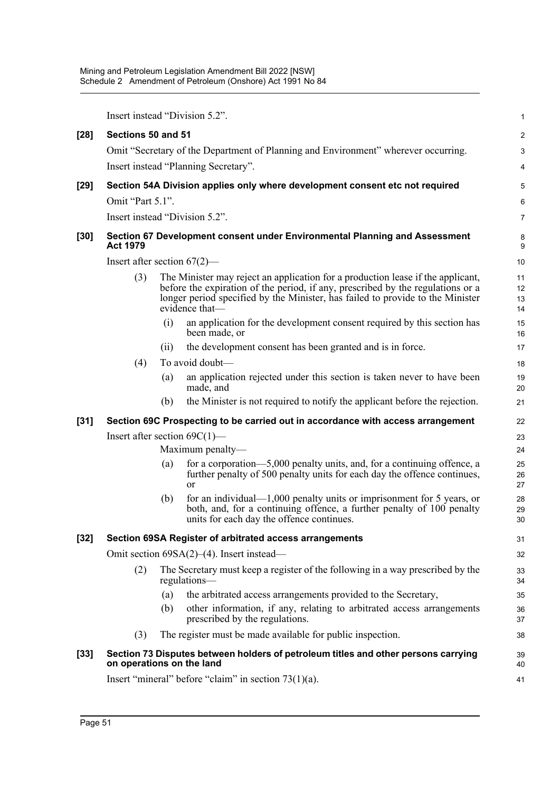|        |                                                                                 |     | Insert instead "Division 5.2".                                                                                                                                                                                                                                         | $\mathbf{1}$         |  |  |  |
|--------|---------------------------------------------------------------------------------|-----|------------------------------------------------------------------------------------------------------------------------------------------------------------------------------------------------------------------------------------------------------------------------|----------------------|--|--|--|
| $[28]$ | Sections 50 and 51                                                              |     |                                                                                                                                                                                                                                                                        | $\boldsymbol{2}$     |  |  |  |
|        |                                                                                 |     | Omit "Secretary of the Department of Planning and Environment" wherever occurring.                                                                                                                                                                                     | 3                    |  |  |  |
|        |                                                                                 |     | Insert instead "Planning Secretary".                                                                                                                                                                                                                                   | 4                    |  |  |  |
| $[29]$ |                                                                                 |     | Section 54A Division applies only where development consent etc not required                                                                                                                                                                                           | 5                    |  |  |  |
|        | Omit "Part 5.1".                                                                |     |                                                                                                                                                                                                                                                                        | 6                    |  |  |  |
|        |                                                                                 |     | Insert instead "Division 5.2".                                                                                                                                                                                                                                         | $\overline{7}$       |  |  |  |
| $[30]$ | <b>Act 1979</b>                                                                 |     | Section 67 Development consent under Environmental Planning and Assessment                                                                                                                                                                                             | 8<br>9               |  |  |  |
|        | Insert after section $67(2)$ —                                                  |     |                                                                                                                                                                                                                                                                        | 10                   |  |  |  |
|        | (3)                                                                             |     | The Minister may reject an application for a production lease if the applicant,<br>before the expiration of the period, if any, prescribed by the regulations or a<br>longer period specified by the Minister, has failed to provide to the Minister<br>evidence that— | 11<br>12<br>13<br>14 |  |  |  |
|        |                                                                                 | (i) | an application for the development consent required by this section has<br>been made, or                                                                                                                                                                               | 15<br>16             |  |  |  |
|        |                                                                                 | (i) | the development consent has been granted and is in force.                                                                                                                                                                                                              | 17                   |  |  |  |
|        | (4)                                                                             |     | To avoid doubt-                                                                                                                                                                                                                                                        | 18                   |  |  |  |
|        |                                                                                 | (a) | an application rejected under this section is taken never to have been<br>made, and                                                                                                                                                                                    | 19<br>20             |  |  |  |
|        |                                                                                 | (b) | the Minister is not required to notify the applicant before the rejection.                                                                                                                                                                                             | 21                   |  |  |  |
| $[31]$ | Section 69C Prospecting to be carried out in accordance with access arrangement |     |                                                                                                                                                                                                                                                                        |                      |  |  |  |
|        | Insert after section $69C(1)$ —                                                 |     |                                                                                                                                                                                                                                                                        |                      |  |  |  |
|        | Maximum penalty-                                                                |     |                                                                                                                                                                                                                                                                        |                      |  |  |  |
|        |                                                                                 | (a) | for a corporation—5,000 penalty units, and, for a continuing offence, a<br>further penalty of 500 penalty units for each day the offence continues,<br><sub>or</sub>                                                                                                   | 25<br>26<br>27       |  |  |  |
|        |                                                                                 | (b) | for an individual— $1,000$ penalty units or imprisonment for 5 years, or<br>both, and, for a continuing offence, a further penalty of 100 penalty<br>units for each day the offence continues.                                                                         | 28<br>29<br>30       |  |  |  |
| $[32]$ |                                                                                 |     | Section 69SA Register of arbitrated access arrangements                                                                                                                                                                                                                | 31                   |  |  |  |
|        |                                                                                 |     | Omit section 69SA(2)–(4). Insert instead—                                                                                                                                                                                                                              | 32                   |  |  |  |
|        | (2)                                                                             |     | The Secretary must keep a register of the following in a way prescribed by the<br>regulations-                                                                                                                                                                         | 33<br>34             |  |  |  |
|        |                                                                                 | (a) | the arbitrated access arrangements provided to the Secretary,                                                                                                                                                                                                          | 35                   |  |  |  |
|        |                                                                                 | (b) | other information, if any, relating to arbitrated access arrangements<br>prescribed by the regulations.                                                                                                                                                                | 36<br>37             |  |  |  |
|        | (3)                                                                             |     | The register must be made available for public inspection.                                                                                                                                                                                                             | 38                   |  |  |  |
| $[33]$ | on operations on the land                                                       |     | Section 73 Disputes between holders of petroleum titles and other persons carrying                                                                                                                                                                                     | 39<br>40             |  |  |  |
|        |                                                                                 |     | Insert "mineral" before "claim" in section $73(1)(a)$ .                                                                                                                                                                                                                | 41                   |  |  |  |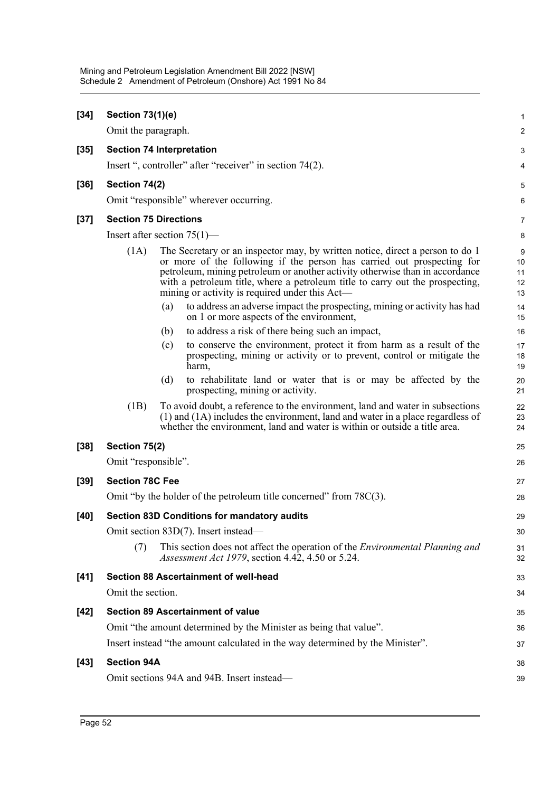| $[34]$ | <b>Section 73(1)(e)</b>          |     |                                                                                                                                                                                                                                                                                                                                                                            | 1                         |
|--------|----------------------------------|-----|----------------------------------------------------------------------------------------------------------------------------------------------------------------------------------------------------------------------------------------------------------------------------------------------------------------------------------------------------------------------------|---------------------------|
|        | Omit the paragraph.              |     |                                                                                                                                                                                                                                                                                                                                                                            | 2                         |
| $[35]$ | <b>Section 74 Interpretation</b> |     |                                                                                                                                                                                                                                                                                                                                                                            | 3                         |
|        |                                  |     | Insert ", controller" after "receiver" in section 74(2).                                                                                                                                                                                                                                                                                                                   | 4                         |
| $[36]$ | Section 74(2)                    |     |                                                                                                                                                                                                                                                                                                                                                                            | 5                         |
|        |                                  |     | Omit "responsible" wherever occurring.                                                                                                                                                                                                                                                                                                                                     | 6                         |
| $[37]$ | <b>Section 75 Directions</b>     |     |                                                                                                                                                                                                                                                                                                                                                                            | 7                         |
|        | Insert after section $75(1)$ —   |     |                                                                                                                                                                                                                                                                                                                                                                            | 8                         |
|        | (1A)                             |     | The Secretary or an inspector may, by written notice, direct a person to do 1<br>or more of the following if the person has carried out prospecting for<br>petroleum, mining petroleum or another activity otherwise than in accordance<br>with a petroleum title, where a petroleum title to carry out the prospecting,<br>mining or activity is required under this Act— | 9<br>10<br>11<br>12<br>13 |
|        |                                  | (a) | to address an adverse impact the prospecting, mining or activity has had<br>on 1 or more aspects of the environment,                                                                                                                                                                                                                                                       | 14<br>15                  |
|        |                                  | (b) | to address a risk of there being such an impact,                                                                                                                                                                                                                                                                                                                           | 16                        |
|        |                                  | (c) | to conserve the environment, protect it from harm as a result of the<br>prospecting, mining or activity or to prevent, control or mitigate the<br>harm,                                                                                                                                                                                                                    | 17<br>18<br>19            |
|        |                                  | (d) | to rehabilitate land or water that is or may be affected by the<br>prospecting, mining or activity.                                                                                                                                                                                                                                                                        | 20<br>21                  |
|        | (1B)                             |     | To avoid doubt, a reference to the environment, land and water in subsections<br>(1) and (1A) includes the environment, land and water in a place regardless of<br>whether the environment, land and water is within or outside a title area.                                                                                                                              | 22<br>23<br>24            |
| $[38]$ | Section 75(2)                    |     |                                                                                                                                                                                                                                                                                                                                                                            | 25                        |
|        | Omit "responsible".              |     |                                                                                                                                                                                                                                                                                                                                                                            | 26                        |
| $[39]$ | <b>Section 78C Fee</b>           |     |                                                                                                                                                                                                                                                                                                                                                                            | 27                        |
|        |                                  |     | Omit "by the holder of the petroleum title concerned" from 78C(3).                                                                                                                                                                                                                                                                                                         | 28                        |
| $[40]$ |                                  |     | <b>Section 83D Conditions for mandatory audits</b>                                                                                                                                                                                                                                                                                                                         | 29                        |
|        |                                  |     | Omit section 83D(7). Insert instead-                                                                                                                                                                                                                                                                                                                                       | 30                        |
|        | (7)                              |     | This section does not affect the operation of the <i>Environmental Planning and</i><br>Assessment Act 1979, section $4.42$ , $4.50$ or $5.24$ .                                                                                                                                                                                                                            | 31<br>32                  |
| $[41]$ |                                  |     | <b>Section 88 Ascertainment of well-head</b>                                                                                                                                                                                                                                                                                                                               | 33                        |
|        | Omit the section.                |     |                                                                                                                                                                                                                                                                                                                                                                            | 34                        |
| $[42]$ |                                  |     | <b>Section 89 Ascertainment of value</b>                                                                                                                                                                                                                                                                                                                                   | 35                        |
|        |                                  |     | Omit "the amount determined by the Minister as being that value".                                                                                                                                                                                                                                                                                                          | 36                        |
|        |                                  |     | Insert instead "the amount calculated in the way determined by the Minister".                                                                                                                                                                                                                                                                                              | 37                        |
| $[43]$ | <b>Section 94A</b>               |     |                                                                                                                                                                                                                                                                                                                                                                            | 38                        |
|        |                                  |     | Omit sections 94A and 94B. Insert instead-                                                                                                                                                                                                                                                                                                                                 | 39                        |
|        |                                  |     |                                                                                                                                                                                                                                                                                                                                                                            |                           |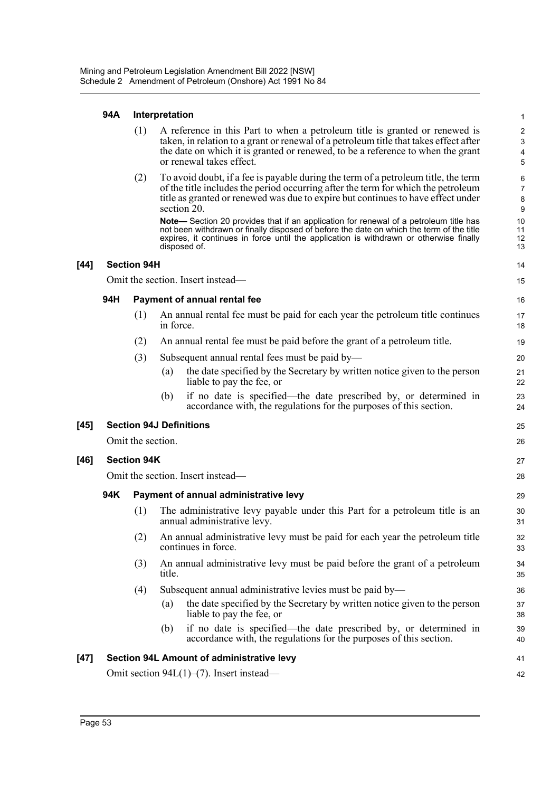## **94A Interpretation**

 $[44]$ 

[45]

 $[46]$ 

|      |                                   | (1)                | A reference in this Part to when a petroleum title is granted or renewed is<br>taken, in relation to a grant or renewal of a petroleum title that takes effect after<br>the date on which it is granted or renewed, to be a reference to when the grant<br>or renewal takes effect.        | $\overline{c}$<br>3<br>4<br>5 |  |  |
|------|-----------------------------------|--------------------|--------------------------------------------------------------------------------------------------------------------------------------------------------------------------------------------------------------------------------------------------------------------------------------------|-------------------------------|--|--|
|      |                                   | (2)                | To avoid doubt, if a fee is payable during the term of a petroleum title, the term<br>of the title includes the period occurring after the term for which the petroleum<br>title as granted or renewed was due to expire but continues to have effect under<br>section 20.                 | 6<br>$\overline{7}$<br>8<br>9 |  |  |
|      |                                   |                    | Note-Section 20 provides that if an application for renewal of a petroleum title has<br>not been withdrawn or finally disposed of before the date on which the term of the title<br>expires, it continues in force until the application is withdrawn or otherwise finally<br>disposed of. | 10<br>11<br>12<br>13          |  |  |
| [44] |                                   | <b>Section 94H</b> |                                                                                                                                                                                                                                                                                            | 14                            |  |  |
|      |                                   |                    | Omit the section. Insert instead—                                                                                                                                                                                                                                                          | 15                            |  |  |
|      | 94H                               |                    | <b>Payment of annual rental fee</b>                                                                                                                                                                                                                                                        | 16                            |  |  |
|      |                                   | (1)                | An annual rental fee must be paid for each year the petroleum title continues<br>in force.                                                                                                                                                                                                 | 17<br>18                      |  |  |
|      |                                   | (2)                | An annual rental fee must be paid before the grant of a petroleum title.                                                                                                                                                                                                                   | 19                            |  |  |
|      |                                   | (3)                | Subsequent annual rental fees must be paid by—                                                                                                                                                                                                                                             | 20                            |  |  |
|      |                                   |                    | the date specified by the Secretary by written notice given to the person<br>(a)<br>liable to pay the fee, or                                                                                                                                                                              | 21<br>22                      |  |  |
|      |                                   |                    | if no date is specified—the date prescribed by, or determined in<br>(b)<br>accordance with, the regulations for the purposes of this section.                                                                                                                                              | 23<br>24                      |  |  |
| [45] |                                   |                    | <b>Section 94J Definitions</b>                                                                                                                                                                                                                                                             | 25                            |  |  |
|      |                                   | Omit the section.  |                                                                                                                                                                                                                                                                                            | 26                            |  |  |
| [46] |                                   | <b>Section 94K</b> |                                                                                                                                                                                                                                                                                            | 27                            |  |  |
|      | Omit the section. Insert instead- |                    |                                                                                                                                                                                                                                                                                            |                               |  |  |
|      | 94K                               |                    | Payment of annual administrative levy                                                                                                                                                                                                                                                      | 29                            |  |  |
|      |                                   | (1)                | The administrative levy payable under this Part for a petroleum title is an<br>annual administrative levy.                                                                                                                                                                                 | 30<br>31                      |  |  |
|      |                                   | (2)                | An annual administrative levy must be paid for each year the petroleum title<br>continues in force.                                                                                                                                                                                        | 32<br>33                      |  |  |
|      |                                   | (3)                | An annual administrative levy must be paid before the grant of a petroleum<br>title.                                                                                                                                                                                                       | 34<br>35                      |  |  |
|      |                                   | (4)                | Subsequent annual administrative levies must be paid by-                                                                                                                                                                                                                                   | 36                            |  |  |
|      |                                   |                    | the date specified by the Secretary by written notice given to the person<br>(a)<br>liable to pay the fee, or                                                                                                                                                                              | 37<br>38                      |  |  |
|      |                                   |                    | if no date is specified—the date prescribed by, or determined in<br>(b)<br>accordance with, the regulations for the purposes of this section.                                                                                                                                              | 39<br>40                      |  |  |
| [47] |                                   |                    | Section 94L Amount of administrative levy                                                                                                                                                                                                                                                  | 41                            |  |  |
|      |                                   |                    | Omit section $94L(1)$ –(7). Insert instead—                                                                                                                                                                                                                                                | 42                            |  |  |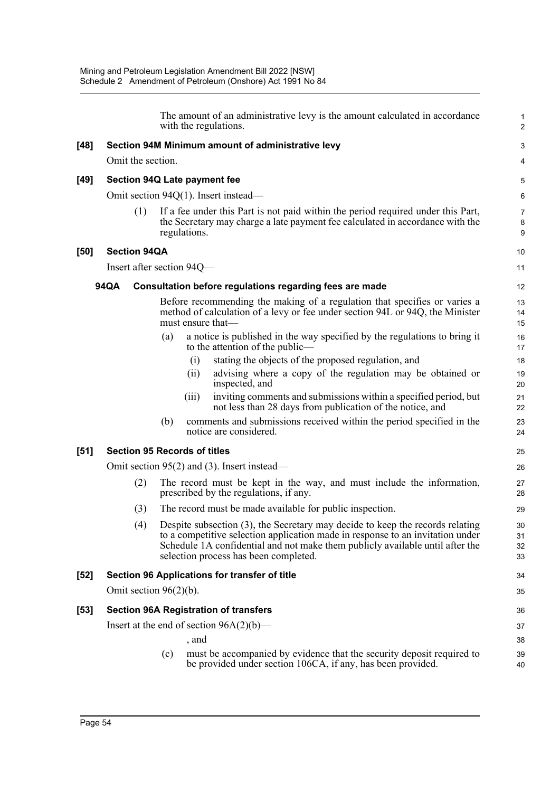|        |                           |     |     | The amount of an administrative levy is the amount calculated in accordance<br>with the regulations.                                                                                                                                                                                      | $\mathbf{1}$<br>$\overline{2}$ |
|--------|---------------------------|-----|-----|-------------------------------------------------------------------------------------------------------------------------------------------------------------------------------------------------------------------------------------------------------------------------------------------|--------------------------------|
| $[48]$ |                           |     |     | Section 94M Minimum amount of administrative levy                                                                                                                                                                                                                                         | 3                              |
|        | Omit the section.         |     |     |                                                                                                                                                                                                                                                                                           | 4                              |
| [49]   |                           |     |     | Section 94Q Late payment fee                                                                                                                                                                                                                                                              | 5                              |
|        |                           |     |     | Omit section 94Q(1). Insert instead—                                                                                                                                                                                                                                                      | $\,6\,$                        |
|        |                           | (1) |     | If a fee under this Part is not paid within the period required under this Part,<br>the Secretary may charge a late payment fee calculated in accordance with the<br>regulations.                                                                                                         | $\overline{7}$<br>8<br>9       |
| [50]   | <b>Section 94QA</b>       |     |     |                                                                                                                                                                                                                                                                                           | 10                             |
|        |                           |     |     | Insert after section 94Q—                                                                                                                                                                                                                                                                 | 11                             |
|        | 94QA                      |     |     | Consultation before regulations regarding fees are made                                                                                                                                                                                                                                   | 12                             |
|        |                           |     |     | Before recommending the making of a regulation that specifies or varies a<br>method of calculation of a levy or fee under section 94L or 94Q, the Minister<br>must ensure that-                                                                                                           | 13<br>14<br>15                 |
|        |                           |     | (a) | a notice is published in the way specified by the regulations to bring it<br>to the attention of the public—                                                                                                                                                                              | 16<br>17                       |
|        |                           |     |     | stating the objects of the proposed regulation, and<br>(i)                                                                                                                                                                                                                                | 18                             |
|        |                           |     |     | advising where a copy of the regulation may be obtained or<br>(i)<br>inspected, and                                                                                                                                                                                                       | 19<br>20                       |
|        |                           |     |     | inviting comments and submissions within a specified period, but<br>(iii)<br>not less than 28 days from publication of the notice, and                                                                                                                                                    | 21<br>22                       |
|        |                           |     | (b) | comments and submissions received within the period specified in the<br>notice are considered.                                                                                                                                                                                            | 23<br>24                       |
| [51]   |                           |     |     | <b>Section 95 Records of titles</b>                                                                                                                                                                                                                                                       | 25                             |
|        |                           |     |     | Omit section $95(2)$ and (3). Insert instead—                                                                                                                                                                                                                                             | 26                             |
|        |                           | (2) |     | The record must be kept in the way, and must include the information,<br>prescribed by the regulations, if any.                                                                                                                                                                           | 27<br>28                       |
|        |                           | (3) |     | The record must be made available for public inspection.                                                                                                                                                                                                                                  | 29                             |
|        |                           | (4) |     | Despite subsection (3), the Secretary may decide to keep the records relating<br>to a competitive selection application made in response to an invitation under<br>Schedule 1A confidential and not make them publicly available until after the<br>selection process has been completed. | 30<br>31<br>32<br>33           |
| [52]   |                           |     |     | Section 96 Applications for transfer of title                                                                                                                                                                                                                                             | 34                             |
|        | Omit section $96(2)(b)$ . |     |     |                                                                                                                                                                                                                                                                                           | 35                             |
| [53]   |                           |     |     | <b>Section 96A Registration of transfers</b>                                                                                                                                                                                                                                              | 36                             |
|        |                           |     |     | Insert at the end of section $96A(2)(b)$ —                                                                                                                                                                                                                                                | 37                             |
|        |                           |     |     | , and                                                                                                                                                                                                                                                                                     | 38                             |
|        |                           |     | (c) | must be accompanied by evidence that the security deposit required to<br>be provided under section 106CA, if any, has been provided.                                                                                                                                                      | 39<br>40                       |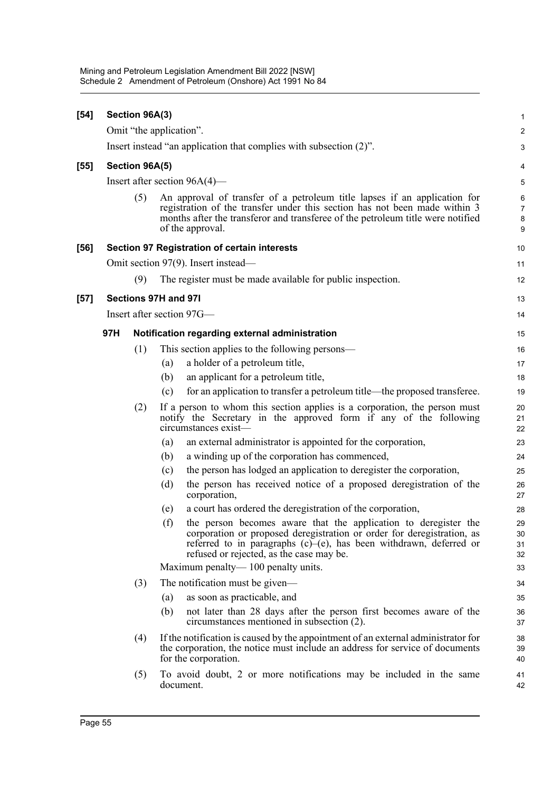| $[54]$ |                           | Section 96A(3) |                                                                                                                                                                                                                                                                    | $\mathbf{1}$                    |  |  |
|--------|---------------------------|----------------|--------------------------------------------------------------------------------------------------------------------------------------------------------------------------------------------------------------------------------------------------------------------|---------------------------------|--|--|
|        |                           |                | Omit "the application".                                                                                                                                                                                                                                            | $\boldsymbol{2}$                |  |  |
|        |                           |                | Insert instead "an application that complies with subsection (2)".                                                                                                                                                                                                 | 3                               |  |  |
| [55]   | Section 96A(5)            |                |                                                                                                                                                                                                                                                                    |                                 |  |  |
|        |                           |                | Insert after section $96A(4)$ —                                                                                                                                                                                                                                    | 5                               |  |  |
|        |                           | (5)            | An approval of transfer of a petroleum title lapses if an application for<br>registration of the transfer under this section has not been made within 3<br>months after the transferor and transferee of the petroleum title were notified<br>of the approval.     | 6<br>$\boldsymbol{7}$<br>8<br>9 |  |  |
| [56]   |                           |                | Section 97 Registration of certain interests                                                                                                                                                                                                                       | 10                              |  |  |
|        |                           |                | Omit section 97(9). Insert instead—                                                                                                                                                                                                                                | 11                              |  |  |
|        |                           | (9)            | The register must be made available for public inspection.                                                                                                                                                                                                         | 12                              |  |  |
| [57]   |                           |                | Sections 97H and 97I                                                                                                                                                                                                                                               | 13                              |  |  |
|        | Insert after section 97G— |                |                                                                                                                                                                                                                                                                    |                                 |  |  |
|        | 97H                       |                | Notification regarding external administration                                                                                                                                                                                                                     | 15                              |  |  |
|        |                           | (1)            | This section applies to the following persons—                                                                                                                                                                                                                     | 16                              |  |  |
|        |                           |                | a holder of a petroleum title,<br>(a)                                                                                                                                                                                                                              | 17                              |  |  |
|        |                           |                | an applicant for a petroleum title,<br>(b)                                                                                                                                                                                                                         | 18                              |  |  |
|        |                           |                | for an application to transfer a petroleum title—the proposed transferee.<br>(c)                                                                                                                                                                                   | 19                              |  |  |
|        |                           | (2)            | If a person to whom this section applies is a corporation, the person must<br>notify the Secretary in the approved form if any of the following<br>circumstances exist-                                                                                            | 20<br>21<br>22                  |  |  |
|        |                           |                | an external administrator is appointed for the corporation,<br>(a)                                                                                                                                                                                                 | 23                              |  |  |
|        |                           |                | a winding up of the corporation has commenced,<br>(b)                                                                                                                                                                                                              | 24                              |  |  |
|        |                           |                | the person has lodged an application to deregister the corporation,<br>(c)                                                                                                                                                                                         | 25                              |  |  |
|        |                           |                | the person has received notice of a proposed deregistration of the<br>(d)<br>corporation,                                                                                                                                                                          | 26<br>27                        |  |  |
|        |                           |                | a court has ordered the deregistration of the corporation,<br>(e)                                                                                                                                                                                                  | 28                              |  |  |
|        |                           |                | (f)<br>the person becomes aware that the application to deregister the<br>corporation or proposed deregistration or order for deregistration, as<br>referred to in paragraphs (c)-(e), has been withdrawn, deferred or<br>refused or rejected, as the case may be. | 29<br>30<br>31<br>32            |  |  |
|        |                           |                | Maximum penalty—100 penalty units.                                                                                                                                                                                                                                 | 33                              |  |  |
|        |                           | (3)            | The notification must be given—                                                                                                                                                                                                                                    | 34                              |  |  |
|        |                           |                | (a)<br>as soon as practicable, and                                                                                                                                                                                                                                 | 35                              |  |  |
|        |                           |                | (b)<br>not later than 28 days after the person first becomes aware of the<br>circumstances mentioned in subsection (2).                                                                                                                                            | 36<br>37                        |  |  |
|        |                           | (4)            | If the notification is caused by the appointment of an external administrator for<br>the corporation, the notice must include an address for service of documents<br>for the corporation.                                                                          | 38<br>39<br>40                  |  |  |
|        |                           | (5)            | To avoid doubt, 2 or more notifications may be included in the same<br>document.                                                                                                                                                                                   | 41<br>42                        |  |  |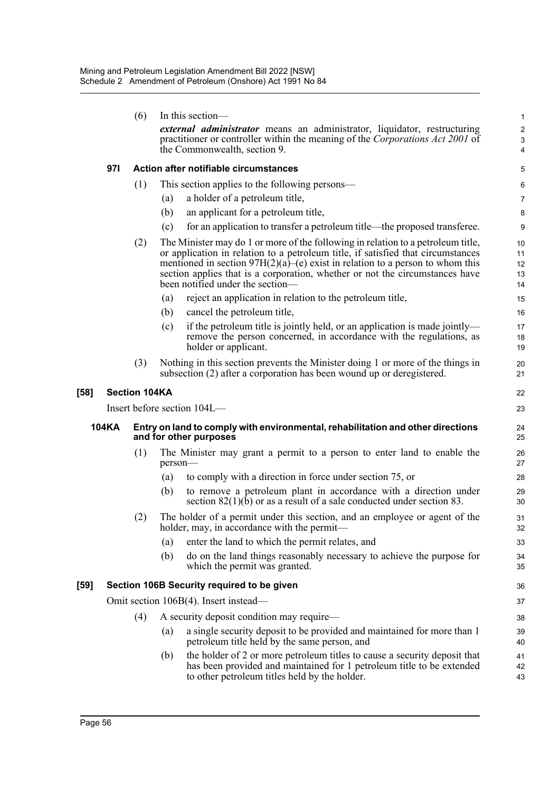|      |                                                                                                                                                                                                  | (6)                  | In this section-                                                                                                                                                                                                                                                                                                                                                            |  | $\mathbf{1}$               |  |  |
|------|--------------------------------------------------------------------------------------------------------------------------------------------------------------------------------------------------|----------------------|-----------------------------------------------------------------------------------------------------------------------------------------------------------------------------------------------------------------------------------------------------------------------------------------------------------------------------------------------------------------------------|--|----------------------------|--|--|
|      | <i>external administrator</i> means an administrator, liquidator, restructuring<br>practitioner or controller within the meaning of the Corporations Act 2001 of<br>the Commonwealth, section 9. |                      |                                                                                                                                                                                                                                                                                                                                                                             |  |                            |  |  |
|      | 971                                                                                                                                                                                              |                      | Action after notifiable circumstances                                                                                                                                                                                                                                                                                                                                       |  | 5                          |  |  |
|      |                                                                                                                                                                                                  | (1)                  | This section applies to the following persons—                                                                                                                                                                                                                                                                                                                              |  | 6                          |  |  |
|      |                                                                                                                                                                                                  |                      | a holder of a petroleum title,<br>(a)                                                                                                                                                                                                                                                                                                                                       |  | 7                          |  |  |
|      |                                                                                                                                                                                                  |                      | an applicant for a petroleum title,<br>(b)                                                                                                                                                                                                                                                                                                                                  |  | 8                          |  |  |
|      |                                                                                                                                                                                                  |                      | for an application to transfer a petroleum title—the proposed transferee.<br>(c)                                                                                                                                                                                                                                                                                            |  | 9                          |  |  |
|      |                                                                                                                                                                                                  | (2)                  | The Minister may do 1 or more of the following in relation to a petroleum title,<br>or application in relation to a petroleum title, if satisfied that circumstances<br>mentioned in section $97H(2)(a)$ (e) exist in relation to a person to whom this<br>section applies that is a corporation, whether or not the circumstances have<br>been notified under the section— |  | 10<br>11<br>12<br>13<br>14 |  |  |
|      |                                                                                                                                                                                                  |                      | reject an application in relation to the petroleum title,<br>(a)                                                                                                                                                                                                                                                                                                            |  | 15                         |  |  |
|      |                                                                                                                                                                                                  |                      | (b)<br>cancel the petroleum title,                                                                                                                                                                                                                                                                                                                                          |  | 16                         |  |  |
|      |                                                                                                                                                                                                  |                      | if the petroleum title is jointly held, or an application is made jointly—<br>(c)<br>remove the person concerned, in accordance with the regulations, as<br>holder or applicant.                                                                                                                                                                                            |  | 17<br>18<br>19             |  |  |
|      |                                                                                                                                                                                                  | (3)                  | Nothing in this section prevents the Minister doing 1 or more of the things in<br>subsection (2) after a corporation has been wound up or deregistered.                                                                                                                                                                                                                     |  | 20<br>21                   |  |  |
| [58] |                                                                                                                                                                                                  | <b>Section 104KA</b> |                                                                                                                                                                                                                                                                                                                                                                             |  | 22                         |  |  |
|      |                                                                                                                                                                                                  |                      |                                                                                                                                                                                                                                                                                                                                                                             |  |                            |  |  |
|      |                                                                                                                                                                                                  |                      | Insert before section 104L—                                                                                                                                                                                                                                                                                                                                                 |  | 23                         |  |  |
|      | <b>104KA</b>                                                                                                                                                                                     |                      | Entry on land to comply with environmental, rehabilitation and other directions<br>and for other purposes                                                                                                                                                                                                                                                                   |  | 24<br>25                   |  |  |
|      |                                                                                                                                                                                                  | (1)                  | The Minister may grant a permit to a person to enter land to enable the<br>person-                                                                                                                                                                                                                                                                                          |  | 26<br>27                   |  |  |
|      |                                                                                                                                                                                                  |                      | to comply with a direction in force under section 75, or<br>(a)                                                                                                                                                                                                                                                                                                             |  | 28                         |  |  |
|      |                                                                                                                                                                                                  |                      | (b)<br>to remove a petroleum plant in accordance with a direction under<br>section $82(1)(b)$ or as a result of a sale conducted under section 83.                                                                                                                                                                                                                          |  | 29<br>30                   |  |  |
|      |                                                                                                                                                                                                  | (2)                  | The holder of a permit under this section, and an employee or agent of the<br>holder, may, in accordance with the permit—                                                                                                                                                                                                                                                   |  | 31<br>32                   |  |  |
|      |                                                                                                                                                                                                  |                      | enter the land to which the permit relates, and<br>(a)                                                                                                                                                                                                                                                                                                                      |  | 33                         |  |  |
|      |                                                                                                                                                                                                  |                      | do on the land things reasonably necessary to achieve the purpose for<br>(b)<br>which the permit was granted.                                                                                                                                                                                                                                                               |  | 34<br>35                   |  |  |
| [59] |                                                                                                                                                                                                  |                      | Section 106B Security required to be given                                                                                                                                                                                                                                                                                                                                  |  | 36                         |  |  |
|      |                                                                                                                                                                                                  |                      | Omit section 106B(4). Insert instead—                                                                                                                                                                                                                                                                                                                                       |  | 37                         |  |  |
|      |                                                                                                                                                                                                  | (4)                  | A security deposit condition may require—                                                                                                                                                                                                                                                                                                                                   |  | 38                         |  |  |
|      |                                                                                                                                                                                                  |                      | a single security deposit to be provided and maintained for more than 1<br>(a)<br>petroleum title held by the same person, and                                                                                                                                                                                                                                              |  | 39<br>40                   |  |  |
|      |                                                                                                                                                                                                  |                      | the holder of 2 or more petroleum titles to cause a security deposit that<br>(b)<br>has been provided and maintained for 1 petroleum title to be extended<br>to other petroleum titles held by the holder.                                                                                                                                                                  |  | 41<br>42<br>43             |  |  |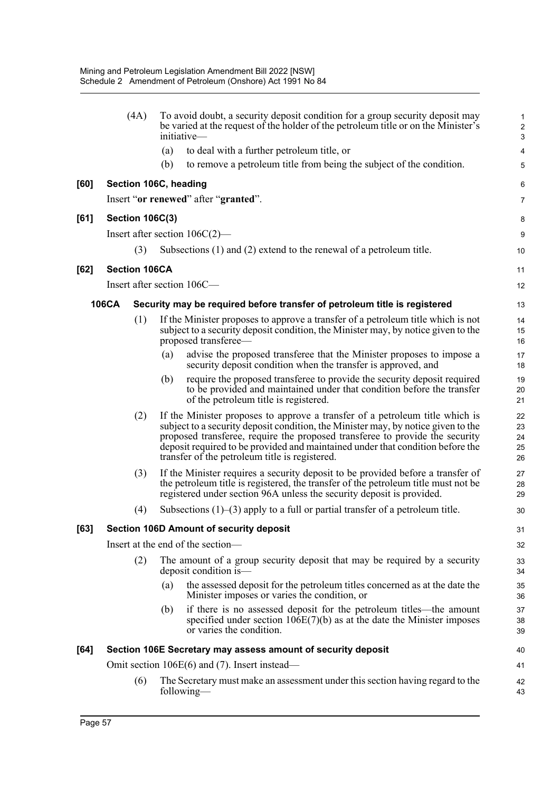|      | (4A)                   |     | To avoid doubt, a security deposit condition for a group security deposit may<br>be varied at the request of the holder of the petroleum title or on the Minister's<br>initiative—                                                                                                                                                                                                    | 1<br>$\overline{\mathbf{c}}$<br>3 |
|------|------------------------|-----|---------------------------------------------------------------------------------------------------------------------------------------------------------------------------------------------------------------------------------------------------------------------------------------------------------------------------------------------------------------------------------------|-----------------------------------|
|      |                        | (a) | to deal with a further petroleum title, or                                                                                                                                                                                                                                                                                                                                            | 4                                 |
|      |                        | (b) | to remove a petroleum title from being the subject of the condition.                                                                                                                                                                                                                                                                                                                  | 5                                 |
| [60] | Section 106C, heading  |     |                                                                                                                                                                                                                                                                                                                                                                                       | 6                                 |
|      |                        |     | Insert "or renewed" after "granted".                                                                                                                                                                                                                                                                                                                                                  | 7                                 |
| [61] | <b>Section 106C(3)</b> |     |                                                                                                                                                                                                                                                                                                                                                                                       | 8                                 |
|      |                        |     | Insert after section $106C(2)$ —                                                                                                                                                                                                                                                                                                                                                      | 9                                 |
|      | (3)                    |     | Subsections (1) and (2) extend to the renewal of a petroleum title.                                                                                                                                                                                                                                                                                                                   | 10                                |
| [62] | <b>Section 106CA</b>   |     |                                                                                                                                                                                                                                                                                                                                                                                       | 11                                |
|      |                        |     | Insert after section 106C-                                                                                                                                                                                                                                                                                                                                                            | 12                                |
|      | <b>106CA</b>           |     | Security may be required before transfer of petroleum title is registered                                                                                                                                                                                                                                                                                                             | 13                                |
|      | (1)                    |     | If the Minister proposes to approve a transfer of a petroleum title which is not<br>subject to a security deposit condition, the Minister may, by notice given to the<br>proposed transferee—                                                                                                                                                                                         | 14<br>15<br>16                    |
|      |                        | (a) | advise the proposed transferee that the Minister proposes to impose a<br>security deposit condition when the transfer is approved, and                                                                                                                                                                                                                                                | 17<br>18                          |
|      |                        | (b) | require the proposed transferee to provide the security deposit required<br>to be provided and maintained under that condition before the transfer<br>of the petroleum title is registered.                                                                                                                                                                                           | 19<br>20<br>21                    |
|      | (2)                    |     | If the Minister proposes to approve a transfer of a petroleum title which is<br>subject to a security deposit condition, the Minister may, by notice given to the<br>proposed transferee, require the proposed transferee to provide the security<br>deposit required to be provided and maintained under that condition before the<br>transfer of the petroleum title is registered. | 22<br>23<br>24<br>25<br>26        |
|      | (3)                    |     | If the Minister requires a security deposit to be provided before a transfer of<br>the petroleum title is registered, the transfer of the petroleum title must not be<br>registered under section 96A unless the security deposit is provided.                                                                                                                                        | 27<br>28<br>29                    |
|      | (4)                    |     | Subsections $(1)$ – $(3)$ apply to a full or partial transfer of a petroleum title.                                                                                                                                                                                                                                                                                                   | 30                                |
| [63] |                        |     | Section 106D Amount of security deposit                                                                                                                                                                                                                                                                                                                                               | 31                                |
|      |                        |     | Insert at the end of the section-                                                                                                                                                                                                                                                                                                                                                     | 32                                |
|      | (2)                    |     | The amount of a group security deposit that may be required by a security<br>deposit condition is-                                                                                                                                                                                                                                                                                    | 33<br>34                          |
|      |                        | (a) | the assessed deposit for the petroleum titles concerned as at the date the<br>Minister imposes or varies the condition, or                                                                                                                                                                                                                                                            | 35<br>36                          |
|      |                        | (b) | if there is no assessed deposit for the petroleum titles—the amount<br>specified under section $106E(7)(b)$ as at the date the Minister imposes<br>or varies the condition.                                                                                                                                                                                                           | 37<br>38<br>39                    |
| [64] |                        |     | Section 106E Secretary may assess amount of security deposit                                                                                                                                                                                                                                                                                                                          | 40                                |
|      |                        |     | Omit section $106E(6)$ and (7). Insert instead—                                                                                                                                                                                                                                                                                                                                       | 41                                |
|      | (6)                    |     | The Secretary must make an assessment under this section having regard to the<br>following—                                                                                                                                                                                                                                                                                           | 42<br>43                          |
|      |                        |     |                                                                                                                                                                                                                                                                                                                                                                                       |                                   |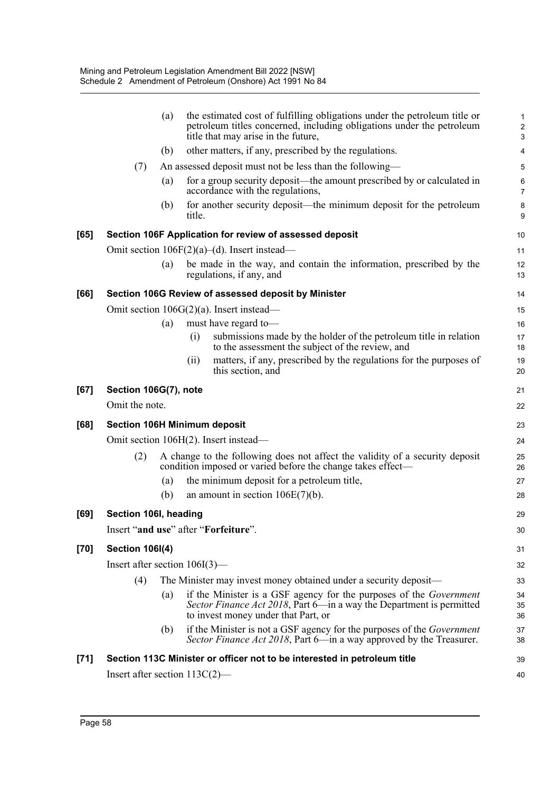|        |                        | (a) | the estimated cost of fulfilling obligations under the petroleum title or<br>petroleum titles concerned, including obligations under the petroleum<br>title that may arise in the future, | $\mathbf{1}$<br>$\boldsymbol{2}$<br>3 |
|--------|------------------------|-----|-------------------------------------------------------------------------------------------------------------------------------------------------------------------------------------------|---------------------------------------|
|        |                        | (b) | other matters, if any, prescribed by the regulations.                                                                                                                                     | 4                                     |
|        | (7)                    |     | An assessed deposit must not be less than the following—                                                                                                                                  | 5                                     |
|        |                        | (a) | for a group security deposit—the amount prescribed by or calculated in<br>accordance with the regulations,                                                                                | 6<br>$\overline{7}$                   |
|        |                        | (b) | for another security deposit—the minimum deposit for the petroleum<br>title.                                                                                                              | 8<br>9                                |
| [65]   |                        |     | Section 106F Application for review of assessed deposit                                                                                                                                   | 10                                    |
|        |                        |     | Omit section $106F(2)(a)$ –(d). Insert instead—                                                                                                                                           | 11                                    |
|        |                        | (a) | be made in the way, and contain the information, prescribed by the<br>regulations, if any, and                                                                                            | 12<br>13                              |
| [66]   |                        |     | Section 106G Review of assessed deposit by Minister                                                                                                                                       | 14                                    |
|        |                        |     | Omit section $106G(2)(a)$ . Insert instead—                                                                                                                                               | 15                                    |
|        |                        | (a) | must have regard to-                                                                                                                                                                      | 16                                    |
|        |                        |     | submissions made by the holder of the petroleum title in relation<br>(i)<br>to the assessment the subject of the review, and                                                              | 17<br>18                              |
|        |                        |     | matters, if any, prescribed by the regulations for the purposes of<br>(i)<br>this section, and                                                                                            | 19<br>20                              |
| [67]   | Section 106G(7), note  |     |                                                                                                                                                                                           | 21                                    |
|        | Omit the note.         |     |                                                                                                                                                                                           | 22                                    |
| [68]   |                        |     | <b>Section 106H Minimum deposit</b>                                                                                                                                                       | 23                                    |
|        |                        |     | Omit section 106H(2). Insert instead-                                                                                                                                                     | 24                                    |
|        | (2)                    |     | A change to the following does not affect the validity of a security deposit<br>condition imposed or varied before the change takes effect—                                               | 25<br>26                              |
|        |                        | (a) | the minimum deposit for a petroleum title,                                                                                                                                                | 27                                    |
|        |                        | (b) | an amount in section $106E(7)(b)$ .                                                                                                                                                       | 28                                    |
| [69]   | Section 106I, heading  |     |                                                                                                                                                                                           | 29                                    |
|        |                        |     | Insert "and use" after "Forfeiture".                                                                                                                                                      | 30                                    |
| $[70]$ | <b>Section 106I(4)</b> |     |                                                                                                                                                                                           | 31                                    |
|        |                        |     | Insert after section $106I(3)$ —                                                                                                                                                          | 32                                    |
|        | (4)                    |     | The Minister may invest money obtained under a security deposit—                                                                                                                          | 33                                    |
|        |                        | (a) | if the Minister is a GSF agency for the purposes of the <i>Government</i><br>Sector Finance Act 2018, Part 6-in a way the Department is permitted<br>to invest money under that Part, or  | 34<br>35<br>36                        |
|        |                        | (b) | if the Minister is not a GSF agency for the purposes of the <i>Government</i><br>Sector Finance Act 2018, Part 6—in a way approved by the Treasurer.                                      | 37<br>38                              |
| $[71]$ |                        |     | Section 113C Minister or officer not to be interested in petroleum title                                                                                                                  | 39                                    |
|        |                        |     | Insert after section $113C(2)$ —                                                                                                                                                          | 40                                    |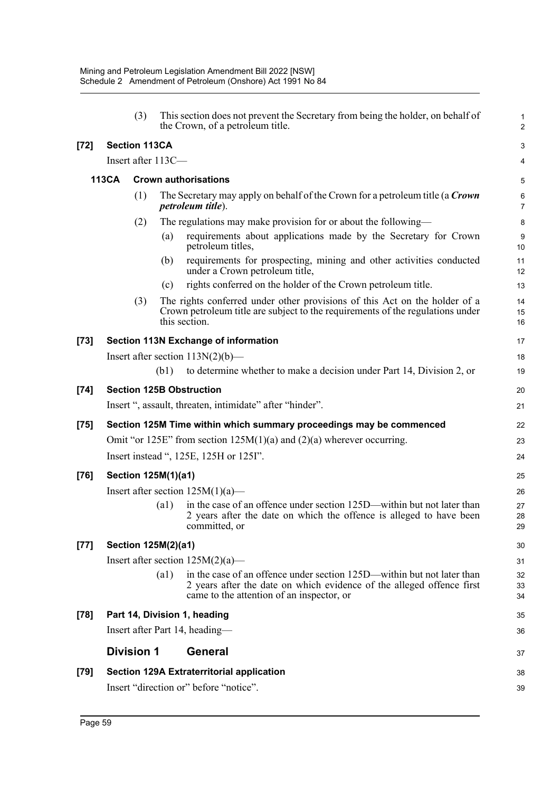|              |     |      |                                                                                                                                                                | 38<br>39                                                                                                                                                                                                                                                                                                                                                                                                                                                                                                                                                                                                                                                                                                                                                                                                                                                                                                                                                                                                                                                                                                                                                                                                                                                                                                                                                                   |
|--------------|-----|------|----------------------------------------------------------------------------------------------------------------------------------------------------------------|----------------------------------------------------------------------------------------------------------------------------------------------------------------------------------------------------------------------------------------------------------------------------------------------------------------------------------------------------------------------------------------------------------------------------------------------------------------------------------------------------------------------------------------------------------------------------------------------------------------------------------------------------------------------------------------------------------------------------------------------------------------------------------------------------------------------------------------------------------------------------------------------------------------------------------------------------------------------------------------------------------------------------------------------------------------------------------------------------------------------------------------------------------------------------------------------------------------------------------------------------------------------------------------------------------------------------------------------------------------------------|
|              |     |      | <b>General</b>                                                                                                                                                 | 37                                                                                                                                                                                                                                                                                                                                                                                                                                                                                                                                                                                                                                                                                                                                                                                                                                                                                                                                                                                                                                                                                                                                                                                                                                                                                                                                                                         |
|              |     |      |                                                                                                                                                                | 36                                                                                                                                                                                                                                                                                                                                                                                                                                                                                                                                                                                                                                                                                                                                                                                                                                                                                                                                                                                                                                                                                                                                                                                                                                                                                                                                                                         |
|              |     |      |                                                                                                                                                                | 35                                                                                                                                                                                                                                                                                                                                                                                                                                                                                                                                                                                                                                                                                                                                                                                                                                                                                                                                                                                                                                                                                                                                                                                                                                                                                                                                                                         |
|              |     |      | 2 years after the date on which evidence of the alleged offence first<br>came to the attention of an inspector, or                                             | 32<br>33<br>34                                                                                                                                                                                                                                                                                                                                                                                                                                                                                                                                                                                                                                                                                                                                                                                                                                                                                                                                                                                                                                                                                                                                                                                                                                                                                                                                                             |
|              |     |      |                                                                                                                                                                | 31                                                                                                                                                                                                                                                                                                                                                                                                                                                                                                                                                                                                                                                                                                                                                                                                                                                                                                                                                                                                                                                                                                                                                                                                                                                                                                                                                                         |
|              |     |      |                                                                                                                                                                | 30                                                                                                                                                                                                                                                                                                                                                                                                                                                                                                                                                                                                                                                                                                                                                                                                                                                                                                                                                                                                                                                                                                                                                                                                                                                                                                                                                                         |
|              |     | (a1) | in the case of an offence under section 125D—within but not later than<br>2 years after the date on which the offence is alleged to have been<br>committed, or | 27<br>28<br>29                                                                                                                                                                                                                                                                                                                                                                                                                                                                                                                                                                                                                                                                                                                                                                                                                                                                                                                                                                                                                                                                                                                                                                                                                                                                                                                                                             |
|              |     |      |                                                                                                                                                                | 26                                                                                                                                                                                                                                                                                                                                                                                                                                                                                                                                                                                                                                                                                                                                                                                                                                                                                                                                                                                                                                                                                                                                                                                                                                                                                                                                                                         |
|              |     |      |                                                                                                                                                                | 25                                                                                                                                                                                                                                                                                                                                                                                                                                                                                                                                                                                                                                                                                                                                                                                                                                                                                                                                                                                                                                                                                                                                                                                                                                                                                                                                                                         |
|              |     |      |                                                                                                                                                                | 24                                                                                                                                                                                                                                                                                                                                                                                                                                                                                                                                                                                                                                                                                                                                                                                                                                                                                                                                                                                                                                                                                                                                                                                                                                                                                                                                                                         |
|              |     |      |                                                                                                                                                                | 22<br>23                                                                                                                                                                                                                                                                                                                                                                                                                                                                                                                                                                                                                                                                                                                                                                                                                                                                                                                                                                                                                                                                                                                                                                                                                                                                                                                                                                   |
|              |     |      |                                                                                                                                                                |                                                                                                                                                                                                                                                                                                                                                                                                                                                                                                                                                                                                                                                                                                                                                                                                                                                                                                                                                                                                                                                                                                                                                                                                                                                                                                                                                                            |
|              |     |      |                                                                                                                                                                | 20<br>21                                                                                                                                                                                                                                                                                                                                                                                                                                                                                                                                                                                                                                                                                                                                                                                                                                                                                                                                                                                                                                                                                                                                                                                                                                                                                                                                                                   |
|              |     |      |                                                                                                                                                                |                                                                                                                                                                                                                                                                                                                                                                                                                                                                                                                                                                                                                                                                                                                                                                                                                                                                                                                                                                                                                                                                                                                                                                                                                                                                                                                                                                            |
|              |     |      |                                                                                                                                                                | 18<br>19                                                                                                                                                                                                                                                                                                                                                                                                                                                                                                                                                                                                                                                                                                                                                                                                                                                                                                                                                                                                                                                                                                                                                                                                                                                                                                                                                                   |
|              |     |      |                                                                                                                                                                | 17                                                                                                                                                                                                                                                                                                                                                                                                                                                                                                                                                                                                                                                                                                                                                                                                                                                                                                                                                                                                                                                                                                                                                                                                                                                                                                                                                                         |
|              | (3) |      |                                                                                                                                                                | 14<br>15<br>16                                                                                                                                                                                                                                                                                                                                                                                                                                                                                                                                                                                                                                                                                                                                                                                                                                                                                                                                                                                                                                                                                                                                                                                                                                                                                                                                                             |
|              |     | (c)  | rights conferred on the holder of the Crown petroleum title.                                                                                                   | 13                                                                                                                                                                                                                                                                                                                                                                                                                                                                                                                                                                                                                                                                                                                                                                                                                                                                                                                                                                                                                                                                                                                                                                                                                                                                                                                                                                         |
|              |     | (b)  | requirements for prospecting, mining and other activities conducted<br>under a Crown petroleum title,                                                          | 11<br>12                                                                                                                                                                                                                                                                                                                                                                                                                                                                                                                                                                                                                                                                                                                                                                                                                                                                                                                                                                                                                                                                                                                                                                                                                                                                                                                                                                   |
|              |     | (a)  | requirements about applications made by the Secretary for Crown<br>petroleum titles,                                                                           | 9<br>10                                                                                                                                                                                                                                                                                                                                                                                                                                                                                                                                                                                                                                                                                                                                                                                                                                                                                                                                                                                                                                                                                                                                                                                                                                                                                                                                                                    |
|              | (2) |      |                                                                                                                                                                | 8                                                                                                                                                                                                                                                                                                                                                                                                                                                                                                                                                                                                                                                                                                                                                                                                                                                                                                                                                                                                                                                                                                                                                                                                                                                                                                                                                                          |
|              | (1) |      |                                                                                                                                                                | $\,6\,$<br>$\overline{7}$                                                                                                                                                                                                                                                                                                                                                                                                                                                                                                                                                                                                                                                                                                                                                                                                                                                                                                                                                                                                                                                                                                                                                                                                                                                                                                                                                  |
| <b>113CA</b> |     |      |                                                                                                                                                                | 5                                                                                                                                                                                                                                                                                                                                                                                                                                                                                                                                                                                                                                                                                                                                                                                                                                                                                                                                                                                                                                                                                                                                                                                                                                                                                                                                                                          |
|              |     |      |                                                                                                                                                                | 4                                                                                                                                                                                                                                                                                                                                                                                                                                                                                                                                                                                                                                                                                                                                                                                                                                                                                                                                                                                                                                                                                                                                                                                                                                                                                                                                                                          |
|              |     |      |                                                                                                                                                                | 3                                                                                                                                                                                                                                                                                                                                                                                                                                                                                                                                                                                                                                                                                                                                                                                                                                                                                                                                                                                                                                                                                                                                                                                                                                                                                                                                                                          |
|              | (3) |      |                                                                                                                                                                | $\mathbf{1}$<br>$\overline{2}$                                                                                                                                                                                                                                                                                                                                                                                                                                                                                                                                                                                                                                                                                                                                                                                                                                                                                                                                                                                                                                                                                                                                                                                                                                                                                                                                             |
|              |     |      | <b>Section 113CA</b><br>(b1)<br>$\left( a1\right)$<br><b>Division 1</b>                                                                                        | This section does not prevent the Secretary from being the holder, on behalf of<br>the Crown, of a petroleum title.<br>Insert after 113C-<br><b>Crown authorisations</b><br>The Secretary may apply on behalf of the Crown for a petroleum title (a Crown<br><i>petroleum title).</i><br>The regulations may make provision for or about the following—<br>The rights conferred under other provisions of this Act on the holder of a<br>Crown petroleum title are subject to the requirements of the regulations under<br>this section.<br><b>Section 113N Exchange of information</b><br>Insert after section $113N(2)(b)$ —<br>to determine whether to make a decision under Part 14, Division 2, or<br><b>Section 125B Obstruction</b><br>Insert ", assault, threaten, intimidate" after "hinder".<br>Section 125M Time within which summary proceedings may be commenced<br>Omit "or 125E" from section $125M(1)(a)$ and $(2)(a)$ wherever occurring.<br>Insert instead ", 125E, 125H or 125I".<br>Section 125M(1)(a1)<br>Insert after section $125M(1)(a)$ —<br>Section 125M(2)(a1)<br>Insert after section $125M(2)(a)$ —<br>in the case of an offence under section 125D—within but not later than<br>Part 14, Division 1, heading<br>Insert after Part 14, heading—<br><b>Section 129A Extraterritorial application</b><br>Insert "direction or" before "notice". |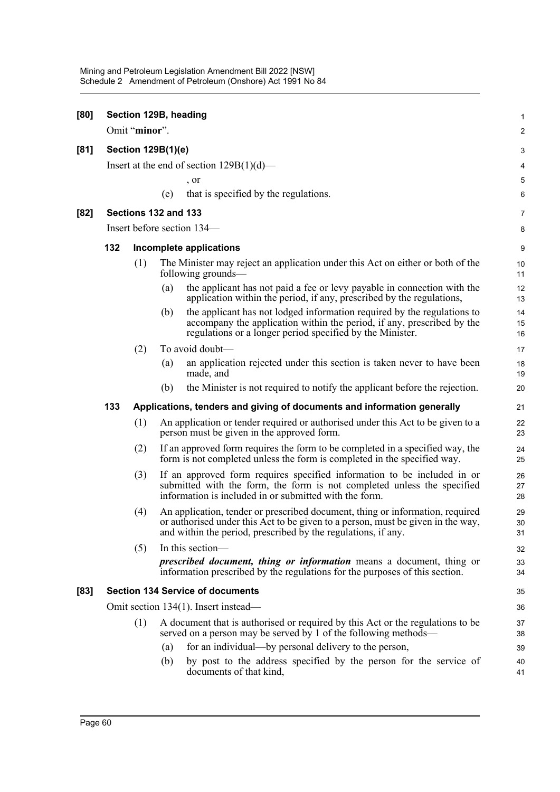| [80]   |                           | Omit "minor".                                                           |     | Section 129B, heading                                                                                                                                                                                                             | 1<br>$\overline{\mathbf{c}}$ |  |  |  |
|--------|---------------------------|-------------------------------------------------------------------------|-----|-----------------------------------------------------------------------------------------------------------------------------------------------------------------------------------------------------------------------------------|------------------------------|--|--|--|
| [81]   | <b>Section 129B(1)(e)</b> |                                                                         |     |                                                                                                                                                                                                                                   |                              |  |  |  |
|        |                           |                                                                         |     | Insert at the end of section $129B(1)(d)$ —                                                                                                                                                                                       | 3<br>4                       |  |  |  |
|        |                           |                                                                         |     | , or                                                                                                                                                                                                                              | 5                            |  |  |  |
|        |                           |                                                                         | (e) | that is specified by the regulations.                                                                                                                                                                                             | 6                            |  |  |  |
| [82]   |                           | Sections 132 and 133                                                    |     |                                                                                                                                                                                                                                   | $\overline{7}$               |  |  |  |
|        |                           |                                                                         |     | Insert before section 134—                                                                                                                                                                                                        | 8                            |  |  |  |
|        | 132                       |                                                                         |     | Incomplete applications                                                                                                                                                                                                           | 9                            |  |  |  |
|        |                           | (1)                                                                     |     | The Minister may reject an application under this Act on either or both of the<br>following grounds—                                                                                                                              | 10<br>11                     |  |  |  |
|        |                           |                                                                         | (a) | the applicant has not paid a fee or levy payable in connection with the<br>application within the period, if any, prescribed by the regulations,                                                                                  | 12<br>13                     |  |  |  |
|        |                           |                                                                         | (b) | the applicant has not lodged information required by the regulations to<br>accompany the application within the period, if any, prescribed by the<br>regulations or a longer period specified by the Minister.                    | 14<br>15<br>16               |  |  |  |
|        |                           | (2)                                                                     |     | To avoid doubt-                                                                                                                                                                                                                   | 17                           |  |  |  |
|        |                           |                                                                         | (a) | an application rejected under this section is taken never to have been<br>made, and                                                                                                                                               | 18<br>19                     |  |  |  |
|        |                           |                                                                         | (b) | the Minister is not required to notify the applicant before the rejection.                                                                                                                                                        | 20                           |  |  |  |
|        | 133                       | Applications, tenders and giving of documents and information generally |     |                                                                                                                                                                                                                                   |                              |  |  |  |
|        |                           | (1)                                                                     |     | An application or tender required or authorised under this Act to be given to a<br>person must be given in the approved form.                                                                                                     | 22<br>23                     |  |  |  |
|        |                           | (2)                                                                     |     | If an approved form requires the form to be completed in a specified way, the<br>form is not completed unless the form is completed in the specified way.                                                                         | 24<br>25                     |  |  |  |
|        |                           | (3)                                                                     |     | If an approved form requires specified information to be included in or<br>submitted with the form, the form is not completed unless the specified<br>information is included in or submitted with the form.                      | 26<br>27<br>28               |  |  |  |
|        |                           | (4)                                                                     |     | An application, tender or prescribed document, thing or information, required<br>or authorised under this Act to be given to a person, must be given in the way,<br>and within the period, prescribed by the regulations, if any. | 29<br>30<br>31               |  |  |  |
|        |                           | (5)                                                                     |     | In this section-                                                                                                                                                                                                                  | 32                           |  |  |  |
|        |                           |                                                                         |     | <i>prescribed document, thing or information</i> means a document, thing or<br>information prescribed by the regulations for the purposes of this section.                                                                        | 33<br>34                     |  |  |  |
| $[83]$ |                           |                                                                         |     | <b>Section 134 Service of documents</b>                                                                                                                                                                                           | 35                           |  |  |  |
|        |                           |                                                                         |     | Omit section 134(1). Insert instead—                                                                                                                                                                                              | 36                           |  |  |  |
|        |                           | (1)                                                                     |     | A document that is authorised or required by this Act or the regulations to be<br>served on a person may be served by 1 of the following methods—                                                                                 | 37<br>38                     |  |  |  |
|        |                           |                                                                         | (a) | for an individual—by personal delivery to the person,                                                                                                                                                                             | 39                           |  |  |  |
|        |                           |                                                                         | (b) | by post to the address specified by the person for the service of<br>documents of that kind,                                                                                                                                      | 40<br>41                     |  |  |  |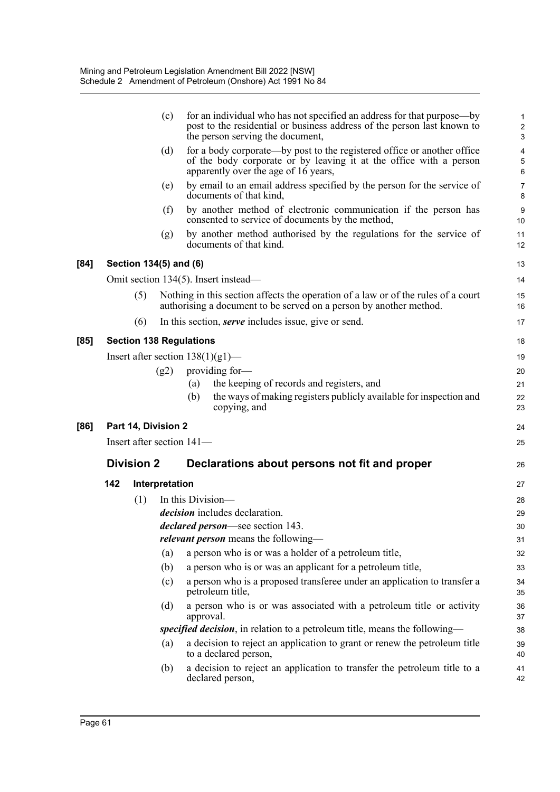|      |                                | (c)            | for an individual who has not specified an address for that purpose—by<br>post to the residential or business address of the person last known to<br>the person serving the document, | 1<br>$\overline{c}$<br>3 |
|------|--------------------------------|----------------|---------------------------------------------------------------------------------------------------------------------------------------------------------------------------------------|--------------------------|
|      |                                | (d)            | for a body corporate—by post to the registered office or another office<br>of the body corporate or by leaving it at the office with a person<br>apparently over the age of 16 years, | 4<br>5<br>6              |
|      |                                | (e)            | by email to an email address specified by the person for the service of<br>documents of that kind,                                                                                    | $\overline{7}$<br>8      |
|      |                                | (f)            | by another method of electronic communication if the person has<br>consented to service of documents by the method,                                                                   | 9<br>10                  |
|      |                                | (g)            | by another method authorised by the regulations for the service of<br>documents of that kind.                                                                                         | 11<br>12                 |
| [84] | Section 134(5) and (6)         |                |                                                                                                                                                                                       | 13                       |
|      |                                |                | Omit section 134(5). Insert instead—                                                                                                                                                  | 14                       |
|      | (5)                            |                | Nothing in this section affects the operation of a law or of the rules of a court<br>authorising a document to be served on a person by another method.                               | 15<br>16                 |
|      | (6)                            |                | In this section, serve includes issue, give or send.                                                                                                                                  | 17                       |
| [85] | <b>Section 138 Regulations</b> |                |                                                                                                                                                                                       | 18                       |
|      |                                |                | Insert after section $138(1)(g1)$ —                                                                                                                                                   | 19                       |
|      |                                | (g2)           | providing for-                                                                                                                                                                        | 20                       |
|      |                                |                | the keeping of records and registers, and<br>$\left( a\right)$                                                                                                                        | 21                       |
|      |                                |                | the ways of making registers publicly available for inspection and<br>(b)<br>copying, and                                                                                             | 22<br>23                 |
| [86] | Part 14, Division 2            |                |                                                                                                                                                                                       | 24                       |
|      | Insert after section 141-      |                |                                                                                                                                                                                       | 25                       |
|      | <b>Division 2</b>              |                | Declarations about persons not fit and proper                                                                                                                                         | 26                       |
|      | 142                            | Interpretation |                                                                                                                                                                                       | 27                       |
|      | (1)                            |                | In this Division—                                                                                                                                                                     | 28                       |
|      |                                |                | <i>decision</i> includes declaration.                                                                                                                                                 | 29                       |
|      |                                |                | <i>declared person</i> —see section 143.                                                                                                                                              | 30                       |
|      |                                |                | <i>relevant person</i> means the following-                                                                                                                                           | 31                       |
|      |                                | (a)            | a person who is or was a holder of a petroleum title,                                                                                                                                 | 32                       |
|      |                                | (b)            | a person who is or was an applicant for a petroleum title,                                                                                                                            | 33                       |
|      |                                | (c)            | a person who is a proposed transferee under an application to transfer a<br>petroleum title,                                                                                          | 34<br>35                 |
|      |                                | (d)            | a person who is or was associated with a petroleum title or activity<br>approval.                                                                                                     | 36<br>37                 |
|      |                                |                | specified decision, in relation to a petroleum title, means the following—                                                                                                            | 38                       |
|      |                                | (a)            | a decision to reject an application to grant or renew the petroleum title<br>to a declared person,                                                                                    | 39<br>40                 |
|      |                                |                | a decision to reject an application to transfer the petroleum title to a                                                                                                              | 41                       |
|      |                                | (b)            | declared person,                                                                                                                                                                      | 42                       |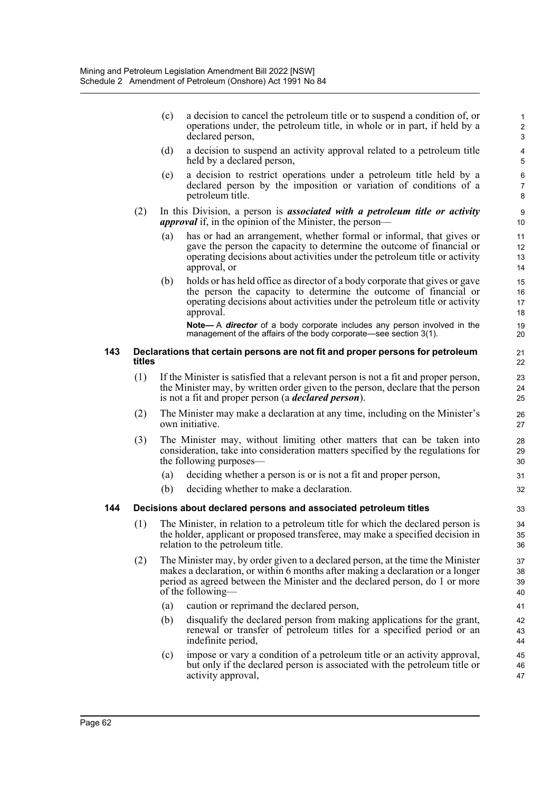|     |        | (c) | a decision to cancel the petroleum title or to suspend a condition of, or<br>operations under, the petroleum title, in whole or in part, if held by a<br>declared person,                                                                                             | $\mathbf{1}$<br>$\overline{2}$<br>3 |
|-----|--------|-----|-----------------------------------------------------------------------------------------------------------------------------------------------------------------------------------------------------------------------------------------------------------------------|-------------------------------------|
|     |        | (d) | a decision to suspend an activity approval related to a petroleum title<br>held by a declared person,                                                                                                                                                                 | $\overline{\mathbf{4}}$<br>5        |
|     |        | (e) | a decision to restrict operations under a petroleum title held by a<br>declared person by the imposition or variation of conditions of a<br>petroleum title.                                                                                                          | 6<br>$\overline{7}$<br>8            |
|     | (2)    |     | In this Division, a person is <i>associated with a petroleum title or activity</i><br><i>approval</i> if, in the opinion of the Minister, the person—                                                                                                                 | 9<br>10                             |
|     |        | (a) | has or had an arrangement, whether formal or informal, that gives or<br>gave the person the capacity to determine the outcome of financial or<br>operating decisions about activities under the petroleum title or activity<br>approval, or                           | 11<br>12<br>13<br>14                |
|     |        | (b) | holds or has held office as director of a body corporate that gives or gave<br>the person the capacity to determine the outcome of financial or<br>operating decisions about activities under the petroleum title or activity<br>approval.                            | 15<br>16<br>17<br>18                |
|     |        |     | Note-A director of a body corporate includes any person involved in the<br>management of the affairs of the body corporate—see section 3(1).                                                                                                                          | 19<br>20                            |
| 143 | titles |     | Declarations that certain persons are not fit and proper persons for petroleum                                                                                                                                                                                        | 21<br>22                            |
|     | (1)    |     | If the Minister is satisfied that a relevant person is not a fit and proper person,<br>the Minister may, by written order given to the person, declare that the person<br>is not a fit and proper person (a <i>declared person</i> ).                                 | 23<br>24<br>25                      |
|     | (2)    |     | The Minister may make a declaration at any time, including on the Minister's<br>own initiative.                                                                                                                                                                       | 26<br>27                            |
|     | (3)    |     | The Minister may, without limiting other matters that can be taken into<br>consideration, take into consideration matters specified by the regulations for<br>the following purposes—                                                                                 | 28<br>29<br>30                      |
|     |        | (a) | deciding whether a person is or is not a fit and proper person,                                                                                                                                                                                                       | 31                                  |
|     |        | (b) | deciding whether to make a declaration.                                                                                                                                                                                                                               | 32                                  |
| 144 |        |     | Decisions about declared persons and associated petroleum titles                                                                                                                                                                                                      | 33                                  |
|     |        |     | (1) The Minister, in relation to a petroleum title for which the declared person is<br>the holder, applicant or proposed transferee, may make a specified decision in<br>relation to the petroleum title.                                                             | 34<br>35<br>36                      |
|     | (2)    |     | The Minister may, by order given to a declared person, at the time the Minister<br>makes a declaration, or within 6 months after making a declaration or a longer<br>period as agreed between the Minister and the declared person, do 1 or more<br>of the following— | 37<br>38<br>39<br>40                |
|     |        | (a) | caution or reprimand the declared person,                                                                                                                                                                                                                             | 41                                  |
|     |        | (b) | disqualify the declared person from making applications for the grant,<br>renewal or transfer of petroleum titles for a specified period or an<br>indefinite period,                                                                                                  | 42<br>43<br>44                      |
|     |        | (c) | impose or vary a condition of a petroleum title or an activity approval,<br>but only if the declared person is associated with the petroleum title or<br>activity approval,                                                                                           | 45<br>46<br>47                      |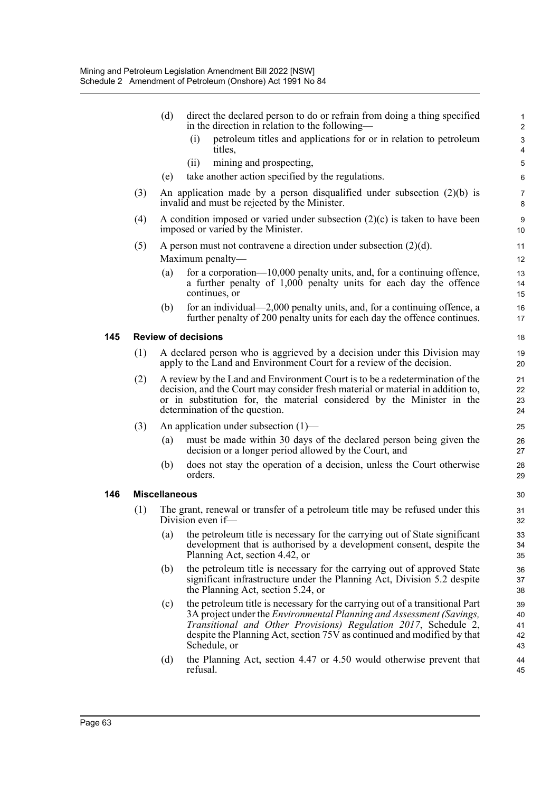|     | (d) | direct the declared person to do or refrain from doing a thing specified                                                                                                                                                                                                                                                  | $\mathbf{1}$<br>$\sqrt{2}$                                                                                                                                                                                                                                                                                                                                                                                                                                                                                                                                                                                                                                                                                                                                                                                                                                                                                                                                                                                                                                                       |
|-----|-----|---------------------------------------------------------------------------------------------------------------------------------------------------------------------------------------------------------------------------------------------------------------------------------------------------------------------------|----------------------------------------------------------------------------------------------------------------------------------------------------------------------------------------------------------------------------------------------------------------------------------------------------------------------------------------------------------------------------------------------------------------------------------------------------------------------------------------------------------------------------------------------------------------------------------------------------------------------------------------------------------------------------------------------------------------------------------------------------------------------------------------------------------------------------------------------------------------------------------------------------------------------------------------------------------------------------------------------------------------------------------------------------------------------------------|
|     |     | petroleum titles and applications for or in relation to petroleum<br>(i)                                                                                                                                                                                                                                                  | $\sqrt{3}$<br>$\pmb{4}$                                                                                                                                                                                                                                                                                                                                                                                                                                                                                                                                                                                                                                                                                                                                                                                                                                                                                                                                                                                                                                                          |
|     |     | (i)                                                                                                                                                                                                                                                                                                                       | 5                                                                                                                                                                                                                                                                                                                                                                                                                                                                                                                                                                                                                                                                                                                                                                                                                                                                                                                                                                                                                                                                                |
|     | (e) | take another action specified by the regulations.                                                                                                                                                                                                                                                                         | 6                                                                                                                                                                                                                                                                                                                                                                                                                                                                                                                                                                                                                                                                                                                                                                                                                                                                                                                                                                                                                                                                                |
| (3) |     |                                                                                                                                                                                                                                                                                                                           | $\overline{7}$<br>8                                                                                                                                                                                                                                                                                                                                                                                                                                                                                                                                                                                                                                                                                                                                                                                                                                                                                                                                                                                                                                                              |
| (4) |     |                                                                                                                                                                                                                                                                                                                           | $\boldsymbol{9}$<br>10                                                                                                                                                                                                                                                                                                                                                                                                                                                                                                                                                                                                                                                                                                                                                                                                                                                                                                                                                                                                                                                           |
| (5) |     |                                                                                                                                                                                                                                                                                                                           | 11                                                                                                                                                                                                                                                                                                                                                                                                                                                                                                                                                                                                                                                                                                                                                                                                                                                                                                                                                                                                                                                                               |
|     |     |                                                                                                                                                                                                                                                                                                                           | 12                                                                                                                                                                                                                                                                                                                                                                                                                                                                                                                                                                                                                                                                                                                                                                                                                                                                                                                                                                                                                                                                               |
|     | (a) | for a corporation— $10,000$ penalty units, and, for a continuing offence,<br>a further penalty of 1,000 penalty units for each day the offence<br>continues, or                                                                                                                                                           | 13<br>14<br>15                                                                                                                                                                                                                                                                                                                                                                                                                                                                                                                                                                                                                                                                                                                                                                                                                                                                                                                                                                                                                                                                   |
|     | (b) | for an individual—2,000 penalty units, and, for a continuing offence, a<br>further penalty of 200 penalty units for each day the offence continues.                                                                                                                                                                       | 16<br>17                                                                                                                                                                                                                                                                                                                                                                                                                                                                                                                                                                                                                                                                                                                                                                                                                                                                                                                                                                                                                                                                         |
|     |     |                                                                                                                                                                                                                                                                                                                           | 18                                                                                                                                                                                                                                                                                                                                                                                                                                                                                                                                                                                                                                                                                                                                                                                                                                                                                                                                                                                                                                                                               |
| (1) |     |                                                                                                                                                                                                                                                                                                                           | 19<br>20                                                                                                                                                                                                                                                                                                                                                                                                                                                                                                                                                                                                                                                                                                                                                                                                                                                                                                                                                                                                                                                                         |
| (2) |     |                                                                                                                                                                                                                                                                                                                           | 21<br>22<br>23<br>24                                                                                                                                                                                                                                                                                                                                                                                                                                                                                                                                                                                                                                                                                                                                                                                                                                                                                                                                                                                                                                                             |
|     |     |                                                                                                                                                                                                                                                                                                                           | 25                                                                                                                                                                                                                                                                                                                                                                                                                                                                                                                                                                                                                                                                                                                                                                                                                                                                                                                                                                                                                                                                               |
|     | (a) | must be made within 30 days of the declared person being given the<br>decision or a longer period allowed by the Court, and                                                                                                                                                                                               | 26<br>27                                                                                                                                                                                                                                                                                                                                                                                                                                                                                                                                                                                                                                                                                                                                                                                                                                                                                                                                                                                                                                                                         |
|     | (b) | does not stay the operation of a decision, unless the Court otherwise<br>orders.                                                                                                                                                                                                                                          | 28<br>29                                                                                                                                                                                                                                                                                                                                                                                                                                                                                                                                                                                                                                                                                                                                                                                                                                                                                                                                                                                                                                                                         |
|     |     |                                                                                                                                                                                                                                                                                                                           | 30                                                                                                                                                                                                                                                                                                                                                                                                                                                                                                                                                                                                                                                                                                                                                                                                                                                                                                                                                                                                                                                                               |
| (1) |     |                                                                                                                                                                                                                                                                                                                           | 31<br>32                                                                                                                                                                                                                                                                                                                                                                                                                                                                                                                                                                                                                                                                                                                                                                                                                                                                                                                                                                                                                                                                         |
|     | (a) | the petroleum title is necessary for the carrying out of State significant<br>development that is authorised by a development consent, despite the<br>Planning Act, section 4.42, or                                                                                                                                      | 33<br>34<br>35                                                                                                                                                                                                                                                                                                                                                                                                                                                                                                                                                                                                                                                                                                                                                                                                                                                                                                                                                                                                                                                                   |
|     | (b) | the petroleum title is necessary for the carrying out of approved State<br>significant infrastructure under the Planning Act, Division 5.2 despite<br>the Planning Act, section 5.24, or                                                                                                                                  | 36<br>37<br>38                                                                                                                                                                                                                                                                                                                                                                                                                                                                                                                                                                                                                                                                                                                                                                                                                                                                                                                                                                                                                                                                   |
|     | (c) | the petroleum title is necessary for the carrying out of a transitional Part<br>3A project under the <i>Environmental Planning and Assessment (Savings,</i><br>Transitional and Other Provisions) Regulation 2017, Schedule 2,<br>despite the Planning Act, section 75V as continued and modified by that<br>Schedule, or | 39<br>40<br>41<br>42<br>43                                                                                                                                                                                                                                                                                                                                                                                                                                                                                                                                                                                                                                                                                                                                                                                                                                                                                                                                                                                                                                                       |
|     | (d) | the Planning Act, section 4.47 or 4.50 would otherwise prevent that<br>refusal.                                                                                                                                                                                                                                           | 44<br>45                                                                                                                                                                                                                                                                                                                                                                                                                                                                                                                                                                                                                                                                                                                                                                                                                                                                                                                                                                                                                                                                         |
|     | (3) |                                                                                                                                                                                                                                                                                                                           | in the direction in relation to the following—<br>titles,<br>mining and prospecting,<br>An application made by a person disqualified under subsection $(2)(b)$ is<br>invalid and must be rejected by the Minister.<br>A condition imposed or varied under subsection $(2)(c)$ is taken to have been<br>imposed or varied by the Minister.<br>A person must not contravene a direction under subsection $(2)(d)$ .<br>Maximum penalty-<br><b>Review of decisions</b><br>A declared person who is aggrieved by a decision under this Division may<br>apply to the Land and Environment Court for a review of the decision.<br>A review by the Land and Environment Court is to be a redetermination of the<br>decision, and the Court may consider fresh material or material in addition to,<br>or in substitution for, the material considered by the Minister in the<br>determination of the question.<br>An application under subsection $(1)$ —<br><b>Miscellaneous</b><br>The grant, renewal or transfer of a petroleum title may be refused under this<br>Division even if- |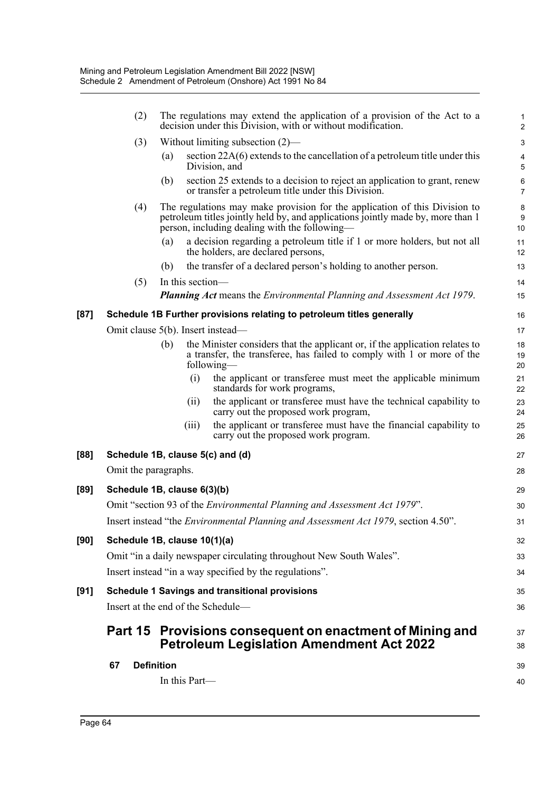|      | (2)                                |                   |                  | The regulations may extend the application of a provision of the Act to a<br>decision under this Division, with or without modification.                                                                       | 1<br>$\overline{2}$          |
|------|------------------------------------|-------------------|------------------|----------------------------------------------------------------------------------------------------------------------------------------------------------------------------------------------------------------|------------------------------|
|      | (3)                                |                   |                  | Without limiting subsection $(2)$ —                                                                                                                                                                            | $\ensuremath{\mathsf{3}}$    |
|      |                                    | (a)               |                  | section $22A(6)$ extends to the cancellation of a petroleum title under this<br>Division, and                                                                                                                  | $\overline{\mathbf{4}}$<br>5 |
|      |                                    | (b)               |                  | section 25 extends to a decision to reject an application to grant, renew<br>or transfer a petroleum title under this Division.                                                                                | $\,6\,$<br>$\overline{7}$    |
|      | (4)                                |                   |                  | The regulations may make provision for the application of this Division to<br>petroleum titles jointly held by, and applications jointly made by, more than 1<br>person, including dealing with the following— | 8<br>9<br>10                 |
|      |                                    | (a)               |                  | a decision regarding a petroleum title if 1 or more holders, but not all<br>the holders, are declared persons,                                                                                                 | 11<br>12                     |
|      |                                    | (b)               |                  | the transfer of a declared person's holding to another person.                                                                                                                                                 | 13                           |
|      | (5)                                |                   | In this section- |                                                                                                                                                                                                                | 14                           |
|      |                                    |                   |                  | <b>Planning Act</b> means the <i>Environmental Planning and Assessment Act 1979</i> .                                                                                                                          | 15                           |
| [87] |                                    |                   |                  | Schedule 1B Further provisions relating to petroleum titles generally                                                                                                                                          | 16                           |
|      | Omit clause 5(b). Insert instead-  |                   |                  |                                                                                                                                                                                                                | 17                           |
|      |                                    | (b)               |                  | the Minister considers that the applicant or, if the application relates to<br>a transfer, the transferee, has failed to comply with 1 or more of the<br>following-                                            | 18<br>19<br>20               |
|      |                                    |                   | (i)              | the applicant or transferee must meet the applicable minimum<br>standards for work programs,                                                                                                                   | 21<br>22                     |
|      |                                    |                   | (ii)             | the applicant or transferee must have the technical capability to<br>carry out the proposed work program,                                                                                                      | 23<br>24                     |
|      |                                    |                   | (iii)            | the applicant or transferee must have the financial capability to<br>carry out the proposed work program.                                                                                                      | 25<br>26                     |
| [88] | Schedule 1B, clause 5(c) and (d)   |                   |                  |                                                                                                                                                                                                                | 27                           |
|      | Omit the paragraphs.               |                   |                  |                                                                                                                                                                                                                | 28                           |
| [89] | Schedule 1B, clause 6(3)(b)        |                   |                  |                                                                                                                                                                                                                | 29                           |
|      |                                    |                   |                  | Omit "section 93 of the <i>Environmental Planning and Assessment Act 1979</i> ".                                                                                                                               | 30                           |
|      |                                    |                   |                  | Insert instead "the <i>Environmental Planning and Assessment Act 1979</i> , section 4.50".                                                                                                                     | 31                           |
| [90] | Schedule 1B, clause 10(1)(a)       |                   |                  |                                                                                                                                                                                                                | 32                           |
|      |                                    |                   |                  | Omit "in a daily newspaper circulating throughout New South Wales".                                                                                                                                            | 33                           |
|      |                                    |                   |                  | Insert instead "in a way specified by the regulations".                                                                                                                                                        | 34                           |
| [91] |                                    |                   |                  | <b>Schedule 1 Savings and transitional provisions</b>                                                                                                                                                          | 35                           |
|      | Insert at the end of the Schedule- |                   |                  |                                                                                                                                                                                                                | 36                           |
|      |                                    |                   |                  | Part 15 Provisions consequent on enactment of Mining and<br><b>Petroleum Legislation Amendment Act 2022</b>                                                                                                    | 37<br>38                     |
|      | 67                                 | <b>Definition</b> |                  |                                                                                                                                                                                                                | 39                           |
|      |                                    |                   | In this Part-    |                                                                                                                                                                                                                | 40                           |
|      |                                    |                   |                  |                                                                                                                                                                                                                |                              |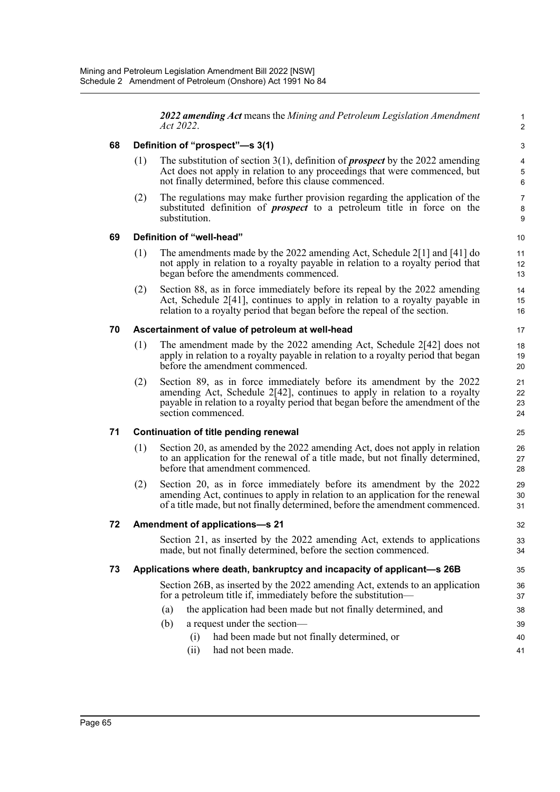*2022 amending Act* means the *Mining and Petroleum Legislation Amendment Act 2022*.

1 2

32 33 34

# **68 Definition of "prospect"—s 3(1)**

- (1) The substitution of section 3(1), definition of *prospect* by the 2022 amending Act does not apply in relation to any proceedings that were commenced, but not finally determined, before this clause commenced.
- (2) The regulations may make further provision regarding the application of the substituted definition of *prospect* to a petroleum title in force on the substitution.

## **69 Definition of "well-head"**

- (1) The amendments made by the 2022 amending Act, Schedule 2[1] and [41] do not apply in relation to a royalty payable in relation to a royalty period that began before the amendments commenced.
- (2) Section 88, as in force immediately before its repeal by the 2022 amending Act, Schedule 2[41], continues to apply in relation to a royalty payable in relation to a royalty period that began before the repeal of the section.

## **70 Ascertainment of value of petroleum at well-head**

- (1) The amendment made by the 2022 amending Act, Schedule 2[42] does not apply in relation to a royalty payable in relation to a royalty period that began before the amendment commenced.
- (2) Section 89, as in force immediately before its amendment by the 2022 amending Act, Schedule 2[42], continues to apply in relation to a royalty payable in relation to a royalty period that began before the amendment of the section commenced.

### **71 Continuation of title pending renewal**

- (1) Section 20, as amended by the 2022 amending Act, does not apply in relation to an application for the renewal of a title made, but not finally determined, before that amendment commenced.
- (2) Section 20, as in force immediately before its amendment by the 2022 amending Act, continues to apply in relation to an application for the renewal of a title made, but not finally determined, before the amendment commenced.

### **72 Amendment of applications—s 21**

Section 21, as inserted by the 2022 amending Act, extends to applications made, but not finally determined, before the section commenced.

# **73 Applications where death, bankruptcy and incapacity of applicant—s 26B**

Section 26B, as inserted by the 2022 amending Act, extends to an application for a petroleum title if, immediately before the substitution—

- (a) the application had been made but not finally determined, and
- (b) a request under the section—
	- (i) had been made but not finally determined, or
	- (ii) had not been made.